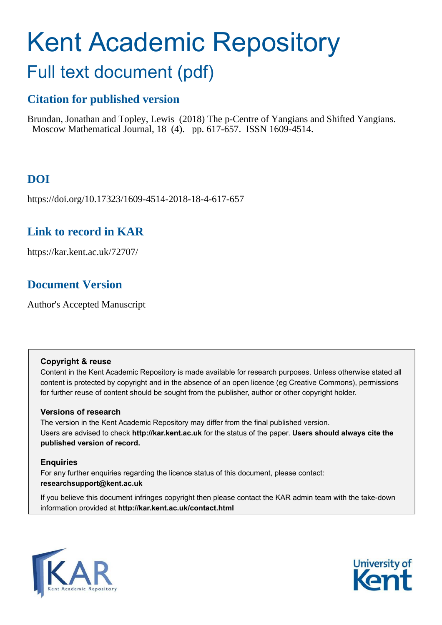# Kent Academic Repository Full text document (pdf)

# **Citation for published version**

Brundan, Jonathan and Topley, Lewis (2018) The p-Centre of Yangians and Shifted Yangians. Moscow Mathematical Journal, 18 (4). pp. 617-657. ISSN 1609-4514.

# **DOI**

https://doi.org/10.17323/1609-4514-2018-18-4-617-657

# **Link to record in KAR**

https://kar.kent.ac.uk/72707/

# **Document Version**

Author's Accepted Manuscript

## **Copyright & reuse**

Content in the Kent Academic Repository is made available for research purposes. Unless otherwise stated all content is protected by copyright and in the absence of an open licence (eg Creative Commons), permissions for further reuse of content should be sought from the publisher, author or other copyright holder.

## **Versions of research**

The version in the Kent Academic Repository may differ from the final published version. Users are advised to check **http://kar.kent.ac.uk** for the status of the paper. **Users should always cite the published version of record.**

## **Enquiries**

For any further enquiries regarding the licence status of this document, please contact: **researchsupport@kent.ac.uk**

If you believe this document infringes copyright then please contact the KAR admin team with the take-down information provided at **http://kar.kent.ac.uk/contact.html**



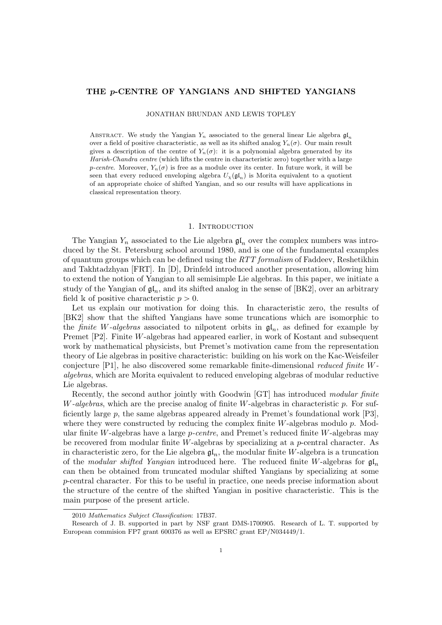#### THE p-CENTRE OF YANGIANS AND SHIFTED YANGIANS

JONATHAN BRUNDAN AND LEWIS TOPLEY

ABSTRACT. We study the Yangian  $Y_n$  associated to the general linear Lie algebra  $\mathfrak{gl}_n$ over a field of positive characteristic, as well as its shifted analog  $Y_n(\sigma)$ . Our main result gives a description of the centre of  $Y_n(\sigma)$ : it is a polynomial algebra generated by its Harish-Chandra centre (which lifts the centre in characteristic zero) together with a large p-centre. Moreover,  $Y_n(\sigma)$  is free as a module over its center. In future work, it will be seen that every reduced enveloping algebra  $U_{\chi}(\mathfrak{gl}_n)$  is Morita equivalent to a quotient of an appropriate choice of shifted Yangian, and so our results will have applications in classical representation theory.

#### 1. Introduction

The Yangian  $Y_n$  associated to the Lie algebra  $\mathfrak{gl}_n$  over the complex numbers was introduced by the St. Petersburg school around 1980, and is one of the fundamental examples of quantum groups which can be defined using the  $RTT$  formalism of Faddeev, Reshetikhin and Takhtadzhyan [FRT]. In [D], Drinfeld introduced another presentation, allowing him to extend the notion of Yangian to all semisimple Lie algebras. In this paper, we initiate a study of the Yangian of  $\mathfrak{gl}_n$ , and its shifted analog in the sense of [BK2], over an arbitrary field k of positive characteristic  $p > 0$ .

Let us explain our motivation for doing this. In characteristic zero, the results of [BK2] show that the shifted Yangians have some truncations which are isomorphic to the *finite* W-algebras associated to nilpotent orbits in  $\mathfrak{gl}_n$ , as defined for example by Premet [P2]. Finite W-algebras had appeared earlier, in work of Kostant and subsequent work by mathematical physicists, but Premet's motivation came from the representation theory of Lie algebras in positive characteristic: building on his work on the Kac-Weisfeiler conjecture [P1], he also discovered some remarkable finite-dimensional reduced finite Walgebras, which are Morita equivalent to reduced enveloping algebras of modular reductive Lie algebras.

Recently, the second author jointly with Goodwin [GT] has introduced modular finite W-algebras, which are the precise analog of finite W-algebras in characteristic p. For sufficiently large p, the same algebras appeared already in Premet's foundational work [P3], where they were constructed by reducing the complex finite  $W$ -algebras modulo  $p$ . Modular finite W-algebras have a large  $p\text{-}centre$ , and Premet's reduced finite W-algebras may be recovered from modular finite  $W$ -algebras by specializing at a p-central character. As in characteristic zero, for the Lie algebra  $\mathfrak{gl}_n$ , the modular finite W-algebra is a truncation of the modular shifted Yangian introduced here. The reduced finite W-algebras for  $\mathfrak{gl}_n$ can then be obtained from truncated modular shifted Yangians by specializing at some p-central character. For this to be useful in practice, one needs precise information about the structure of the centre of the shifted Yangian in positive characteristic. This is the main purpose of the present article.

<sup>2010</sup> Mathematics Subject Classification: 17B37.

Research of J. B. supported in part by NSF grant DMS-1700905. Research of L. T. supported by European commision FP7 grant 600376 as well as EPSRC grant EP/N034449/1.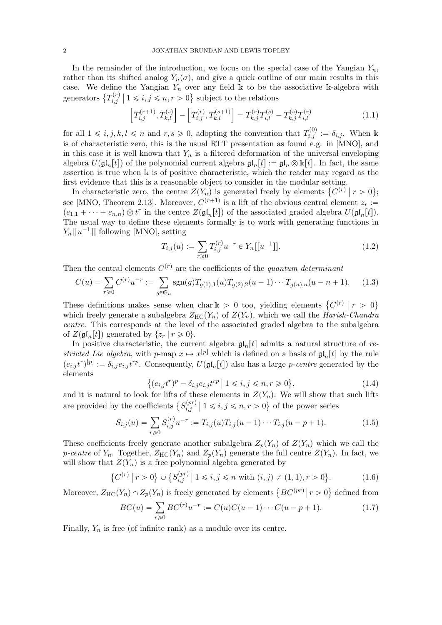In the remainder of the introduction, we focus on the special case of the Yangian  $Y_n$ , rather than its shifted analog  $Y_n(\sigma)$ , and give a quick outline of our main results in this case. We define the Yangian  $Y_n$  over any field k to be the associative k-algebra with generators  $\{T_{i,j}^{(r)}\}$  $i,j \nmid 1 \leq i, j \leq n, r > 0$ } subject to the relations

$$
\[T_{i,j}^{(r+1)}, T_{k,l}^{(s)}\] - \left[T_{i,j}^{(r)}, T_{k,l}^{(s+1)}\right] = T_{k,j}^{(r)} T_{i,l}^{(s)} - T_{k,j}^{(s)} T_{i,l}^{(r)} \tag{1.1}
$$

for all  $1 \leq i, j, k, l \leq n$  and  $r, s \geq 0$ , adopting the convention that  $T_{i,j}^{(0)} := \delta_{i,j}$ . When k is of characteristic zero, this is the usual RTT presentation as found e.g. in [MNO], and in this case it is well known that  $Y_n$  is a filtered deformation of the universal enveloping algebra  $U(\mathfrak{gl}_n[t])$  of the polynomial current algebra  $\mathfrak{gl}_n[t] := \mathfrak{gl}_n \otimes \mathbb{k}[t]$ . In fact, the same assertion is true when k is of positive characteristic, which the reader may regard as the first evidence that this is a reasonable object to consider in the modular setting.

In characteristic zero, the centre  $Z(Y_n)$  is generated freely by elements  $\{C^{(r)} | r > 0\};$ see [MNO, Theorem 2.13]. Moreover,  $C^{(r+1)}$  is a lift of the obvious central element  $z_r :=$  $(e_{1,1} + \cdots + e_{n,n}) \otimes t^r$  in the centre  $Z(\mathfrak{gl}_n[t])$  of the associated graded algebra  $U(\mathfrak{gl}_n[t])$ . The usual way to define these elements formally is to work with generating functions in  $Y_n[[u^{-1}]]$  following [MNO], setting

$$
T_{i,j}(u) := \sum_{r \ge 0} T_{i,j}^{(r)} u^{-r} \in Y_n[[u^{-1}]].
$$
\n(1.2)

Then the central elements  $C^{(r)}$  are the coefficients of the quantum determinant

$$
C(u) = \sum_{r \ge 0} C^{(r)} u^{-r} := \sum_{g \in \mathfrak{S}_n} \text{sgn}(g) T_{g(1),1}(u) T_{g(2),2}(u-1) \cdots T_{g(n),n}(u-n+1). \tag{1.3}
$$

These definitions makes sense when char  $k > 0$  too, yielding elements  $\{C^{(r)} \mid r > 0\}$ which freely generate a subalgebra  $Z_{HC}(Y_n)$  of  $Z(Y_n)$ , which we call the Harish-Chandra centre. This corresponds at the level of the associated graded algebra to the subalgebra of  $Z(\mathfrak{gl}_n[t])$  generated by  $\{z_r | r \geq 0\}.$ 

In positive characteristic, the current algebra  $\mathfrak{gl}_n[t]$  admits a natural structure of restricted Lie algebra, with p-map  $x \mapsto x^{[p]}$  which is defined on a basis of  $\mathfrak{gl}_n[t]$  by the rule  $(e_{i,j}t^r)^{[p]} := \delta_{i,j}e_{i,j}t^{rp}$ . Consequently,  $U(\mathfrak{gl}_n[t])$  also has a large *p-centre* generated by the elements

$$
\{(e_{i,j}t^r)^p - \delta_{i,j}e_{i,j}t^{rp} \mid 1 \le i, j \le n, r \ge 0\},\tag{1.4}
$$

and it is natural to look for lifts of these elements in  $Z(Y_n)$ . We will show that such lifts are provided by the coefficients  $\{S_{i,j}^{(pr)}\}$  $\binom{p}{i,j}$   $\mid 1 \leq i, j \leq n, r > 0$  of the power series

$$
S_{i,j}(u) = \sum_{r \geq 0} S_{i,j}^{(r)} u^{-r} := T_{i,j}(u) T_{i,j}(u-1) \cdots T_{i,j}(u-p+1).
$$
 (1.5)

These coefficients freely generate another subalgebra  $Z_p(Y_n)$  of  $Z(Y_n)$  which we call the p-centre of  $Y_n$ . Together,  $Z_{HC}(Y_n)$  and  $Z_p(Y_n)$  generate the full centre  $Z(Y_n)$ . In fact, we will show that  $Z(Y_n)$  is a free polynomial algebra generated by

$$
\{C^{(r)} \mid r > 0\} \cup \{S_{i,j}^{(pr)} \mid 1 \leq i, j \leq n \text{ with } (i,j) \neq (1,1), r > 0\}.\tag{1.6}
$$

Moreover,  $Z_{\text{HC}}(Y_n) \cap Z_p(Y_n)$  is freely generated by elements  $\{BC^{(pr)} | r > 0\}$  defined from

$$
BC(u) = \sum_{r \ge 0} BC^{(r)} u^{-r} := C(u)C(u-1)\cdots C(u-p+1). \tag{1.7}
$$

Finally,  $Y_n$  is free (of infinite rank) as a module over its centre.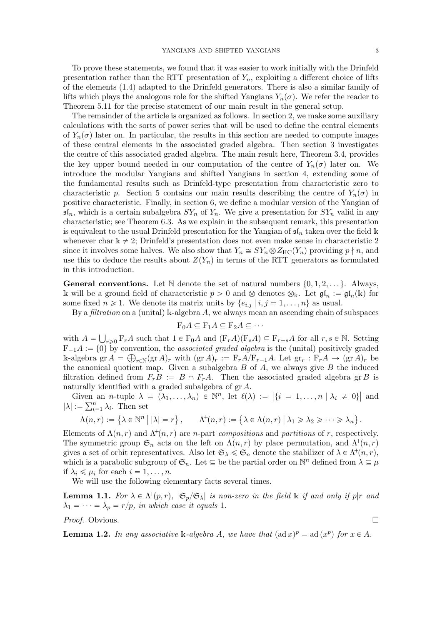To prove these statements, we found that it was easier to work initially with the Drinfeld presentation rather than the RTT presentation of  $Y_n$ , exploiting a different choice of lifts of the elements (1.4) adapted to the Drinfeld generators. There is also a similar family of lifts which plays the analogous role for the shifted Yangians  $Y_n(\sigma)$ . We refer the reader to Theorem 5.11 for the precise statement of our main result in the general setup.

The remainder of the article is organized as follows. In section 2, we make some auxiliary calculations with the sorts of power series that will be used to define the central elements of  $Y_n(\sigma)$  later on. In particular, the results in this section are needed to compute images of these central elements in the associated graded algebra. Then section 3 investigates the centre of this associated graded algebra. The main result here, Theorem 3.4, provides the key upper bound needed in our computation of the centre of  $Y_n(\sigma)$  later on. We introduce the modular Yangians and shifted Yangians in section 4, extending some of the fundamental results such as Drinfeld-type presentation from characteristic zero to characteristic p. Section 5 contains our main results describing the centre of  $Y_n(\sigma)$  in positive characteristic. Finally, in section 6, we define a modular version of the Yangian of  $\mathfrak{sl}_n$ , which is a certain subalgebra  $SY_n$  of  $Y_n$ . We give a presentation for  $SY_n$  valid in any characteristic; see Theorem 6.3. As we explain in the subsequent remark, this presentation is equivalent to the usual Drinfeld presentation for the Yangian of  $\mathfrak{sl}_n$  taken over the field k whenever char  $k \neq 2$ ; Drinfeld's presentation does not even make sense in characteristic 2 since it involves some halves. We also show that  $Y_n \cong SY_n \otimes Z_{HC}(Y_n)$  providing  $p \nmid n$ , and use this to deduce the results about  $Z(Y_n)$  in terms of the RTT generators as formulated in this introduction.

**General conventions.** Let  $\mathbb N$  denote the set of natural numbers  $\{0, 1, 2, \ldots\}$ . Always, k will be a ground field of characteristic  $p > 0$  and  $\otimes$  denotes  $\otimes_k$ . Let  $\mathfrak{gl}_n := \mathfrak{gl}_n(k)$  for some fixed  $n \geq 1$ . We denote its matrix units by  $\{e_{i,j} | i, j = 1, \ldots, n\}$  as usual.

By a filtration on a (unital) k-algebra  $A$ , we always mean an ascending chain of subspaces

$$
F_0A \subseteq F_1A \subseteq F_2A \subseteq \cdots
$$

with  $A = \bigcup_{r \geq 0} \mathcal{F}_r A$  such that  $1 \in \mathcal{F}_0 A$  and  $(\mathcal{F}_r A)(\mathcal{F}_s A) \subseteq \mathcal{F}_{r+s} A$  for all  $r, s \in \mathbb{N}$ . Setting  $F_{-1}A := \{0\}$  by convention, the associated graded algebra is the (unital) positively graded k-algebra gr  $A = \bigoplus_{r \in \mathbb{N}} (\text{gr }A)_r$  with  $(\text{gr }A)_r := \text{F}_r A / \text{F}_{r-1}A$ . Let  $\text{gr}_r : \text{F}_r A \to (\text{gr }A)_r$  be the canonical quotient map. Given a subalgebra  $B$  of  $A$ , we always give  $B$  the induced filtration defined from  $F_rB := B \cap F_rA$ . Then the associated graded algebra gr B is naturally identified with a graded subalgebra of gr A.

Given an *n*-tuple  $\lambda = (\lambda_1, \ldots, \lambda_n) \in \mathbb{N}^n$ , let  $\ell(\lambda) := |\{i = 1, \ldots, n | \lambda_i \neq 0\}|$  and  $|\lambda| := \sum_{i=1}^n \lambda_i$ . Then set

$$
\Lambda(n,r) := \left\{ \lambda \in \mathbb{N}^n \mid |\lambda| = r \right\}, \qquad \Lambda^+(n,r) := \left\{ \lambda \in \Lambda(n,r) \mid \lambda_1 \geqslant \lambda_2 \geqslant \cdots \geqslant \lambda_n \right\}.
$$

Elements of  $\Lambda(n, r)$  and  $\Lambda^+(n, r)$  are *n*-part compositions and partitions of r, respectively. The symmetric group  $\mathfrak{S}_n$  acts on the left on  $\Lambda(n, r)$  by place permutation, and  $\Lambda^{\dagger}(n, r)$ gives a set of orbit representatives. Also let  $\mathfrak{S}_{\lambda} \leq \mathfrak{S}_n$  denote the stabilizer of  $\lambda \in \Lambda^+(n, r)$ , which is a parabolic subgroup of  $\mathfrak{S}_n$ . Let  $\subseteq$  be the partial order on  $\mathbb{N}^n$  defined from  $\lambda \subseteq \mu$ if  $\lambda_i \leq \mu_i$  for each  $i = 1, \ldots, n$ .

We will use the following elementary facts several times.

**Lemma 1.1.** For  $\lambda \in \Lambda^+(p,r)$ ,  $|\mathfrak{S}_p/\mathfrak{S}_\lambda|$  is non-zero in the field  $\Bbbk$  if and only if  $p|r$  and  $\lambda_1 = \cdots = \lambda_p = r/p$ , in which case it equals 1.

*Proof.* Obvious. □

**Lemma 1.2.** In any associative k-algebra A, we have that  $(\text{ad } x)^p = \text{ad } (x^p)$  for  $x \in A$ .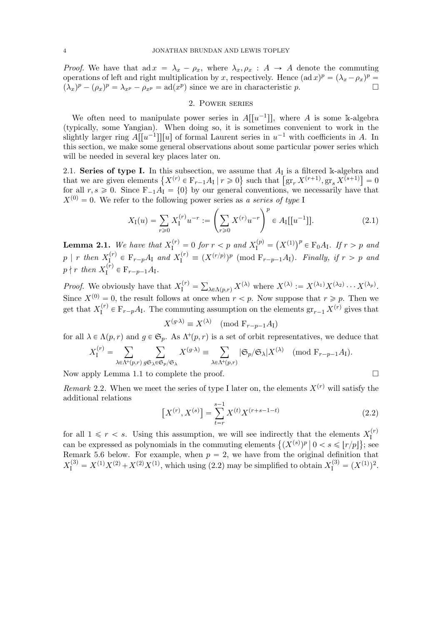*Proof.* We have that ad  $x = \lambda_x - \rho_x$ , where  $\lambda_x, \rho_x : A \rightarrow A$  denote the commuting operations of left and right multiplication by x, respectively. Hence  $(\text{ad } x)^p = (\lambda_x - \rho_x)^p =$  $(\lambda_x)^p - (\rho_x)^p = \lambda_{x^p} - \rho_{x^p} = \text{ad}(x^p)$  since we are in characteristic p.

#### 2. Power series

We often need to manipulate power series in  $A[[u^{-1}]]$ , where A is some k-algebra (typically, some Yangian). When doing so, it is sometimes convenient to work in the slightly larger ring  $A[[u^{-1}]][u]$  of formal Laurent series in  $u^{-1}$  with coefficients in A. In this section, we make some general observations about some particular power series which will be needed in several key places later on.

2.1. Series of type I. In this subsection, we assume that  $A_I$  is a filtered k-algebra and that we are given elements  $\{X^{(r)} \in \mathbb{F}_{r-1}A_I | r \geq 0\}$  such that  $[\operatorname{gr}_r X^{(r+1)}, \operatorname{gr}_s X^{\overline{(s+1)}}] = 0$ for all  $r, s \geq 0$ . Since  $F_{-1}A_1 = \{0\}$  by our general conventions, we necessarily have that  $X^{(0)} = 0$ . We refer to the following power series as a series of type I

$$
X_{\rm I}(u) = \sum_{r \ge 0} X_{\rm I}^{(r)} u^{-r} := \left(\sum_{r \ge 0} X^{(r)} u^{-r}\right)^p \in A_{\rm I}[[u^{-1}]]. \tag{2.1}
$$

**Lemma 2.1.** We have that  $X_I^{(r)} = 0$  for  $r < p$  and  $X_I^{(p)} = (X^{(1)})^p \in F_0 A_I$ . If  $r > p$  and  $p \mid r$  then  $X_I^{(r)}$  $I_I^{(r)} \in \mathbb{F}_{r-p}A_I$  and  $X_I^{(r)} \equiv (X^{(r/p)})^p \pmod{\mathbb{F}_{r-p-1}A_I}$ . Finally, if  $r > p$  and  $p \nmid r$  then  $X^{(r)}_I$  $I_I^{(r)} \in F_{r-p-1}A_I.$ 

*Proof.* We obviously have that  $X_I^{(r)} = \sum_{\lambda \in \Lambda(p,r)} X^{(\lambda)}$  where  $X^{(\lambda)} := X^{(\lambda_1)} X^{(\lambda_2)} \cdots X^{(\lambda_p)}$ . Since  $X^{(0)} = 0$ , the result follows at once when  $r < p$ . Now suppose that  $r \geq p$ . Then we get that  $X_{\text{I}}^{(r)}$  $I_I^{(r)} \in F_{r-p}A_I$ . The commuting assumption on the elements  $gr_{r-1} X^{(r)}$  gives that

$$
X^{(g \cdot \lambda)} \equiv X^{(\lambda)} \pmod{\mathcal{F}_{r-p-1}A_{\mathcal{I}}}
$$

for all  $\lambda \in \Lambda(p,r)$  and  $q \in \mathfrak{S}_p$ . As  $\Lambda^+(p,r)$  is a set of orbit representatives, we deduce that

$$
X_{\mathrm{I}}^{(r)} = \sum_{\lambda \in \Lambda^+(p,r)} \sum_{g \in \mathfrak{S}_{p}/\mathfrak{S}_{\lambda}} X^{(g \cdot \lambda)} \equiv \sum_{\lambda \in \Lambda^+(p,r)} |\mathfrak{S}_p/\mathfrak{S}_{\lambda}| X^{(\lambda)} \pmod{F_{r-p-1}A_{\mathrm{I}}}.
$$

Now apply Lemma 1.1 to complete the proof.

Remark 2.2. When we meet the series of type I later on, the elements  $X^{(r)}$  will satisfy the additional relations

$$
\left[X^{(r)}, X^{(s)}\right] = \sum_{t=r}^{s-1} X^{(t)} X^{(r+s-1-t)} \tag{2.2}
$$

for all  $1 \leq r \leq s$ . Using this assumption, we will see indirectly that the elements  $X_{\text{I}}^{(r)}$ I can be expressed as polynomials in the commuting elements  $\{(X^{(s)})^p \mid 0 < s \leqslant \lfloor r/p \rfloor\}$ ; see Remark 5.6 below. For example, when  $p = 2$ , we have from the original definition that  $X_{\rm I}^{(3)} = X^{(1)}X^{(2)} + X^{(2)}X^{(1)}$ , which using (2.2) may be simplified to obtain  $X_{\rm I}^{(3)} = (X^{(1)})^2$ .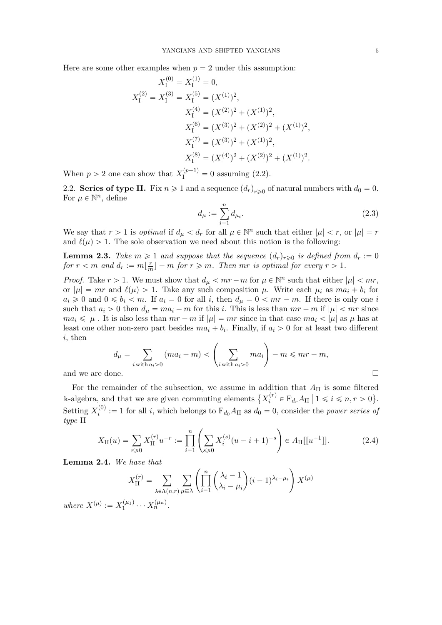Here are some other examples when  $p = 2$  under this assumption:

$$
X_{\rm I}^{(0)} = X_{\rm I}^{(1)} = 0,
$$
  
\n
$$
X_{\rm I}^{(2)} = X_{\rm I}^{(3)} = X_{\rm I}^{(5)} = (X^{(1)})^2,
$$
  
\n
$$
X_{\rm I}^{(4)} = (X^{(2)})^2 + (X^{(1)})^2,
$$
  
\n
$$
X_{\rm I}^{(6)} = (X^{(3)})^2 + (X^{(2)})^2 + (X^{(1)})^2,
$$
  
\n
$$
X_{\rm I}^{(7)} = (X^{(3)})^2 + (X^{(1)})^2,
$$
  
\n
$$
X_{\rm I}^{(8)} = (X^{(4)})^2 + (X^{(2)})^2 + (X^{(1)})^2.
$$

When  $p > 2$  one can show that  $X_I^{(p+1)} = 0$  assuming (2.2).

2.2. Series of type II. Fix  $n \geq 1$  and a sequence  $(d_r)_{r \geq 0}$  of natural numbers with  $d_0 = 0$ . For  $\mu \in \mathbb{N}^n$ , define

$$
d_{\mu} := \sum_{i=1}^{n} d_{\mu_i}.
$$
\n(2.3)

We say that  $r > 1$  is *optimal* if  $d_{\mu} < d_r$  for all  $\mu \in \mathbb{N}^n$  such that either  $|\mu| < r$ , or  $|\mu| = r$ and  $\ell(\mu) > 1$ . The sole observation we need about this notion is the following:

**Lemma 2.3.** Take  $m \geq 1$  and suppose that the sequence  $(d_r)_{r\geq0}$  is defined from  $d_r := 0$ for  $r < m$  and  $d_r := m\left(\frac{r}{n}\right)$  $\lfloor \frac{r}{m} \rfloor - m$  for  $r \geq m$ . Then  $mr$  is optimal for every  $r > 1$ .

*Proof.* Take  $r > 1$ . We must show that  $d_{\mu} < mr - m$  for  $\mu \in \mathbb{N}^n$  such that either  $|\mu| < mr$ , or  $|\mu| = mr$  and  $\ell(\mu) > 1$ . Take any such composition  $\mu$ . Write each  $\mu_i$  as  $ma_i + b_i$  for  $a_i \geq 0$  and  $0 \leq b_i < m$ . If  $a_i = 0$  for all i, then  $d_{\mu} = 0 < mr - m$ . If there is only one i such that  $a_i > 0$  then  $d_{\mu} = ma_i - m$  for this i. This is less than  $mr - m$  if  $|\mu| < mr$  since  $ma_i \leqslant |\mu|$ . It is also less than  $mr - m$  if  $|\mu| = mr$  since in that case  $ma_i < |\mu|$  as  $\mu$  has at least one other non-zero part besides  $ma_i + b_i$ . Finally, if  $a_i > 0$  for at least two different i, then

$$
d_{\mu} = \sum_{i \text{ with } a_i > 0} (ma_i - m) < \left(\sum_{i \text{ with } a_i > 0} ma_i\right) - m \leq m r - m,
$$
\nand we are done.

For the remainder of the subsection, we assume in addition that  $A_{II}$  is some filtered k-algebra, and that we are given commuting elements  $\{X_i^{(r)}\}$  $f_i^{(r)} \in \mathcal{F}_{d_r} A_{\text{II}} \mid 1 \leqslant i \leqslant n, r > 0$ Setting  $X_i^{(0)}$  $i_i^{(0)} := 1$  for all *i*, which belongs to  $F_{d_0}A_{II}$  as  $d_0 = 0$ , consider the *power series of* type II

$$
X_{\rm II}(u) = \sum_{r \geq 0} X_{\rm II}^{(r)} u^{-r} := \prod_{i=1}^{n} \left( \sum_{s \geq 0} X_i^{(s)} (u - i + 1)^{-s} \right) \in A_{\rm II}[[u^{-1}]]. \tag{2.4}
$$

Lemma 2.4. We have that

$$
X_{\text{II}}^{(r)} = \sum_{\lambda \in \Lambda(n,r)} \sum_{\mu \subseteq \lambda} \left( \prod_{i=1}^{n} \binom{\lambda_i - 1}{\lambda_i - \mu_i} (i-1)^{\lambda_i - \mu_i} \right) X^{(\mu)}
$$

where  $X^{(\mu)} := X_1^{(\mu_1)}$  $x_1^{(\mu_1)} \cdots x_n^{(\mu_n)}.$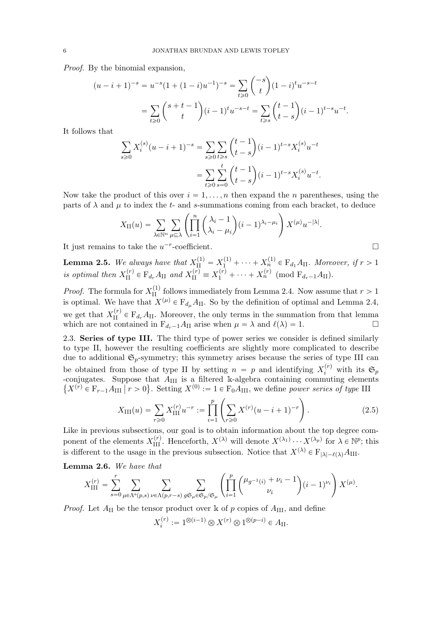Proof. By the binomial expansion,

$$
(u-i+1)^{-s} = u^{-s}(1+(1-i)u^{-1})^{-s} = \sum_{t\geq 0} \binom{-s}{t} (1-i)^t u^{-s-t}
$$

$$
= \sum_{t\geq 0} \binom{s+t-1}{t} (i-1)^t u^{-s-t} = \sum_{t\geq s} \binom{t-1}{t-s} (i-1)^{t-s} u^{-t}.
$$

It follows that

$$
\sum_{s\geq 0} X_i^{(s)} (u - i + 1)^{-s} = \sum_{s\geq 0} \sum_{t\geq s} {t-1 \choose t-s} (i-1)^{t-s} X_i^{(s)} u^{-t}
$$

$$
= \sum_{t\geq 0} \sum_{s=0}^t {t-1 \choose t-s} (i-1)^{t-s} X_i^{(s)} u^{-t}.
$$

Now take the product of this over  $i = 1, \ldots, n$  then expand the n parentheses, using the parts of  $\lambda$  and  $\mu$  to index the t- and s-summations coming from each bracket, to deduce

$$
X_{\text{II}}(u) = \sum_{\lambda \in \mathbb{N}^n} \sum_{\mu \subseteq \lambda} \left( \prod_{i=1}^n \binom{\lambda_i - 1}{\lambda_i - \mu_i} (i-1)^{\lambda_i - \mu_i} \right) X^{(\mu)} u^{-|\lambda|}.
$$

It just remains to take the  $u^{-r}$ -coefficient.

**Lemma 2.5.** We always have that  $X_{\text{II}}^{(1)} = X_1^{(1)} + \cdots + X_n^{(1)} \in \mathcal{F}_{d_1}A_{\text{II}}$ . Moreover, if  $r > 1$ is optimal then  $X_{\text{II}}^{(r)} \in \mathcal{F}_{d_r} A_{\text{II}}$  and  $X_{\text{II}}^{(r)} \equiv X_1^{(r)} + \cdots + X_n^{(r)}$  (mod  $\mathcal{F}_{d_r-1} A_{\text{II}}$ ).

*Proof.* The formula for  $X_{II}^{(1)}$  follows immediately from Lemma 2.4. Now assume that  $r > 1$ is optimal. We have that  $X^{(\mu)} \in F_{d_{\mu}} A_{\text{II}}$ . So by the definition of optimal and Lemma 2.4, we get that  $X_{II}^{(r)} \in F_{d_r}A_{II}$ . Moreover, the only terms in the summation from that lemma which are not contained in  $F_{d_r-1}A_{II}$  arise when  $\mu = \lambda$  and  $\ell(\lambda) = 1$ .

2.3. Series of type III. The third type of power series we consider is defined similarly to type II, however the resulting coefficients are slightly more complicated to describe due to additional  $\mathfrak{S}_p$ -symmetry; this symmetry arises because the series of type III can be obtained from those of type II by setting  $n = p$  and identifying  $X_i^{(r)}$  with its  $\mathfrak{S}_p$ -conjugates. Suppose that  $A_{\text{III}}$  is a filtered k-algebra containing commuting elements  $\{X^{(r)} \in \mathcal{F}_{r-1}A_{\text{III}} \mid r > 0\}$ . Setting  $X^{(0)} := 1 \in \mathcal{F}_0A_{\text{III}}$ , we define power series of type III

$$
X_{\rm III}(u) = \sum_{r \ge 0} X_{\rm III}^{(r)} u^{-r} := \prod_{i=1}^{p} \left( \sum_{r \ge 0} X^{(r)} (u - i + 1)^{-r} \right).
$$
 (2.5)

Like in previous subsections, our goal is to obtain information about the top degree component of the elements  $X_{\text{III}}^{(r)}$ . Henceforth,  $X^{(\lambda)}$  will denote  $X^{(\lambda_1)} \cdots X^{(\lambda_p)}$  for  $\lambda \in \mathbb{N}^p$ ; this is different to the usage in the previous subsection. Notice that  $X^{(\lambda)} \in \mathcal{F}_{|\lambda|-\ell(\lambda)}A_{\text{III}}$ .

Lemma 2.6. We have that

$$
X_{\text{III}}^{(r)} = \sum_{s=0}^{r} \sum_{\mu \in \Lambda^+(p,s)} \sum_{\nu \in \Lambda(p,r-s)} \sum_{g \mathfrak{S}_{\mu} \in \mathfrak{S}_p/\mathfrak{S}_{\mu}} \left( \prod_{i=1}^p \binom{\mu_{g^{-1}(i)} + \nu_i - 1}{\nu_i} (i-1)^{\nu_i} \right) X^{(\mu)}.
$$

*Proof.* Let  $A_{II}$  be the tensor product over k of p copies of  $A_{III}$ , and define

$$
X_i^{(r)} := 1^{\otimes (i-1)} \otimes X^{(r)} \otimes 1^{\otimes (p-i)} \in A_{\mathrm{II}}.
$$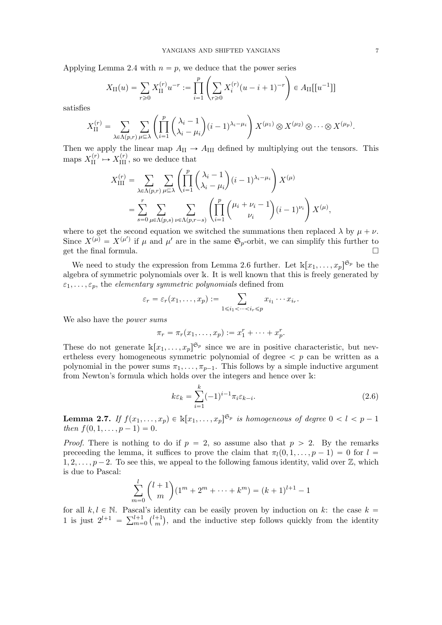Applying Lemma 2.4 with  $n = p$ , we deduce that the power series

$$
X_{\text{II}}(u) = \sum_{r \geq 0} X_{\text{II}}^{(r)} u^{-r} := \prod_{i=1}^{p} \left( \sum_{r \geq 0} X_i^{(r)} (u - i + 1)^{-r} \right) \in A_{\text{II}}[[u^{-1}]]
$$

satisfies

$$
X_{\text{II}}^{(r)} = \sum_{\lambda \in \Lambda(p,r)} \sum_{\mu \subseteq \lambda} \left( \prod_{i=1}^p \binom{\lambda_i - 1}{\lambda_i - \mu_i} (i-1)^{\lambda_i - \mu_i} \right) X^{(\mu_1)} \otimes X^{(\mu_2)} \otimes \cdots \otimes X^{(\mu_p)}.
$$

Then we apply the linear map  $A_{II} \rightarrow A_{III}$  defined by multiplying out the tensors. This maps  $X_{\text{II}}^{(r)} \mapsto X_{\text{III}}^{(r)}$ , so we deduce that

$$
X_{\text{III}}^{(r)} = \sum_{\lambda \in \Lambda(p,r)} \sum_{\mu \subseteq \lambda} \left( \prod_{i=1}^{p} \left( \frac{\lambda_i - 1}{\lambda_i - \mu_i} \right) (i-1)^{\lambda_i - \mu_i} \right) X^{(\mu)}
$$
  
= 
$$
\sum_{s=0}^{r} \sum_{\mu \in \Lambda(p,s)} \sum_{\nu \in \Lambda(p,r-s)} \left( \prod_{i=1}^{p} \left( \frac{\mu_i + \nu_i - 1}{\nu_i} \right) (i-1)^{\nu_i} \right) X^{(\mu)},
$$

where to get the second equation we switched the summations then replaced  $\lambda$  by  $\mu + \nu$ . Since  $X^{(\mu)} = X^{(\mu')}$  if  $\mu$  and  $\mu'$  are in the same  $\mathfrak{S}_p$ -orbit, we can simplify this further to get the final formula.

We need to study the expression from Lemma 2.6 further. Let  $\mathbb{k}[x_1, \ldots, x_p]^{\mathfrak{S}_p}$  be the algebra of symmetric polynomials over k. It is well known that this is freely generated by  $\varepsilon_1, \ldots, \varepsilon_p$ , the *elementary symmetric polynomials* defined from

$$
\varepsilon_r = \varepsilon_r(x_1,\ldots,x_p) := \sum_{1 \leq i_1 < \cdots < i_r \leq p} x_{i_1} \cdots x_{i_r}.
$$

We also have the *power sums* 

$$
\pi_r = \pi_r(x_1,\ldots,x_p) := x_1^r + \cdots + x_p^r.
$$

These do not generate  $\mathbb{K}[x_1,\ldots,x_p]^{\mathfrak{S}_p}$  since we are in positive characteristic, but nevertheless every homogeneous symmetric polynomial of degree  $\langle p \rangle$  can be written as a polynomial in the power sums  $\pi_1, \ldots, \pi_{p-1}$ . This follows by a simple inductive argument from Newton's formula which holds over the integers and hence over k:

$$
k\varepsilon_k = \sum_{i=1}^k (-1)^{i-1} \pi_i \varepsilon_{k-i}.
$$
\n(2.6)

**Lemma 2.7.** If  $f(x_1, \ldots, x_p) \in \mathbb{R}[x_1, \ldots, x_p]^{\mathfrak{S}_p}$  is homogeneous of degree  $0 < l < p-1$ then  $f(0, 1, \ldots, p - 1) = 0$ .

*Proof.* There is nothing to do if  $p = 2$ , so assume also that  $p > 2$ . By the remarks preceeding the lemma, it suffices to prove the claim that  $\pi_l(0, 1, \ldots, p-1) = 0$  for  $l =$  $1, 2, \ldots, p-2$ . To see this, we appeal to the following famous identity, valid over  $\mathbb{Z}$ , which is due to Pascal:

$$
\sum_{m=0}^{l} {l+1 \choose m} (1^m + 2^m + \dots + k^m) = (k+1)^{l+1} - 1
$$

for all  $k, l \in \mathbb{N}$ . Pascal's identity can be easily proven by induction on k: the case  $k =$ 1 is just  $2^{l+1} = \sum_{m=0}^{l+1} {l+1 \choose m}$  $\binom{+1}{m}$ , and the inductive step follows quickly from the identity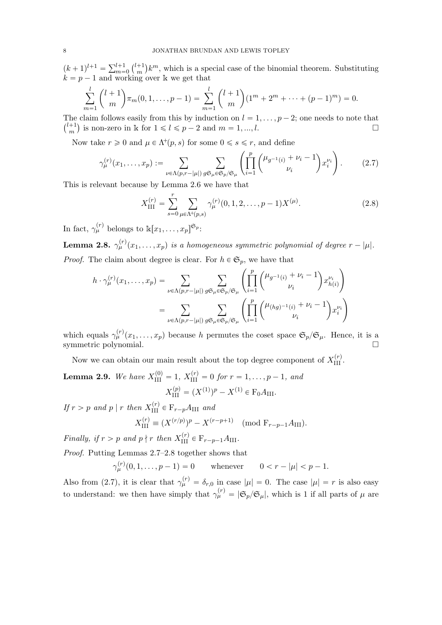$(k+1)^{l+1} = \sum_{m=0}^{l+1} {l+1 \choose m}$  $\binom{+1}{m}k^m$ , which is a special case of the binomial theorem. Substituting  $k = p - 1$  and working over k we get that

$$
\sum_{m=1}^{l} {l+1 \choose m} \pi_m(0, 1, \dots, p-1) = \sum_{m=1}^{l} {l+1 \choose m} (1^m + 2^m + \dots + (p-1)^m) = 0.
$$

The claim follows easily from this by induction on  $l = 1, \ldots, p - 2$ ; one needs to note that  $\binom{l+1}{l}$  $\binom{m+1}{m}$  is non-zero in k for  $1 \leq l \leq p-2$  and  $m = 1, ..., l$ .

Now take  $r \geq 0$  and  $\mu \in \Lambda^+(p, s)$  for some  $0 \leq s \leq r$ , and define

$$
\gamma_{\mu}^{(r)}(x_1, \dots, x_p) := \sum_{\nu \in \Lambda(p, r-|\mu|)} \sum_{g \in \mu \in \mathfrak{S}_p/\mathfrak{S}_\mu} \left( \prod_{i=1}^p \binom{\mu_{g^{-1}(i)} + \nu_i - 1}{\nu_i} x_i^{\nu_i} \right). \tag{2.7}
$$

This is relevant because by Lemma 2.6 we have that

$$
X_{\text{III}}^{(r)} = \sum_{s=0}^{r} \sum_{\mu \in \Lambda^+(p,s)} \gamma_{\mu}^{(r)}(0,1,2,\ldots,p-1) X^{(\mu)}.
$$
 (2.8)

In fact,  $\gamma_{\mu}^{(r)}$  belongs to  $\Bbbk[x_1,\ldots,x_p]^{\mathfrak{S}_p}$ :

**Lemma 2.8.**  $\gamma_{\mu}^{(r)}(x_1,\ldots,x_p)$  is a homogeneous symmetric polynomial of degree  $r - |\mu|$ . *Proof.* The claim about degree is clear. For  $h \in \mathfrak{S}_p$ , we have that

$$
h \cdot \gamma_{\mu}^{(r)}(x_1, \dots, x_p) = \sum_{\nu \in \Lambda(p, r-|\mu|)} \sum_{g \in \mu \in \mathfrak{S}_p/\mathfrak{S}_\mu} \left( \prod_{i=1}^p \binom{\mu_{g^{-1}(i)} + \nu_i - 1}{\nu_i} x_{h(i)}^{\nu_i} \right)
$$
  
= 
$$
\sum_{\nu \in \Lambda(p, r-|\mu|)} \sum_{g \in \mu \in \mathfrak{S}_p/\mathfrak{S}_\mu} \left( \prod_{i=1}^p \binom{\mu_{(hg)^{-1}(i)} + \nu_i - 1}{\nu_i} x_i^{\nu_i} \right)
$$

which equals  $\gamma_{\mu}^{(r)}(x_1,\ldots,x_p)$  because h permutes the coset space  $\mathfrak{S}_p/\mathfrak{S}_{\mu}$ . Hence, it is a symmetric polynomial.

Now we can obtain our main result about the top degree component of  $X_{\rm III}^{(r)}$ .

**Lemma 2.9.** We have  $X_{\text{III}}^{(0)} = 1$ ,  $X_{\text{III}}^{(r)} = 0$  for  $r = 1, ..., p - 1$ , and  $X_{\text{III}}^{(p)} = (X^{(1)})^p - X^{(1)} \in \mathcal{F}_0 A_{\text{III}}.$ 

If  $r > p$  and  $p \mid r$  then  $X_{\text{III}}^{(r)} \in \mathcal{F}_{r-p}A_{\text{III}}$  and

$$
X_{\text{III}}^{(r)} \equiv (X^{(r/p)})^p - X^{(r-p+1)} \pmod{\mathrm{F}_{r-p-1}A_{\text{III}}}.
$$

Finally, if  $r > p$  and  $p \nmid r$  then  $X_{\text{III}}^{(r)} \in \mathcal{F}_{r-p-1}A_{\text{III}}$ .

Proof. Putting Lemmas 2.7–2.8 together shows that

 $\gamma_{\mu}^{(r)}(0, 1, \ldots, p-1) = 0$  whenever  $0 < r - |\mu| < p - 1$ .

Also from (2.7), it is clear that  $\gamma_{\mu}^{(r)} = \delta_{r,0}$  in case  $|\mu| = 0$ . The case  $|\mu| = r$  is also easy to understand: we then have simply that  $\gamma_{\mu}^{(r)} = |\mathfrak{S}_{p}/\mathfrak{S}_{\mu}|$ , which is 1 if all parts of  $\mu$  are

 $\mathbf{r}$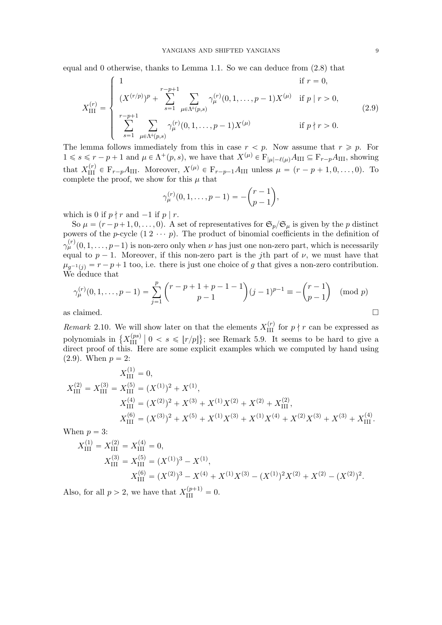equal and 0 otherwise, thanks to Lemma 1.1. So we can deduce from (2.8) that

$$
X_{\text{III}}^{(r)} = \begin{cases} 1 & \text{if } r = 0, \\ (X^{(r/p)})^p + \sum_{s=1}^{r-p+1} \sum_{\mu \in \Lambda^+(p,s)} \gamma_{\mu}^{(r)}(0,1,\ldots,p-1)X^{(\mu)} & \text{if } p \mid r > 0, \\ \sum_{s=1}^{r-p+1} \sum_{\mu \in \Lambda^+(p,s)} \gamma_{\mu}^{(r)}(0,1,\ldots,p-1)X^{(\mu)} & \text{if } p \nmid r > 0. \end{cases}
$$
(2.9)

The lemma follows immediately from this in case  $r < p$ . Now assume that  $r \geq p$ . For  $1 \le s \le r - p + 1$  and  $\mu \in \Lambda^+(p, s)$ , we have that  $X^{(\mu)} \in \mathcal{F}_{|\mu|-\ell(\mu)}A_{\text{III}} \subseteq \mathcal{F}_{r-p}A_{\text{III}}$ , showing that  $X_{\text{III}}^{(r)} \in \mathcal{F}_{r-p}A_{\text{III}}$ . Moreover,  $X^{(\mu)} \in \mathcal{F}_{r-p-1}A_{\text{III}}$  unless  $\mu = (r-p+1, 0, \ldots, 0)$ . To complete the proof, we show for this  $\mu$  that

$$
\gamma_{\mu}^{(r)}(0,1,\ldots,p-1) = -\binom{r-1}{p-1},
$$

which is 0 if  $p \nmid r$  and  $-1$  if  $p | r$ .

So  $\mu = (r - p + 1, 0, \dots, 0)$ . A set of representatives for  $\mathfrak{S}_p/\mathfrak{S}_\mu$  is given by the p distinct powers of the p-cycle  $(1 \ 2 \ \cdots \ p)$ . The product of binomial coefficients in the definition of  $\gamma_{\mu}^{(r)}(0,1,\ldots,p-1)$  is non-zero only when  $\nu$  has just one non-zero part, which is necessarily equal to  $p - 1$ . Moreover, if this non-zero part is the jth part of  $\nu$ , we must have that  $\mu_{g^{-1}(j)} = r - p + 1$  too, i.e. there is just one choice of g that gives a non-zero contribution. We deduce that

$$
\gamma_{\mu}^{(r)}(0,1,\ldots,p-1) = \sum_{j=1}^{p} {r-p+1+p-1-1 \choose p-1} (j-1)^{p-1} \equiv -{r-1 \choose p-1} \pmod{p}
$$
  
as claimed.

Remark 2.10. We will show later on that the elements  $X_{\text{III}}^{(r)}$  for  $p \nmid r$  can be expressed as polynomials in  $\{X_{\text{III}}^{(ps)}\}$ III ˇ ˇ 0 ă s ď tr{pu ( ; see Remark 5.9. It seems to be hard to give a direct proof of this. Here are some explicit examples which we computed by hand using  $(2.9)$ . When  $p = 2$ :

$$
X_{\text{III}}^{(1)} = 0,
$$
  
\n
$$
X_{\text{III}}^{(2)} = X_{\text{III}}^{(3)} = X_{\text{III}}^{(5)} = (X^{(1)})^2 + X^{(1)},
$$
  
\n
$$
X_{\text{III}}^{(4)} = (X^{(2)})^2 + X^{(3)} + X^{(1)}X^{(2)} + X^{(2)} + X_{\text{III}}^{(2)},
$$
  
\n
$$
X_{\text{III}}^{(6)} = (X^{(3)})^2 + X^{(5)} + X^{(1)}X^{(3)} + X^{(1)}X^{(4)} + X^{(2)}X^{(3)} + X^{(3)} + X_{\text{III}}^{(4)}.
$$

When  $p = 3$ :

$$
X_{\text{III}}^{(1)} = X_{\text{III}}^{(2)} = X_{\text{III}}^{(4)} = 0,
$$
  
\n
$$
X_{\text{III}}^{(3)} = X_{\text{III}}^{(5)} = (X^{(1)})^3 - X^{(1)},
$$
  
\n
$$
X_{\text{III}}^{(6)} = (X^{(2)})^3 - X^{(4)} + X^{(1)}X^{(3)} - (X^{(1)})^2X^{(2)} + X^{(2)} - (X^{(2)})^2.
$$

Also, for all  $p > 2$ , we have that  $X_{\text{III}}^{(p+1)} = 0$ .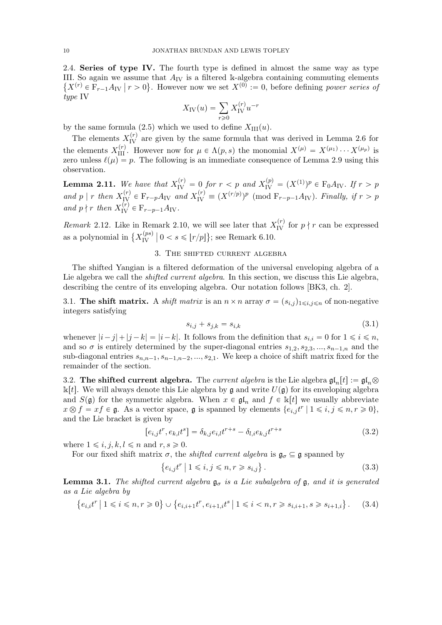2.4. Series of type IV. The fourth type is defined in almost the same way as type III. So again we assume that  $A_{IV}$  is a filtered k-algebra containing commuting elements  $\{X^{(r)} \in \mathcal{F}_{r-1}A_{\text{IV}} \mid r > 0\}$ . However now we set  $X^{(0)} := 0$ , before defining power series of type IV

$$
X_{\rm IV}(u)=\sum_{r\geqslant 0}X_{\rm IV}^{(r)}u^{-r}
$$

by the same formula (2.5) which we used to define  $X_{\text{III}}(u)$ .

The elements  $X_{\text{IV}}^{(r)}$  are given by the same formula that was derived in Lemma 2.6 for the elements  $X_{\text{III}}^{(r)}$ . However now for  $\mu \in \Lambda(p, s)$  the monomial  $X^{(\mu)} = X^{(\mu_1)} \cdots X^{(\mu_p)}$  is zero unless  $\ell(\mu) = p$ . The following is an immediate consequence of Lemma 2.9 using this observation.

**Lemma 2.11.** We have that  $X_{IV}^{(r)} = 0$  for  $r < p$  and  $X_{IV}^{(p)} = (X^{(1)})^p \in F_0A_{IV}$ . If  $r > p$ and p | r then  $X_{\text{IV}}^{(r)} \in \mathcal{F}_{r-p}A_{\text{IV}}$  and  $X_{\text{IV}}^{(r)} \equiv (X^{(r/p)})^p \pmod{\mathcal{F}_{r-p-1}A_{\text{IV}}}$ . Finally, if  $r > p$ and  $p \nmid r$  then  $X_{\text{IV}}^{(r)} \in \mathcal{F}_{r-p-1}A_{\text{IV}}$ .

*Remark* 2.12. Like in Remark 2.10, we will see later that  $X_{IV}^{(r)}$  for  $p \nmid r$  can be expressed as a polynomial in  $\{X_{\text{IV}}^{(ps)}\}$  $\left\{ \frac{p(s)}{N} \mid 0 < s \leqslant \lfloor r/p \rfloor \right\};$  see Remark 6.10.

#### 3. The shifted current algebra

The shifted Yangian is a filtered deformation of the universal enveloping algebra of a Lie algebra we call the *shifted current algebra*. In this section, we discuss this Lie algebra, describing the centre of its enveloping algebra. Our notation follows [BK3, ch. 2].

3.1. The shift matrix. A shift matrix is an  $n \times n$  array  $\sigma = (s_{i,j})_{1 \leq i,j \leq n}$  of non-negative integers satisfying

$$
s_{i,j} + s_{j,k} = s_{i,k} \tag{3.1}
$$

whenever  $|i-j| + |j-k| = |i-k|$ . It follows from the definition that  $s_{i,i} = 0$  for  $1 \leq i \leq n$ , and so  $\sigma$  is entirely determined by the super-diagonal entries  $s_{1,2}, s_{2,3}, ..., s_{n-1,n}$  and the sub-diagonal entries  $s_{n,n-1}, s_{n-1,n-2}, ..., s_{2,1}$ . We keep a choice of shift matrix fixed for the remainder of the section.

3.2. The shifted current algebra. The current algebra is the Lie algebra  $\mathfrak{gl}_n[t] := \mathfrak{gl}_n \otimes$  $\mathbb{k}[t]$ . We will always denote this Lie algebra by g and write  $U(\mathfrak{g})$  for its enveloping algebra and  $S(\mathfrak{g})$  for the symmetric algebra. When  $x \in \mathfrak{gl}_n$  and  $f \in \mathbb{k}[t]$  we usually abbreviate  $x \otimes f = xf \in \mathfrak{g}$ . As a vector space,  $\mathfrak{g}$  is spanned by elements  $\{e_{i,j} t^r \mid 1 \leq i,j \leq n, r \geq 0\}$ , and the Lie bracket is given by

$$
[e_{i,j}t^r, e_{k,l}t^s] = \delta_{k,j}e_{i,l}t^{r+s} - \delta_{l,i}e_{k,j}t^{r+s}
$$
\n(3.2)

where  $1 \leq i, j, k, l \leq n$  and  $r, s \geq 0$ .

For our fixed shift matrix  $\sigma$ , the *shifted current algebra* is  $\mathfrak{g}_{\sigma} \subseteq \mathfrak{g}$  spanned by

$$
\{e_{i,j}t^r \mid 1 \leqslant i,j \leqslant n, r \geqslant s_{i,j}\}.
$$
\n
$$
(3.3)
$$

**Lemma 3.1.** The shifted current algebra  $\mathfrak{g}_{\sigma}$  is a Lie subalgebra of  $\mathfrak{g}$ , and it is generated as a Lie algebra by

$$
\{e_{i,i}t^r \mid 1 \le i \le n, r \ge 0\} \cup \{e_{i,i+1}t^r, e_{i+1,i}t^s \mid 1 \le i < n, r \ge s_{i,i+1}, s \ge s_{i+1,i}\}.
$$
 (3.4)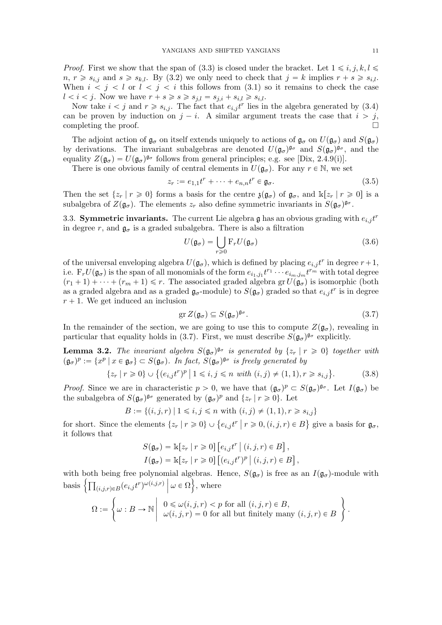*Proof.* First we show that the span of (3.3) is closed under the bracket. Let  $1 \leq i, j, k, l \leq \ell$  $n, r \geq s_{i,j}$  and  $s \geq s_{k,l}$ . By (3.2) we only need to check that  $j = k$  implies  $r + s \geq s_{i,l}$ . When  $i < j < l$  or  $l < j < i$  this follows from (3.1) so it remains to check the case  $l < i < j$ . Now we have  $r + s \geqslant s \geqslant s_{j,l} = s_{j,i} + s_{i,l} \geqslant s_{i,l}$ .

Now take  $i < j$  and  $r \geq s_{i,j}$ . The fact that  $e_{i,j} t^r$  lies in the algebra generated by (3.4) can be proven by induction on  $j - i$ . A similar argument treats the case that  $i > j$ , completing the proof.

The adjoint action of  $\mathfrak{g}_{\sigma}$  on itself extends uniquely to actions of  $\mathfrak{g}_{\sigma}$  on  $U(\mathfrak{g}_{\sigma})$  and  $S(\mathfrak{g}_{\sigma})$ by derivations. The invariant subalgebras are denoted  $U(\mathfrak{g}_{\sigma})^{\mathfrak{g}_{\sigma}}$  and  $S(\mathfrak{g}_{\sigma})^{\mathfrak{g}_{\sigma}}$ , and the equality  $Z(\mathfrak{g}_{\sigma}) = U(\mathfrak{g}_{\sigma})^{\mathfrak{g}_{\sigma}}$  follows from general principles; e.g. see [Dix, 2.4.9(i)].

There is one obvious family of central elements in  $U(\mathfrak{g}_{\sigma})$ . For any  $r \in \mathbb{N}$ , we set

$$
z_r := e_{1,1}t^r + \dots + e_{n,n}t^r \in \mathfrak{g}_{\sigma}.
$$
\n
$$
(3.5)
$$

Then the set  $\{z_r | r \geq 0\}$  forms a basis for the centre  $\mathfrak{z}(\mathfrak{g}_{\sigma})$  of  $\mathfrak{g}_{\sigma}$ , and  $\mathbb{k}[z_r | r \geq 0]$  is a subalgebra of  $Z(\mathfrak{g}_{\sigma})$ . The elements  $z_r$  also define symmetric invariants in  $S(\mathfrak{g}_{\sigma})^{\mathfrak{g}_{\sigma}}$ .

3.3. Symmetric invariants. The current Lie algebra  $\mathfrak g$  has an obvious grading with  $e_{i,j}t^r$ in degree r, and  $\mathfrak{g}_{\sigma}$  is a graded subalgebra. There is also a filtration

$$
U(\mathfrak{g}_{\sigma}) = \bigcup_{r \geq 0} \mathcal{F}_r U(\mathfrak{g}_{\sigma})
$$
\n(3.6)

of the universal enveloping algebra  $U(\mathfrak{g}_{\sigma})$ , which is defined by placing  $e_{i,j} t^r$  in degree  $r+1$ , i.e.  $F_r U(\mathfrak{g}_{\sigma})$  is the span of all monomials of the form  $e_{i_1,j_1}t^{r_1}\cdots e_{i_m,j_m}t^{r_m}$  with total degree  $(r_1 + 1) + \cdots + (r_m + 1) \leq r$ . The associated graded algebra gr $U(\mathfrak{g}_{\sigma})$  is isomorphic (both as a graded algebra and as a graded  $\mathfrak{g}_{\sigma}$ -module) to  $S(\mathfrak{g}_{\sigma})$  graded so that  $e_{i,j} t^r$  is in degree  $r + 1$ . We get induced an inclusion

$$
\operatorname{gr} Z(\mathfrak{g}_{\sigma}) \subseteq S(\mathfrak{g}_{\sigma})^{\mathfrak{g}_{\sigma}}.\tag{3.7}
$$

.

In the remainder of the section, we are going to use this to compute  $Z(\mathfrak{g}_{\sigma})$ , revealing in particular that equality holds in (3.7). First, we must describe  $S(\mathfrak{g}_{\sigma})^{\mathfrak{g}_{\sigma}}$  explicitly.

**Lemma 3.2.** The invariant algebra  $S(\mathfrak{g}_{\sigma})^{\mathfrak{g}_{\sigma}}$  is generated by  $\{z_r | r \geq 0\}$  together with  $(\mathfrak{g}_{\sigma})^p := \{x^p \mid x \in \mathfrak{g}_{\sigma}\} \subset S(\mathfrak{g}_{\sigma}).$  In fact,  $S(\mathfrak{g}_{\sigma})^{\mathfrak{g}_{\sigma}}$  is freely generated by

$$
\{z_r \mid r \geq 0\} \cup \{(e_{i,j}t^r)^p \mid 1 \leq i,j \leq n \text{ with } (i,j) \neq (1,1), r \geq s_{i,j}\}.
$$
 (3.8)

*Proof.* Since we are in characteristic  $p > 0$ , we have that  $(\mathfrak{g}_{\sigma})^p \subset S(\mathfrak{g}_{\sigma})^{\mathfrak{g}_{\sigma}}$ . Let  $I(\mathfrak{g}_{\sigma})$  be the subalgebra of  $S(\mathfrak{g}_{\sigma})^{\mathfrak{g}_{\sigma}}$  generated by  $(\mathfrak{g}_{\sigma})^p$  and  $\{z_r \mid r \geq 0\}$ . Let

$$
B := \{(i, j, r) \mid 1 \le i, j \le n \text{ with } (i, j) \ne (1, 1), r \ge s_{i, j}\}\
$$

for short. Since the elements  $\{z_r | r \geq 0\} \cup \{e_{i,j}t^r | r \geq 0, (i,j,r) \in B\}$  give a basis for  $\mathfrak{g}_{\sigma}$ , it follows that

$$
S(\mathfrak{g}_{\sigma}) = \mathbb{k}[z_r | r \geq 0] [e_{i,j}t^r | (i,j,r) \in B],
$$
  

$$
I(\mathfrak{g}_{\sigma}) = \mathbb{k}[z_r | r \geq 0] [(e_{i,j}t^r)^p | (i,j,r) \in B],
$$

with both being free polynomial algebras. Hence,  $S(\mathfrak{g}_{\sigma})$  is free as an  $I(\mathfrak{g}_{\sigma})$ -module with basis  $\left\{ \prod_{(i,j,r)\in B} (e_{i,j}t^r)^{\omega(i,j,r)} \middle| \omega \in \Omega \right\}$ , where

$$
\Omega:=\left\{\omega: B\rightarrow \mathbb{N}\left|\begin{array}{l}0\leqslant\omega(i,j,r)
$$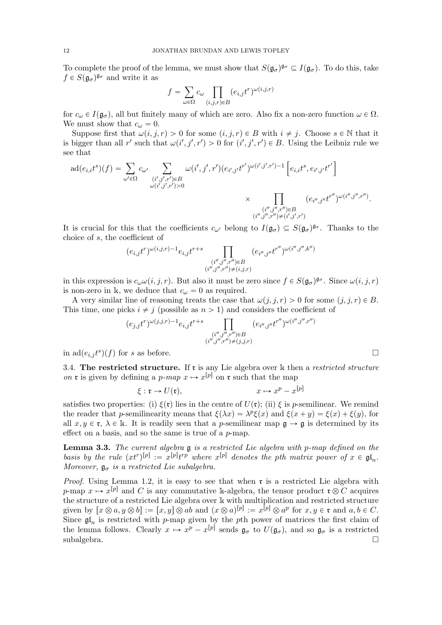To complete the proof of the lemma, we must show that  $S(\mathfrak{g}_{\sigma})^{\mathfrak{g}_{\sigma}} \subseteq I(\mathfrak{g}_{\sigma})$ . To do this, take  $f \in S(\mathfrak{g}_{\sigma})^{\mathfrak{g}_{\sigma}}$  and write it as

$$
f = \sum_{\omega \in \Omega} c_{\omega} \prod_{(i,j,r) \in B} (e_{i,j}t^r)^{\omega(i,j,r)}
$$

for  $c_{\omega} \in I(\mathfrak{g}_{\sigma})$ , all but finitely many of which are zero. Also fix a non-zero function  $\omega \in \Omega$ . We must show that  $c_{\omega} = 0$ .

Suppose first that  $\omega(i, j, r) > 0$  for some  $(i, j, r) \in B$  with  $i \neq j$ . Choose  $s \in \mathbb{N}$  that it is bigger than all r' such that  $\omega(i',j',r') > 0$  for  $(i',j',r') \in B$ . Using the Leibniz rule we see that

$$
\mathrm{ad}(e_{i,i}t^{s})(f) = \sum_{\omega' \in \Omega} c_{\omega'} \sum_{\substack{(i',j',r') \in B \\ \omega(i',j',r') > 0}} \omega(i',j',r')(e_{i',j'}t^{r'})^{\omega(i',j',r')-1} \left[e_{i,i}t^{s}, e_{i',j'}t^{r'}\right]
$$

$$
\times \prod_{\substack{(i'',j'',r'') \in B \\ (i'',j'',r'') \in B}} (e_{i'',j''}t^{r''})^{\omega(i'',j'',r'')}.
$$

It is crucial for this that the coefficients  $c_{\omega'}$  belong to  $I(\mathfrak{g}_{\sigma}) \subseteq S(\mathfrak{g}_{\sigma})^{\mathfrak{g}_{\sigma}}$ . Thanks to the choice of s, the coefficient of

$$
(e_{i,j}t^r)^{\omega(i,j,r)-1}e_{i,j}t^{r+s}\prod_{\substack{(i'',j'',r'')\in B\\(i'',j'',r'')\neq (i,j,r)}}
$$

in this expression is  $c_{\omega}\omega(i, j, r)$ . But also it must be zero since  $f \in S(\mathfrak{g}_{\sigma})^{\mathfrak{g}_{\sigma}}$ . Since  $\omega(i, j, r)$ is non-zero in k, we deduce that  $c_{\omega} = 0$  as required.

A very similar line of reasoning treats the case that  $\omega(j, j, r) > 0$  for some  $(j, j, r) \in B$ . This time, one picks  $i \neq j$  (possible as  $n > 1$ ) and considers the coefficient of

$$
(e_{j,j}t^r)^{\omega(j,j,r)-1}e_{i,j}t^{r+s}\prod_{\substack{(i'',j'',r'')\in B\\(i'',j'',r'')\neq (j,j,r)}}(e_{i'',j''}t^{r''})^{\omega(i'',j'',r'')}
$$

in  $ad(e_{i,j}t^s)(f)$  for s as before.

3.4. The restricted structure. If  $\mathfrak r$  is any Lie algebra over  $\Bbbk$  then a restricted structure on **r** is given by defining a p-map  $x \mapsto x^{[p]}$  on **r** such that the map

$$
\xi: \mathfrak{r} \to U(\mathfrak{r}), \qquad x \mapsto x^p - x^{[p]}
$$

satisfies two properties: (i)  $\xi(\mathbf{r})$  lies in the centre of  $U(\mathbf{r})$ ; (ii)  $\xi$  is p-semilinear. We remind the reader that p-semilinearity means that  $\xi(\lambda x) = \lambda^p \xi(x)$  and  $\xi(x + y) = \xi(x) + \xi(y)$ , for all  $x, y \in \mathfrak{r}, \lambda \in \mathbb{k}$ . It is readily seen that a p-semilinear map  $\mathfrak{g} \to \mathfrak{g}$  is determined by its effect on a basis, and so the same is true of a  $p$ -map.

**Lemma 3.3.** The current algebra  $\mathfrak g$  is a restricted Lie algebra with p-map defined on the basis by the rule  $(xt^r)^{[p]} := x^{[p]}t^{rp}$  where  $x^{[p]}$  denotes the pth matrix power of  $x \in \mathfrak{gl}_n$ . Moreover,  $\mathfrak{g}_{\sigma}$  is a restricted Lie subalgebra.

*Proof.* Using Lemma 1.2, it is easy to see that when  $\mathfrak{r}$  is a restricted Lie algebra with p-map  $x \mapsto x^{[p]}$  and C is any commutative k-algebra, the tensor product  $\mathfrak{r} \otimes C$  acquires the structure of a restricted Lie algebra over k with multiplication and restricted structure given by  $[x \otimes a, y \otimes b] := [x, y] \otimes ab$  and  $(x \otimes a)^{[p]} := x^{[p]} \otimes a^p$  for  $x, y \in \mathfrak{r}$  and  $a, b \in C$ . Since  $\mathfrak{gl}_n$  is restricted with p-map given by the pth power of matrices the first claim of the lemma follows. Clearly  $x \mapsto x^p - x^{[p]}$  sends  $\mathfrak{g}_{\sigma}$  to  $U(\mathfrak{g}_{\sigma})$ , and so  $\mathfrak{g}_{\sigma}$  is a restricted  $\Box$ subalgebra.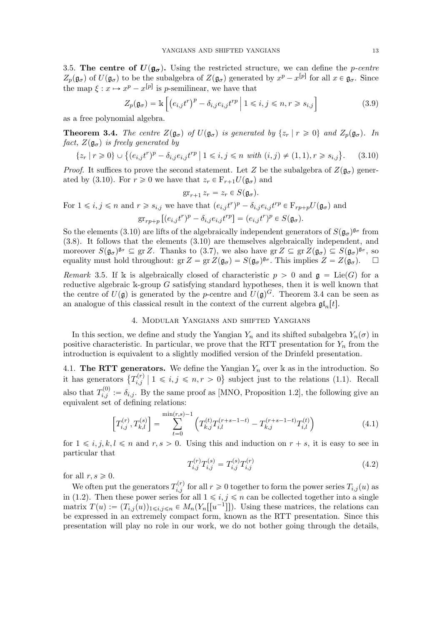3.5. The centre of  $U(\mathfrak{g}_{\sigma})$ . Using the restricted structure, we can define the p-centre  $Z_p(\mathfrak{g}_{\sigma})$  of  $U(\mathfrak{g}_{\sigma})$  to be the subalgebra of  $Z(\mathfrak{g}_{\sigma})$  generated by  $x^p - x^{[p]}$  for all  $x \in \mathfrak{g}_{\sigma}$ . Since the map  $\xi: x \mapsto x^p - x^{[p]}$  is p-semilinear, we have that

$$
Z_p(\mathfrak{g}_{\sigma}) = \mathbb{k}\left[ \left( e_{i,j} t^r \right)^p - \delta_{i,j} e_{i,j} t^{rp} \mid 1 \leq i, j \leq n, r \geq s_{i,j} \right]
$$
(3.9)

as a free polynomial algebra.

**Theorem 3.4.** The centre  $Z(\mathfrak{g}_{\sigma})$  of  $U(\mathfrak{g}_{\sigma})$  is generated by  $\{z_r | r \geq 0\}$  and  $Z_p(\mathfrak{g}_{\sigma})$ . In fact,  $Z(\mathfrak{g}_{\sigma})$  is freely generated by

$$
\{z_r \mid r \geq 0\} \cup \{(e_{i,j}t^r)^p - \delta_{i,j}e_{i,j}t^{rp} \mid 1 \leq i, j \leq n \text{ with } (i,j) \neq (1,1), r \geq s_{i,j}\}.
$$
 (3.10)

*Proof.* It suffices to prove the second statement. Let Z be the subalgebra of  $Z(\mathfrak{g}_{\sigma})$  generated by (3.10). For  $r \geq 0$  we have that  $z_r \in \mathbb{F}_{r+1}U(\mathfrak{g}_{\sigma})$  and

$$
\operatorname{gr}_{r+1} z_r = z_r \in S(\mathfrak{g}_{\sigma}).
$$

For  $1 \leq i, j \leq n$  and  $r \geq s_{i,j}$  we have that  $(e_{i,j} t^r)^p - \delta_{i,j} e_{i,j} t^{r p} \in \mathcal{F}_{rp+p} U(\mathfrak{g}_{\sigma})$  and

$$
\operatorname{gr}_{rp+p} \left[ (e_{i,j}t^r)^p - \delta_{i,j} e_{i,j}t^{rp} \right] = (e_{i,j}t^r)^p \in S(\mathfrak{g}_{\sigma}).
$$

So the elements (3.10) are lifts of the algebraically independent generators of  $S(\mathfrak{g}_{\sigma})^{\mathfrak{g}_{\sigma}}$  from (3.8). It follows that the elements (3.10) are themselves algebraically independent, and moreover  $S(\mathfrak{g}_{\sigma})^{\mathfrak{g}_{\sigma}} \subseteq \text{gr }Z$ . Thanks to (3.7), we also have  $\text{gr }Z \subseteq \text{gr }Z(\mathfrak{g}_{\sigma}) \subseteq S(\mathfrak{g}_{\sigma})^{\mathfrak{g}_{\sigma}},$  so equality must hold throughout:  $gr Z = gr Z(\mathfrak{g}_{\sigma}) = S(\mathfrak{g}_{\sigma})^{\mathfrak{g}_{\sigma}}$ . This implies  $Z = Z(\mathfrak{g}_{\sigma})$ .

Remark 3.5. If k is algebraically closed of characteristic  $p > 0$  and  $\mathfrak{g} = \text{Lie}(G)$  for a reductive algebraic k-group  $G$  satisfying standard hypotheses, then it is well known that the centre of  $U(\mathfrak{g})$  is generated by the p-centre and  $U(\mathfrak{g})^G$ . Theorem 3.4 can be seen as an analogue of this classical result in the context of the current algebra  $\mathfrak{gl}_n[t]$ .

#### 4. Modular Yangians and shifted Yangians

In this section, we define and study the Yangian  $Y_n$  and its shifted subalgebra  $Y_n(\sigma)$  in positive characteristic. In particular, we prove that the RTT presentation for  $Y_n$  from the introduction is equivalent to a slightly modified version of the Drinfeld presentation.

4.1. The RTT generators. We define the Yangian  $Y_n$  over k as in the introduction. So it has generators  $\{T_{i,j}^{(r)}\}$  $i,j \n\t\leq i,j \leq n, r > 0$  subject just to the relations (1.1). Recall also that  $T_{i,j}^{(0)} := \delta_{i,j}$ . By the same proof as [MNO, Proposition 1.2], the following give an equivalent set of defining relations:

$$
\left[T_{i,j}^{(r)}, T_{k,l}^{(s)}\right] = \sum_{t=0}^{\min(r,s)-1} \left(T_{k,j}^{(t)} T_{i,l}^{(r+s-1-t)} - T_{k,j}^{(r+s-1-t)} T_{i,l}^{(t)}\right)
$$
(4.1)

for  $1 \leq i, j, k, l \leq n$  and  $r, s > 0$ . Using this and induction on  $r + s$ , it is easy to see in particular that

$$
T_{i,j}^{(r)}T_{i,j}^{(s)} = T_{i,j}^{(s)}T_{i,j}^{(r)}
$$
\n(4.2)

for all  $r, s \geqslant 0$ .

We often put the generators  $T_{i,j}^{(r)}$  for all  $r \geqslant 0$  together to form the power series  $T_{i,j}(u)$  as in (1.2). Then these power series for all  $1 \le i, j \le n$  can be collected together into a single matrix  $T(u) := (T_{i,j}(u))_{1 \leq i,j \leq n} \in M_n(Y_n[[u^{-1}]])$ . Using these matrices, the relations can be expressed in an extremely compact form, known as the RTT presentation. Since this presentation will play no role in our work, we do not bother going through the details,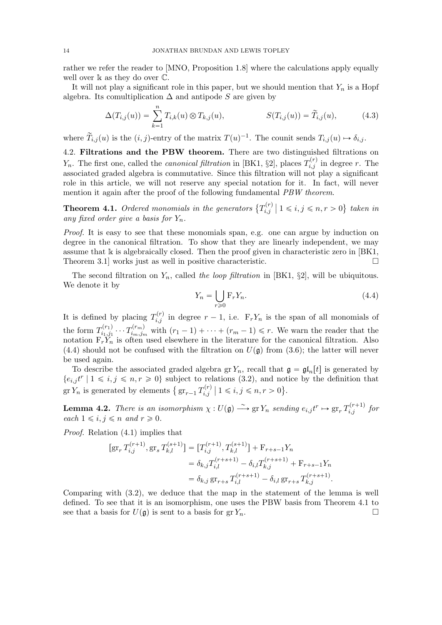rather we refer the reader to [MNO, Proposition 1.8] where the calculations apply equally well over  $\mathbb k$  as they do over  $\mathbb C$ .

It will not play a significant role in this paper, but we should mention that  $Y_n$  is a Hopf algebra. Its comultiplication  $\Delta$  and antipode S are given by

$$
\Delta(T_{i,j}(u)) = \sum_{k=1}^{n} T_{i,k}(u) \otimes T_{k,j}(u), \qquad S(T_{i,j}(u)) = \widetilde{T}_{i,j}(u), \qquad (4.3)
$$

where  $\widetilde{T}_{i,j}(u)$  is the  $(i, j)$ -entry of the matrix  $T(u)^{-1}$ . The counit sends  $T_{i,j}(u) \mapsto \delta_{i,j}$ .

4.2. Filtrations and the PBW theorem. There are two distinguished filtrations on  $Y_n$ . The first one, called the *canonical filtration* in [BK1, §2], places  $T_{i,j}^{(r)}$  in degree r. The associated graded algebra is commutative. Since this filtration will not play a significant role in this article, we will not reserve any special notation for it. In fact, will never mention it again after the proof of the following fundamental PBW theorem.

**Theorem 4.1.** Ordered monomials in the generators  $\{T_{i,j}^{(r)}\}$  $\mathbf{z}_{i,j}^{(r)} \mid 1 \leqslant i, j \leqslant n, r > 0$ } taken in any fixed order give a basis for  $Y_n$ .

Proof. It is easy to see that these monomials span, e.g. one can argue by induction on degree in the canonical filtration. To show that they are linearly independent, we may assume that  $\bf{k}$  is algebraically closed. Then the proof given in characteristic zero in [BK1, Theorem 3.1 works just as well in positive characteristic.  $\square$ 

The second filtration on  $Y_n$ , called the loop filtration in [BK1, §2], will be ubiquitous. We denote it by

$$
Y_n = \bigcup_{r \ge 0} \mathcal{F}_r Y_n. \tag{4.4}
$$

It is defined by placing  $T_{i,j}^{(r)}$  in degree  $r-1$ , i.e.  $F_rY_n$  is the span of all monomials of the form  $T^{(r_1)}_{i_1,i_1}$  $\tau_{i_1,j_1}^{(r_1)}\cdots \allowbreak T_{i_m,j_m}^{(r_m)}$  $i_{m,j_m}^{(m)}$  with  $(r_1 - 1) + \cdots + (r_m - 1) \leq r$ . We warn the reader that the notation  $F_r Y_n$  is often used elsewhere in the literature for the canonical filtration. Also (4.4) should not be confused with the filtration on  $U(\mathfrak{g})$  from (3.6); the latter will never be used again.

To describe the associated graded algebra gr  $Y_n$ , recall that  $\mathfrak{g} = \mathfrak{gl}_n[t]$  is generated by  $\{e_{i,j}t^r \mid 1 \leq i,j \leq n, r \geq 0\}$  subject to relations (3.2), and notice by the definition that gr  $Y_n$  is generated by elements  $\left\{ \operatorname{gr}_{r-1} T_{i,j}^{(r)} \right\}$  $\mathbb{P}_{i,j}^{(r)} \mid 1 \leq i, j \leq n, r > 0$ .

**Lemma 4.2.** There is an isomorphism  $\chi: U(\mathfrak{g}) \longrightarrow \text{gr } Y_n$  sending  $e_{i,j} t^r \mapsto \text{gr}_r T_{i,j}^{(r+1)}$  for each  $1 \leq i, j \leq n$  and  $r \geq 0$ .

Proof. Relation (4.1) implies that

$$
[\operatorname{gr}_r T_{i,j}^{(r+1)}, \operatorname{gr}_s T_{k,l}^{(s+1)}] = [T_{i,j}^{(r+1)}, T_{k,l}^{(s+1)}] + \operatorname{F}_{r+s-1} Y_n
$$
  

$$
= \delta_{k,j} T_{i,l}^{(r+s+1)} - \delta_{i,l} T_{k,j}^{(r+s+1)} + \operatorname{F}_{r+s-1} Y_n
$$
  

$$
= \delta_{k,j} \operatorname{gr}_{r+s} T_{i,l}^{(r+s+1)} - \delta_{i,l} \operatorname{gr}_{r+s} T_{k,j}^{(r+s+1)}.
$$

Comparing with (3.2), we deduce that the map in the statement of the lemma is well defined. To see that it is an isomorphism, one uses the PBW basis from Theorem 4.1 to see that a basis for  $U(\mathfrak{g})$  is sent to a basis for  $gr Y_n$ .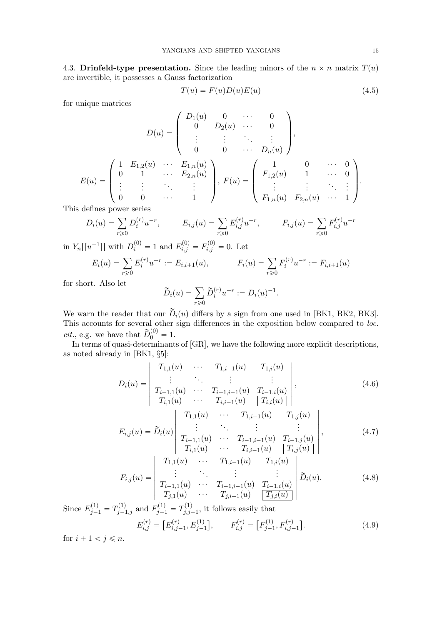4.3. Drinfeld-type presentation. Since the leading minors of the  $n \times n$  matrix  $T(u)$ are invertible, it possesses a Gauss factorization

$$
T(u) = F(u)D(u)E(u)
$$
\n(4.5)

for unique matrices

$$
D(u) = \begin{pmatrix} D_1(u) & 0 & \cdots & 0 \\ 0 & D_2(u) & \cdots & 0 \\ \vdots & \vdots & \ddots & \vdots \\ 0 & 0 & \cdots & D_n(u) \end{pmatrix},
$$
  

$$
E(u) = \begin{pmatrix} 1 & E_{1,2}(u) & \cdots & E_{1,n}(u) \\ 0 & 1 & \cdots & E_{2,n}(u) \\ \vdots & \vdots & \ddots & \vdots \\ 0 & 0 & \cdots & 1 \end{pmatrix}, F(u) = \begin{pmatrix} 1 & 0 & \cdots & 0 \\ F_{1,2}(u) & 1 & \cdots & 0 \\ \vdots & \vdots & \ddots & \vdots \\ F_{1,n}(u) & F_{2,n}(u) & \cdots & 1 \end{pmatrix}.
$$

This defines power series

$$
D_i(u) = \sum_{r \ge 0} D_i^{(r)} u^{-r}, \qquad E_{i,j}(u) = \sum_{r \ge 0} E_{i,j}^{(r)} u^{-r}, \qquad F_{i,j}(u) = \sum_{r \ge 0} F_{i,j}^{(r)} u^{-r}
$$

in  $Y_n[[u^{-1}]]$  with  $D_i^{(0)} = 1$  and  $E_{i,j}^{(0)} = F_{i,j}^{(0)} = 0$ . Let

$$
E_i(u) = \sum_{r \ge 0} E_i^{(r)} u^{-r} := E_{i,i+1}(u), \qquad F_i(u) = \sum_{r \ge 0} F_i^{(r)} u^{-r} := F_{i,i+1}(u)
$$

for short. Also let

$$
\widetilde{D}_i(u) = \sum_{r \ge 0} \widetilde{D}_i^{(r)} u^{-r} := D_i(u)^{-1}.
$$

We warn the reader that our  $D_i(u)$  differs by a sign from one used in [BK1, BK2, BK3]. This accounts for several other sign differences in the exposition below compared to loc. *cit.*, e.g. we have that  $\widetilde{D}_0^{(0)} = 1$ .

In terms of quasi-determinants of [GR], we have the following more explicit descriptions, as noted already in [BK1, §5]:

$$
D_i(u) = \begin{vmatrix} T_{1,1}(u) & \cdots & T_{1,i-1}(u) & T_{1,i}(u) \\ \vdots & \ddots & \vdots & \vdots \\ T_{i-1,1}(u) & \cdots & T_{i-1,i-1}(u) & T_{i-1,i}(u) \\ T_{i,1}(u) & \cdots & T_{i,i-1}(u) & \boxed{T_{i,i}(u)} \end{vmatrix},
$$
\n(4.6)

$$
E_{i,j}(u) = \widetilde{D}_i(u) \begin{vmatrix} T_{1,1}(u) & \cdots & T_{1,i-1}(u) & T_{1,j}(u) \\ \vdots & & \vdots & \vdots \\ T_{i-1,1}(u) & \cdots & T_{i-1,i-1}(u) & T_{i-1,j}(u) \\ T_{i,1}(u) & \cdots & T_{i,i-1}(u) & \boxed{T_{i,j}(u)} \end{vmatrix},
$$
\n(4.7)

$$
F_{i,j}(u) = \begin{vmatrix} T_{1,1}(u) & \cdots & T_{1,i-1}(u) & T_{1,i}(u) \\ \vdots & \ddots & \vdots & \vdots \\ T_{i-1,1}(u) & \cdots & T_{i-1,i-1}(u) & T_{i-1,i}(u) \\ T_{j,1}(u) & \cdots & T_{j,i-1}(u) & \boxed{T_{j,i}(u)} \end{vmatrix} \widetilde{D}_i(u). \tag{4.8}
$$

Since  $E_{j-1}^{(1)} = T_{j-1,j}^{(1)}$  and  $F_{j-1}^{(1)} = T_{j,j}^{(1)}$  $j_{j,j-1}^{(1)}$ , it follows easily that

$$
E_{i,j}^{(r)} = [E_{i,j-1}^{(r)}, E_{j-1}^{(1)}], \qquad F_{i,j}^{(r)} = [F_{j-1}^{(1)}, F_{i,j-1}^{(r)}]. \tag{4.9}
$$

for  $i + 1 < j \leq n$ .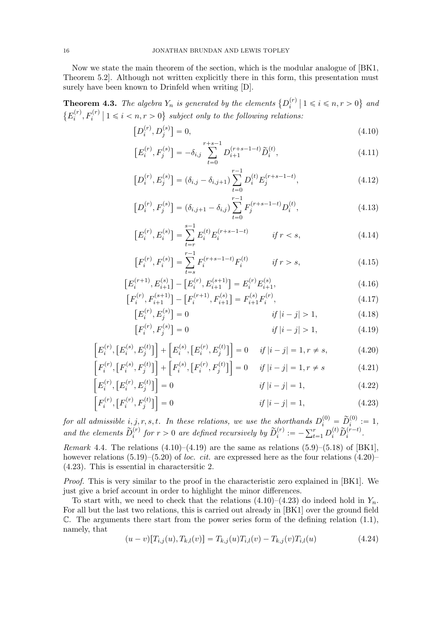Now we state the main theorem of the section, which is the modular analogue of [BK1, Theorem 5.2]. Although not written explicitly there in this form, this presentation must surely have been known to Drinfeld when writing [D].

**Theorem 4.3.** The algebra  $Y_n$  is generated by the elements  $\{D_i^{(r)}\}$  $\binom{r}{i}$  |  $1 \leqslant i \leqslant n, r > 0$ } and  $\{E_i^{(r)}\}$  $\{f_i^{(r)}, F_i^{(r)} \mid 1 \leq i < n, r > 0\}$  subject only to the following relations:

$$
\left[D_i^{(r)}, D_j^{(s)}\right] = 0,\t\t(4.10)
$$

$$
\left[E_i^{(r)}, F_j^{(s)}\right] = -\delta_{i,j} \sum_{t=0}^{r+s-1} D_{i+1}^{(r+s-1-t)} \widetilde{D}_i^{(t)},\tag{4.11}
$$

$$
\left[D_i^{(r)}, E_j^{(s)}\right] = \left(\delta_{i,j} - \delta_{i,j+1}\right) \sum_{t=0}^{r-1} D_i^{(t)} E_j^{(r+s-1-t)},\tag{4.12}
$$

$$
\left[D_i^{(r)}, F_j^{(s)}\right] = \left(\delta_{i,j+1} - \delta_{i,j}\right) \sum_{t=0}^{r-1} F_j^{(r+s-1-t)} D_i^{(t)},\tag{4.13}
$$

$$
\left[E_i^{(r)}, E_i^{(s)}\right] = \sum_{t=r}^{s-1} E_i^{(t)} E_i^{(r+s-1-t)} \qquad \text{if } r < s,\tag{4.14}
$$

$$
\left[F_i^{(r)}, F_i^{(s)}\right] = \sum_{t=s}^{r-1} F_i^{(r+s-1-t)} F_i^{(t)} \qquad \text{if } r > s,\tag{4.15}
$$

$$
\left[E_i^{(r+1)}, E_{i+1}^{(s)}\right] - \left[E_i^{(r)}, E_{i+1}^{(s+1)}\right] = E_i^{(r)} E_{i+1}^{(s)},\tag{4.16}
$$
\n
$$
\left[F_i^{(r)} - \left(\frac{s+1}{s}\right)\right] = \left[F_i^{(r)} - \left(\frac{s+1}{s}\right)\right] = \left[F_i^{(r)} - \left(\frac{s+1}{s}\right)\right] = \left[F_i^{(r)} - \left(\frac{s+1}{s}\right)\right] = \left[F_i^{(r)} - \left(\frac{s+1}{s}\right)\right] = \left[F_i^{(r)} - \left(\frac{s+1}{s}\right)\right] = \left[F_i^{(r)} - \left(\frac{s+1}{s}\right)\right] = \left[F_i^{(r)} - \left(\frac{s+1}{s}\right)\right] = \left[F_i^{(r)} - \left(\frac{s+1}{s}\right)\right] = \left[F_i^{(r)} - \left(\frac{s+1}{s}\right)\right] = \left[F_i^{(r)} - \left(\frac{s+1}{s}\right)\right] = \left[F_i^{(r)} - \left(\frac{s+1}{s}\right)\right] = \left[F_i^{(r)} - \left(\frac{s+1}{s}\right)\right] = \left[F_i^{(r)} - \left(\frac{s+1}{s}\right)\right] = \left[F_i^{(r)} - \left(\frac{s+1}{s}\right)\right] = \left[F_i^{(r)} - \left(\frac{s+1}{s}\right)\right] = \left[F_i^{(r)} - \left(\frac{s+1}{s}\right)\right] = \left[F_i^{(r)} - \left(\frac{s+1}{s}\right)\right] = \left[F_i^{(r)} - \left(\frac{s+1}{s}\right)\right] = \left[F_i^{(r)} - \left(\frac{s+1}{s}\right)\right] = \left[F_i^{(r)} - \left(\frac{s+1}{s}\right)\right] = \left[F_i^{(r)} - \left(\frac{s+1}{s}\right)\right] = \left[F_i^{(r)} - \left(\frac{s+1}{s}\right)\right] = \left[F_i^{(r)} - \left(\frac{s+1}{s}\right)\right] = \left[F_i^{(r)} - \left(\frac{s+1}{s}\right)\right] = \left[F_i^{(r)} - \left(\frac{s+1}{s}\right)\right] = \left[F_i^{(r)} - \left(\frac{s+1}{s}\right)\right] = \left[F_i^{(r)} - \left(\frac{s+1}{s}\right)\right] = \left[F_i^{(r)}
$$

$$
\left[F_i^{(r)}, F_{i+1}^{(s+1)}\right] - \left[F_i^{(r+1)}, F_{i+1}^{(s)}\right] = F_{i+1}^{(s)} F_i^{(r)},\tag{4.17}
$$
\n
$$
\left[F_i^{(r)}, F_{i+1}^{(s)}\right] = 0 \qquad \text{if } i = 1, \dots, n \tag{4.18}
$$

$$
[E_i^{(r)}, E_j^{(s)}] = 0 \t\t if |i - j| > 1,
$$
\t(4.18)  

$$
[F_i^{(r)}, F_j^{(s)}] = 0 \t\t \t\t if |i - j| > 1,
$$
\t(4.19)

$$
\[E_i^{(r)}, [E_i^{(s)}, E_j^{(t)}]\] + [E_i^{(s)}, [E_i^{(r)}, E_j^{(t)}]\] = 0 \quad \text{if } |i - j| = 1, r \neq s,\tag{4.20}
$$

$$
\[F_i^{(r)}, [F_i^{(s)}, F_j^{(t)}]\] + \[F_i^{(s)}, [F_i^{(r)}, F_j^{(t)}]\] = 0 \quad \text{if } |i - j| = 1, r \neq s \tag{4.21}
$$

$$
\[E_i^{(r)}, [E_i^{(r)}, E_j^{(t)}]\] = 0 \qquad \qquad \text{if } |i - j| = 1,\tag{4.22}
$$

$$
\[F_i^{(r)}, [F_i^{(r)}, F_j^{(t)}]\] = 0 \qquad \qquad if \ |i - j| = 1,\tag{4.23}
$$

for all admissible  $i, j, r, s, t$ . In these relations, we use the shorthands  $D_i^{(0)} = \widetilde{D}_i^{(0)} := 1$ , and the elements  $\widetilde{D}_i^{(r)}$  for  $r > 0$  are defined recursively by  $\widetilde{D}_i^{(r)} := -\sum_{t=1}^r D_i^{(t)} \widetilde{D}_i^{(r-t)}$ .

Remark 4.4. The relations  $(4.10)$ – $(4.19)$  are the same as relations  $(5.9)$ – $(5.18)$  of [BK1], however relations  $(5.19)$ – $(5.20)$  of loc. cit. are expressed here as the four relations  $(4.20)$ – (4.23). This is essential in charactersitic 2.

Proof. This is very similar to the proof in the characteristic zero explained in [BK1]. We just give a brief account in order to highlight the minor differences.

To start with, we need to check that the relations  $(4.10)$ – $(4.23)$  do indeed hold in  $Y_n$ . For all but the last two relations, this is carried out already in [BK1] over the ground field  $\mathbb{C}$ . The arguments there start from the power series form of the defining relation  $(1.1)$ , namely, that

$$
(u-v)[T_{i,j}(u),T_{k,l}(v)] = T_{k,j}(u)T_{i,l}(v) - T_{k,j}(v)T_{i,l}(u)
$$
\n(4.24)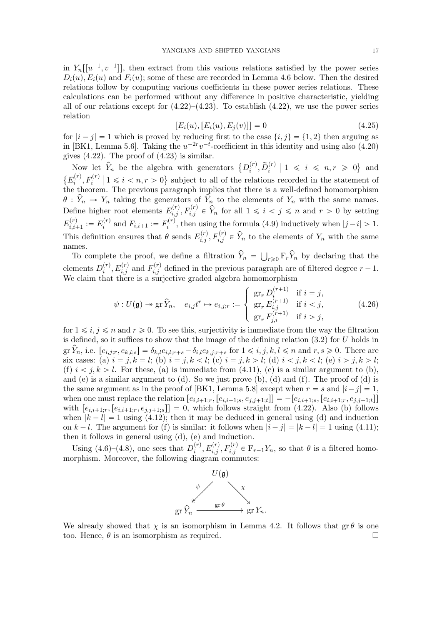in  $Y_n[[u^{-1}, v^{-1}]]$ , then extract from this various relations satisfied by the power series  $D_i(u)$ ,  $E_i(u)$  and  $F_i(u)$ ; some of these are recorded in Lemma 4.6 below. Then the desired relations follow by computing various coefficients in these power series relations. These calculations can be performed without any difference in positive characteristic, yielding all of our relations except for  $(4.22)$ – $(4.23)$ . To establish  $(4.22)$ , we use the power series relation

$$
[Ei(u), [Ei(u), Ej(v)]] = 0 \t\t(4.25)
$$

for  $|i - j| = 1$  which is proved by reducing first to the case  $\{i, j\} = \{1, 2\}$  then arguing as in [BK1, Lemma 5.6]. Taking the  $u^{-2r}v^{-t}$ -coefficient in this identity and using also (4.20) gives  $(4.22)$ . The proof of  $(4.23)$  is similar.

Now let  $\hat{Y}_n$  be the algebra with generators  $\{D_i^{(r)}\}$  $\left\{ \begin{array}{l} \left\langle r\right\rangle ,\widetilde{D}_{i}^{\left( r\right) }\mid1\leqslant\text{ }i\text{ }\leqslant\text{ }n,r\text{ }\geqslant\text{ }0\right\} \text{ and }% \left\{ \begin{array}{l}\left( r\right\vert <\text{ }i\text{ }\leqslant\text{ }i\text{ }\leqslant\text{ }i\text{ }\leqslant\text{ }i\text{ }\leqslant\text{ }i\text{ }\leqslant\text{ }i\text{ }\leqslant\text{ }i\text{ }\leqslant\text{ }i\text{ }\leqslant\text{ }i\text{ }\$  $\{E_i^{(r)}\}$  $\{f_i^{(r)}, F_i^{(r)} \mid 1 \leq i \leq n, r > 0\}$  subject to all of the relations recorded in the statement of the theorem. The previous paragraph implies that there is a well-defined homomorphism  $\theta: Y_n \to Y_n$  taking the generators of  $Y_n$  to the elements of  $Y_n$  with the same names. Define higher root elements  $E_{i,j}^{(r)}, F_{i,j}^{(r)} \in \hat{Y}_n$  for all  $1 \leq i < j \leq n$  and  $r > 0$  by setting  $E_{i,i}^{(r)}$  $\bar{h}^{(r)}_{i,i+1} := E_i^{(r)}$  $f_i^{(r)}$  and  $F_{i,i+1} := F_i^{(r)}$  $i^{(r)}$ , then using the formula (4.9) inductively when  $|j-i| > 1$ . This definition ensures that  $\theta$  sends  $E_{i,j}^{(r)}, F_{i,j}^{(r)} \in \hat{Y}_n$  to the elements of  $Y_n$  with the same names.

To complete the proof, we define a filtration  $\hat{Y}_n = \bigcup_{r \geq 0} \mathbb{F}_r \hat{Y}_n$  by declaring that the elements  $D_i^{(r)}$  $i^{(r)}$ ,  $E_{i,j}^{(r)}$  and  $F_{i,j}^{(r)}$  defined in the previous paragraph are of filtered degree  $r-1$ . We claim that there is a surjective graded algebra homomorphism

$$
\psi: U(\mathfrak{g}) \to \operatorname{gr} \widehat{Y}_n, \quad e_{i,j}t^r \mapsto e_{i,j;r} := \begin{cases} \operatorname{gr}_r D_i^{(r+1)} & \text{if } i = j, \\ \operatorname{gr}_r E_{i,j}^{(r+1)} & \text{if } i < j, \\ \operatorname{gr}_r F_{j,i}^{(r+1)} & \text{if } i > j, \end{cases} \tag{4.26}
$$

for  $1 \leq i, j \leq n$  and  $r \geq 0$ . To see this, surjectivity is immediate from the way the filtration is defined, so it suffices to show that the image of the defining relation  $(3.2)$  for U holds in  $gr Y_n$ , i.e.  $[e_{i,j;r}, e_{k,l;s}] = \delta_{k,l}e_{i,l;r+s} - \delta_{i,l}e_{k,j;r+s}$  for  $1 \leq i, j, k, l \leq n$  and  $r, s \geq 0$ . There are six cases: (a)  $i = j, k = l$ ; (b)  $i = j, k < l$ ; (c)  $i = j, k > l$ ; (d)  $i < j, k < l$ ; (e)  $i > j, k > l$ ; (f)  $i < j, k > l$ . For these, (a) is immediate from (4.11), (c) is a similar argument to (b), and (e) is a similar argument to  $(d)$ . So we just prove  $(b)$ ,  $(d)$  and  $(f)$ . The proof of  $(d)$  is the same argument as in the proof of [BK1, Lemma 5.8] except when  $r = s$  and  $|i - j| = 1$ , when one must replace the relation  $[e_{i,i+1;r}, [e_{i,i+1;s}, e_{j,j+1;t}]$ ] =  $-[e_{i,i+1;s}, [e_{i,i+1;r}, e_{j,j+1;t}]$ ] with  $[e_{i,i+1;r}, [e_{i,i+1;r}, e_{j,j+1;s}]]=0$ , which follows straight from (4.22). Also (b) follows when  $|k - l| = 1$  using (4.12); then it may be deduced in general using (d) and induction on  $k - l$ . The argument for (f) is similar: it follows when  $|i - j| = |k - l| = 1$  using (4.11); then it follows in general using (d), (e) and induction.

Using  $(4.6)$ – $(4.8)$ , one sees that  $D_i^{(r)}$  $i^{(r)}_i, E^{(r)}_{i,j}, F^{(r)}_{i,j} \in \mathbb{F}_{r-1}Y_n$ , so that  $\theta$  is a filtered homomorphism. Moreover, the following diagram commutes:



We already showed that  $\chi$  is an isomorphism in Lemma 4.2. It follows that  $\operatorname{gr} \theta$  is one too. Hence,  $\theta$  is an isomorphism as required.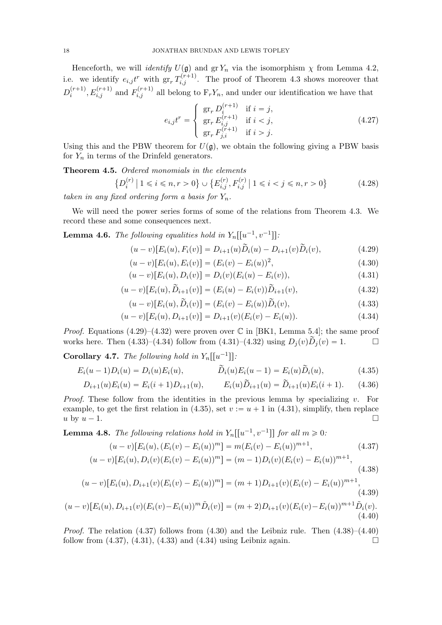Henceforth, we will *identify*  $U(\mathfrak{g})$  and gr  $Y_n$  via the isomorphism  $\chi$  from Lemma 4.2, i.e. we identify  $e_{i,j}t^r$  with  $gr_r T_{i,j}^{(r+1)}$ . The proof of Theorem 4.3 shows moreover that  $D_i^{(r+1)}$  $i_i^{(r+1)}, E_{i,j}^{(r+1)}$  and  $F_{i,j}^{(r+1)}$  all belong to  $F_rY_n$ , and under our identification we have that

$$
e_{i,j}t^r = \begin{cases} \operatorname{gr}_r D_i^{(r+1)} & \text{if } i = j, \\ \operatorname{gr}_r E_{i,j}^{(r+1)} & \text{if } i < j, \\ \operatorname{gr}_r F_{j,i}^{(r+1)} & \text{if } i > j. \end{cases}
$$
(4.27)

Using this and the PBW theorem for  $U(\mathfrak{g})$ , we obtain the following giving a PBW basis for  $Y_n$  in terms of the Drinfeld generators.

Theorem 4.5. Ordered monomials in the elements

$$
\left\{ D_i^{(r)} \mid 1 \le i \le n, r > 0 \right\} \cup \left\{ E_{i,j}^{(r)}, F_{i,j}^{(r)} \mid 1 \le i < j \le n, r > 0 \right\} \tag{4.28}
$$

taken in any fixed ordering form a basis for  $Y_n$ .

We will need the power series forms of some of the relations from Theorem 4.3. We record these and some consequences next.

**Lemma 4.6.** The following equalities hold in  $Y_n[[u^{-1}, v^{-1}]]$ :

$$
(u-v)[E_i(u), F_i(v)] = D_{i+1}(u)\tilde{D}_i(u) - D_{i+1}(v)\tilde{D}_i(v), \qquad (4.29)
$$

$$
(u-v)[E_i(u), E_i(v)] = (E_i(v) - E_i(u))^2,
$$
\n(4.30)

$$
(u-v)[E_i(u), D_i(v)] = D_i(v)(E_i(u) - E_i(v)),
$$
\n(4.31)

$$
(u-v)[E_i(u), \widetilde{D}_{i+1}(v)] = (E_i(u) - E_i(v))\widetilde{D}_{i+1}(v), \qquad (4.32)
$$

$$
(u-v)[E_i(u), \tilde{D}_i(v)] = (E_i(v) - E_i(u))\tilde{D}_i(v), \qquad (4.33)
$$

$$
(u-v)[E_i(u), D_{i+1}(v)] = D_{i+1}(v)(E_i(v) - E_i(u)).
$$
\n(4.34)

*Proof.* Equations  $(4.29)$ – $(4.32)$  were proven over  $\mathbb{C}$  in [BK1, Lemma 5.4]; the same proof works here. Then  $(4.33)-(4.34)$  follow from  $(4.31)-(4.32)$  using  $D_j(v)\tilde{D}_j(v) = 1$ .

**Corollary 4.7.** The following hold in  $Y_n[[u^{-1}]]$ :

$$
E_i(u-1)D_i(u) = D_i(u)E_i(u), \qquad \qquad \widetilde{D}_i(u)E_i(u-1) = E_i(u)\widetilde{D}_i(u), \qquad (4.35)
$$

$$
D_{i+1}(u)E_i(u) = E_i(i+1)D_{i+1}(u), \qquad E_i(u)\tilde{D}_{i+1}(u) = \tilde{D}_{i+1}(u)E_i(i+1). \tag{4.36}
$$

*Proof.* These follow from the identities in the previous lemma by specializing  $v$ . For example, to get the first relation in (4.35), set  $v := u + 1$  in (4.31), simplify, then replace u by  $u - 1$ .

**Lemma 4.8.** The following relations hold in  $Y_n[[u^{-1}, v^{-1}]]$  for all  $m \geq 0$ .

$$
(u-v)[E_i(u), (E_i(v) - E_i(u))^m] = m(E_i(v) - E_i(u))^{m+1},
$$
\n(4.37)

$$
(u-v)[E_i(u), D_i(v)(E_i(v) - E_i(u))^m] = (m-1)D_i(v)(E_i(v) - E_i(u))^{m+1},
$$
\n(4.38)

$$
(u-v)[E_i(u), D_{i+1}(v)(E_i(v) - E_i(u))^m] = (m+1)D_{i+1}(v)(E_i(v) - E_i(u))^{m+1},
$$
\n(4.39)

$$
(u-v)[E_i(u), D_{i+1}(v)(E_i(v)-E_i(u))^m \tilde{D}_i(v)] = (m+2)D_{i+1}(v)(E_i(v)-E_i(u))^{m+1} \tilde{D}_i(v).
$$
\n(4.40)

*Proof.* The relation  $(4.37)$  follows from  $(4.30)$  and the Leibniz rule. Then  $(4.38)–(4.40)$ follow from  $(4.37), (4.31), (4.33)$  and  $(4.34)$  using Leibniz again.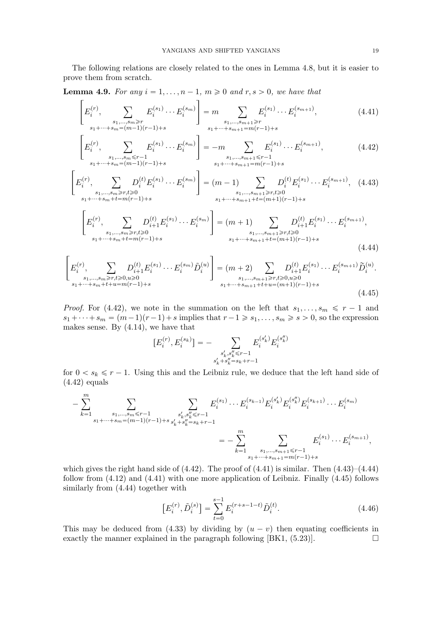The following relations are closely related to the ones in Lemma 4.8, but it is easier to prove them from scratch.

**Lemma 4.9.** For any  $i = 1, \ldots, n - 1, m \geq 0$  and  $r, s > 0$ , we have that

 $\overline{f}$ 

$$
\left[E_i^{(r)}, \sum_{\substack{s_1,\dots,s_m \ge r\\s_1+\dots+s_m=(m-1)(r-1)+s}} E_i^{(s_1)}\dots E_i^{(s_m)}\right] = m \sum_{\substack{s_1,\dots,s_{m+1} \ge r\\s_1+\dots+s_{m+1}=m(r-1)+s}} E_i^{(s_1)}\dots E_i^{(s_{m+1})},
$$
(4.41)

$$
\left[E_i^{(r)}, \sum_{\substack{s_1,\dots,s_m \le r-1\\s_1+\dots+s_m=(m-1)(r-1)+s}} E_i^{(s_1)} \cdots E_i^{(s_m)}\right] = -m \sum_{\substack{s_1,\dots,s_{m+1} \le r-1\\s_1+\dots+s_m+1=m(r-1)+s}} E_i^{(s_1)} \cdots E_i^{(s_{m+1})},
$$
(4.42)

$$
\left[E_i^{(r)}, \sum_{\substack{s_1,\ldots,s_m \ge r, t \ge 0 \\ s_1+\cdots+s_m+t=m(r-1)+s}} D_i^{(t)} E_i^{(s_1)} \cdots E_i^{(s_m)}\right] = (m-1) \sum_{\substack{s_1,\ldots,s_{m+1} \ge r, t \ge 0 \\ s_1+\cdots+s_{m+1}+t=(m+1)(r-1)+s}} D_i^{(t)} E_i^{(s_1)} \cdots E_i^{(s_{m+1})}, \quad (4.43)
$$

$$
\left[E_i^{(r)}, \sum_{\substack{s_1,\ldots,s_m \ge r, t \ge 0\\s_1+\cdots+s_m+t=m(r-1)+s}} D_{i+1}^{(t)} E_i^{(s_1)} \cdots E_i^{(s_m)}\right] = (m+1) \sum_{\substack{s_1,\ldots,s_{m+1} \ge r, t \ge 0\\s_1+\cdots+s_{m+1}+t=(m+1)(r-1)+s}} D_{i+1}^{(t)} E_i^{(s_1)} \cdots E_i^{(s_{m+1})},
$$
\n(4.44)

$$
\left[E_i^{(r)}, \sum_{\substack{s_1,\ldots,s_m \ge r, t \ge 0, u \ge 0\\s_1+\cdots+s_m+t+u=m(r-1)+s}} D_{i+1}^{(t)} E_i^{(s_1)} \cdots E_i^{(s_m)} \tilde{D}_i^{(u)}\right] = (m+2) \sum_{\substack{s_1,\ldots,s_{m+1} \ge r, t \ge 0, u \ge 0\\s_1+\cdots+s_{m+1}+t+u=(m+1)(r-1)+s}} D_i^{(t)} E_i^{(s_1)} \cdots E_i^{(s_{m+1})} \tilde{D}_i^{(u)}.
$$
\n(4.45)

*Proof.* For (4.42), we note in the summation on the left that  $s_1, \ldots, s_m \leq r - 1$  and  $s_1 + \cdots + s_m = (m-1)(r-1) + s$  implies that  $r-1 \geq s_1, \ldots, s_m \geq s > 0$ , so the expression makes sense. By (4.14), we have that

$$
[E_i^{(r)},E_i^{(s_k)}] = - \sum\limits_{\substack{s'_k,s''_k \leq r-1 \\ s'_k+s''_k = s_k + r-1}} E_i^{(s'_k)} E_i^{(s''_k)}
$$

for  $0 < s_k \leq r - 1$ . Using this and the Leibniz rule, we deduce that the left hand side of  $(4.42)$  equals

$$
-\sum_{k=1}^{m} \sum_{\substack{s_1,\ldots,s_m \leq r-1\\s_1+\cdots+s_m=(m-1)(r-1)+s}} \sum_{\substack{s'_k,s''_k \leq r-1\\s'_k+s''_k = s_k+r-1}} E_i^{(s_1)}\cdots E_i^{(s_{k-1})} E_i^{(s'_k)} E_i^{(s''_k)} E_i^{(s_{k+1})} \cdots E_i^{(s_m)}
$$
  

$$
= -\sum_{k=1}^{m} \sum_{\substack{s_1,\ldots,s_{m+1} \leq r-1\\s_1+\cdots+s_{m+1}=m(r-1)+s}} E_i^{(s_1)}\cdots E_i^{(s_{m+1})},
$$

which gives the right hand side of  $(4.42)$ . The proof of  $(4.41)$  is similar. Then  $(4.43)$ – $(4.44)$ follow from  $(4.12)$  and  $(4.41)$  with one more application of Leibniz. Finally  $(4.45)$  follows similarly from (4.44) together with

$$
\left[E_i^{(r)}, \tilde{D}_i^{(s)}\right] = \sum_{t=0}^{s-1} E_i^{(r+s-1-t)} \tilde{D}_i^{(t)}.
$$
\n(4.46)

This may be deduced from (4.33) by dividing by  $(u - v)$  then equating coefficients in exactly the manner explained in the paragraph following  $[BK1, (5.23)].$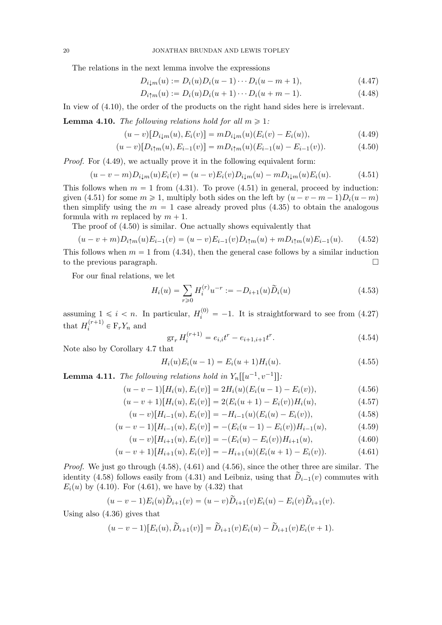The relations in the next lemma involve the expressions

$$
D_{i\downarrow m}(u) := D_i(u)D_i(u-1)\cdots D_i(u-m+1),\tag{4.47}
$$

$$
D_{i\uparrow m}(u) := D_i(u)D_i(u+1)\cdots D_i(u+m-1). \tag{4.48}
$$

In view of (4.10), the order of the products on the right hand sides here is irrelevant.

**Lemma 4.10.** The following relations hold for all  $m \geq 1$ :

$$
(u-v)[D_{i\downarrow m}(u), E_i(v)] = mD_{i\downarrow m}(u)(E_i(v) - E_i(u)), \qquad (4.49)
$$

$$
(u-v)[D_{i\uparrow m}(u), E_{i-1}(v)] = mD_{i\uparrow m}(u)(E_{i-1}(u) - E_{i-1}(v)). \tag{4.50}
$$

Proof. For (4.49), we actually prove it in the following equivalent form:

$$
(u - v - m)D_{i\downarrow m}(u)E_i(v) = (u - v)E_i(v)D_{i\downarrow m}(u) - mD_{i\downarrow m}(u)E_i(u). \tag{4.51}
$$

This follows when  $m = 1$  from (4.31). To prove (4.51) in general, proceed by induction: given (4.51) for some  $m \ge 1$ , multiply both sides on the left by  $(u - v - m - 1)D_i(u - m)$ then simplify using the  $m = 1$  case already proved plus (4.35) to obtain the analogous formula with m replaced by  $m + 1$ .

The proof of (4.50) is similar. One actually shows equivalently that

$$
(u - v + m)D_{i\uparrow m}(u)E_{i-1}(v) = (u - v)E_{i-1}(v)D_{i\uparrow m}(u) + mD_{i\uparrow m}(u)E_{i-1}(u). \tag{4.52}
$$

This follows when  $m = 1$  from (4.34), then the general case follows by a similar induction to the previous paragraph.

For our final relations, we let

$$
H_i(u) = \sum_{r \ge 0} H_i^{(r)} u^{-r} := -D_{i+1}(u) \tilde{D}_i(u)
$$
\n(4.53)

assuming  $1 \leq i < n$ . In particular,  $H_i^{(0)} = -1$ . It is straightforward to see from (4.27) that  $H_i^{(r+1)}$  $i^{(r+1)} \in \mathbb{F}_r Y_n$  and

$$
\operatorname{gr}_r H_i^{(r+1)} = e_{i,i}t^r - e_{i+1,i+1}t^r. \tag{4.54}
$$

Note also by Corollary 4.7 that

$$
H_i(u)E_i(u-1) = E_i(u+1)H_i(u).
$$
\n(4.55)

**Lemma 4.11.** The following relations hold in  $Y_n[[u^{-1}, v^{-1}]]$ :

$$
(u-v-1)[Hi(u), Ei(v)] = 2Hi(u)(Ei(u-1) - Ei(v)), \qquad (4.56)
$$

$$
(u - v + 1)[Hi(u), Ei(v)] = 2(Ei(u + 1) - Ei(v))Hi(u),
$$
\n(4.57)

$$
(u-v)[H_{i-1}(u), E_i(v)] = -H_{i-1}(u)(E_i(u) - E_i(v)), \qquad (4.58)
$$

$$
(u-v-1)[H_{i-1}(u), E_i(v)] = -(E_i(u-1) - E_i(v))H_{i-1}(u), \qquad (4.59)
$$

$$
(u-v)[H_{i+1}(u), E_i(v)] = -(E_i(u) - E_i(v))H_{i+1}(u),
$$
\n(4.60)

$$
(u-v+1)[H_{i+1}(u), E_i(v)] = -H_{i+1}(u)(E_i(u+1) - E_i(v)).
$$
\n(4.61)

Proof. We just go through  $(4.58)$ ,  $(4.61)$  and  $(4.56)$ , since the other three are similar. The identity (4.58) follows easily from (4.31) and Leibniz, using that  $\widetilde{D}_{i-1}(v)$  commutes with  $E_i(u)$  by (4.10). For (4.61), we have by (4.32) that

$$
(u - v - 1)E_i(u)\widetilde{D}_{i+1}(v) = (u - v)\widetilde{D}_{i+1}(v)E_i(u) - E_i(v)\widetilde{D}_{i+1}(v).
$$

Using also (4.36) gives that

$$
(u - v - 1)[E_i(u), \widetilde{D}_{i+1}(v)] = \widetilde{D}_{i+1}(v)E_i(u) - \widetilde{D}_{i+1}(v)E_i(v + 1).
$$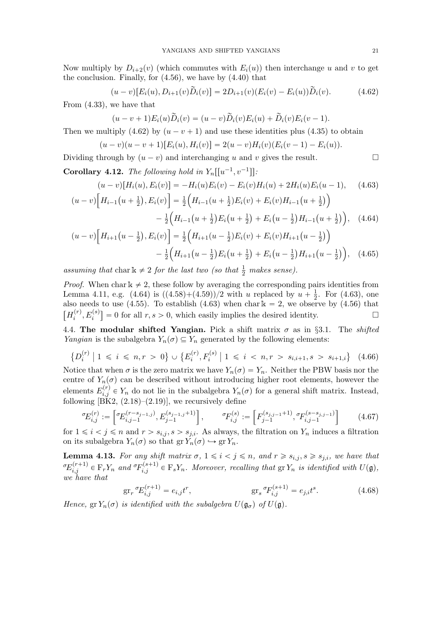Now multiply by  $D_{i+2}(v)$  (which commutes with  $E_i(u)$ ) then interchange u and v to get the conclusion. Finally, for  $(4.56)$ , we have by  $(4.40)$  that

$$
(u-v)[E_i(u), D_{i+1}(v)\tilde{D}_i(v)] = 2D_{i+1}(v)(E_i(v) - E_i(u))\tilde{D}_i(v).
$$
 (4.62)

From (4.33), we have that

$$
(u-v+1)E_i(u)\widetilde{D}_i(v)=(u-v)\widetilde{D}_i(v)E_i(u)+\widetilde{D}_i(v)E_i(v-1).
$$

Then we multiply (4.62) by  $(u - v + 1)$  and use these identities plus (4.35) to obtain

$$
(u-v)(u-v+1)[E_i(u),H_i(v)]=2(u-v)H_i(v)(E_i(v-1)-E_i(u)).
$$

Dividing through by  $(u - v)$  and interchanging u and v gives the result.

**Corollary 4.12.** The following hold in  $Y_n[[u^{-1}, v^{-1}]]$ :

$$
(u-v)[H_i(u), E_i(v)] = -H_i(u)E_i(v) - E_i(v)H_i(u) + 2H_i(u)E_i(u-1), \quad (4.63)
$$

$$
(u-v)\Big[H_{i-1}(u+\frac{1}{2}), E_i(v)\Big] = \frac{1}{2}\Big(H_{i-1}(u+\frac{1}{2})E_i(v) + E_i(v)H_{i-1}(u+\frac{1}{2})\Big)
$$

$$
-\frac{1}{2}\left(H_{i-1}\left(u+\frac{1}{2}\right)E_i\left(u+\frac{1}{2}\right)+E_i\left(u-\frac{1}{2}\right)H_{i-1}\left(u+\frac{1}{2}\right)\right), (4.64)
$$

$$
(u-v)\Big[H_{i+1}\big(u-\frac{1}{2}\big),E_i(v)\Big] = \frac{1}{2}\Big(H_{i+1}\big(u-\frac{1}{2}\big)E_i(v) + E_i(v)H_{i+1}\big(u-\frac{1}{2}\big)\Big) - \frac{1}{2}\Big(H_{i+1}\big(u-\frac{1}{2}\big)E_i\big(u+\frac{1}{2}\big) + E_i\big(u-\frac{1}{2}\big)H_{i+1}\big(u-\frac{1}{2}\big)\Big), \quad (4.65)
$$

assuming that char  $k \neq 2$  for the last two (so that  $\frac{1}{2}$  makes sense).

*Proof.* When char  $k \neq 2$ , these follow by averaging the corresponding pairs identities from Lemma 4.11, e.g. (4.64) is  $((4.58)+(4.59))/2$  with u replaced by  $u + \frac{1}{2}$  $\frac{1}{2}$ . For  $(4.63)$ , one also needs to use (4.55). To establish (4.63) when char  $k = 2$ , we observe by (4.56) that  $[H_i^{(r)}]$  $\mathcal{E}_i^{(r)}$ ,  $E_i^{(s)}$  = 0 for all  $r, s > 0$ , which easily implies the desired identity.

4.4. The modular shifted Yangian. Pick a shift matrix  $\sigma$  as in §3.1. The *shifted Yangian* is the subalgebra  $Y_n(\sigma) \subseteq Y_n$  generated by the following elements:

$$
\left\{ D_i^{(r)} \mid 1 \leq i \leq n, r > 0 \right\} \cup \left\{ E_i^{(r)}, F_i^{(s)} \mid 1 \leq i < n, r > s_{i,i+1}, s > s_{i+1,i} \right\} \tag{4.66}
$$

Notice that when  $\sigma$  is the zero matrix we have  $Y_n(\sigma) = Y_n$ . Neither the PBW basis nor the centre of  $Y_n(\sigma)$  can be described without introducing higher root elements, however the elements  $E_{i,j}^{(r)} \in Y_n$  do not lie in the subalgebra  $Y_n(\sigma)$  for a general shift matrix. Instead, following  $[\overline{\text{BK2}}, (2.18)–(2.19)]$ , we recursively define

$$
{}^{\sigma}E_{i,j}^{(r)} := \left[ {}^{\sigma}E_{i,j-1}^{(r-s_{j-1,j})}, E_{j-1}^{(s_{j-1,j}+1)} \right], \qquad {}^{\sigma}F_{i,j}^{(s)} := \left[ F_{j-1}^{(s_{j,j-1}+1)}, {}^{\sigma}F_{i,j-1}^{(s-s_{j,j-1})} \right] \qquad (4.67)
$$

for  $1 \leq i \leq j \leq n$  and  $r > s_{i,j}, s > s_{j,i}$ . As always, the filtration on  $Y_n$  induces a filtration on its subalgebra  $Y_n(\sigma)$  so that  $gr Y_n(\sigma) \hookrightarrow gr Y_n$ .

**Lemma 4.13.** For any shift matrix  $\sigma$ ,  $1 \leq i < j \leq n$ , and  $r \geq s_{i,j}$ ,  $s \geq s_{j,i}$ , we have that  ${}^{\sigma}E_{i,j}^{(r+1)} \in \mathrm{F}_rY_n$  and  ${}^{\sigma}F_{i,j}^{(s+1)} \in \mathrm{F}_sY_n$ . Moreover, recalling that  $\mathrm{gr}\,Y_n$  is identified with  $U(\mathfrak{g})$ , we have that

$$
gr_r \, {}^{\sigma}\!E_{i,j}^{(r+1)} = e_{i,j}t^r, \qquad \qquad gr_s \, {}^{\sigma}\!F_{i,j}^{(s+1)} = e_{j,i}t^s. \qquad (4.68)
$$

Hence,  $gr Y_n(\sigma)$  is identified with the subalgebra  $U(\mathfrak{g}_{\sigma})$  of  $U(\mathfrak{g})$ .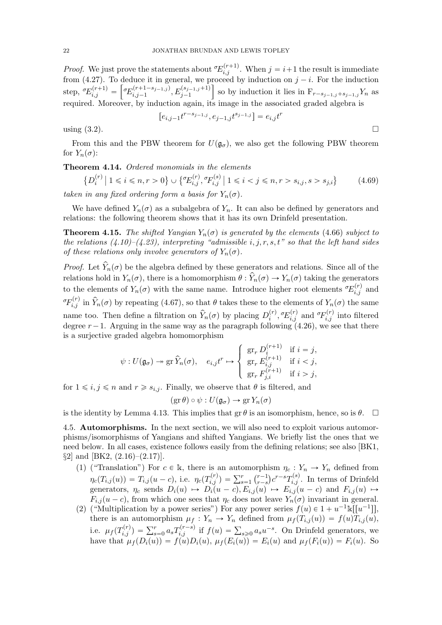*Proof.* We just prove the statements about  ${}^{\sigma}E_{i,j}^{(r+1)}$ . When  $j = i+1$  the result is immediate from (4.27). To deduce it in general, we proceed by induction on  $j - i$ . For the induction step,  ${}^{\circ}E_{i,j}^{(r+1)} = \left[ {}^{\circ}E_{i,j-1}^{(r+1-s_{j-1,j})} \right]$  $\iota_{i,j-1}^{(r+1-s_{j-1,j})},E_{j-1}^{(s_{j-1,j}+1)}$ so by induction it lies in  $F_{r-s,j-1,j}$ + $s_{j-1,j}$ Y<sub>n</sub> as required. Moreover, by induction again, its image in the associated graded algebra is

$$
\left[e_{i,j-1}t^{r-s_{j-1,j}},e_{j-1,j}t^{s_{j-1,j}}\right]=e_{i,j}t^r
$$

using  $(3.2)$ .

From this and the PBW theorem for  $U(\mathfrak{g}_{\sigma})$ , we also get the following PBW theorem for  $Y_n(\sigma)$ :

## Theorem 4.14. Ordered monomials in the elements

$$
\{D_i^{(r)} \mid 1 \leq i \leq n, r > 0\} \cup \{ {}^{\sigma}\!E_{i,j}^{(r)}, {}^{\sigma}\!F_{i,j}^{(s)} \mid 1 \leq i < j \leq n, r > s_{i,j}, s > s_{j,i}\} \tag{4.69}
$$
\ntaken in any fixed ordering form a basis for  $Y_n(\sigma)$ .

We have defined  $Y_n(\sigma)$  as a subalgebra of  $Y_n$ . It can also be defined by generators and relations: the following theorem shows that it has its own Drinfeld presentation.

**Theorem 4.15.** The shifted Yangian  $Y_n(\sigma)$  is generated by the elements (4.66) subject to the relations  $(4.10)$ – $(4.23)$ , interpreting "admissible i, j, r, s, t" so that the left hand sides of these relations only involve generators of  $Y_n(\sigma)$ .

*Proof.* Let  $\hat{Y}_n(\sigma)$  be the algebra defined by these generators and relations. Since all of the relations hold in  $Y_n(\sigma)$ , there is a homomorphism  $\theta$  :  $\hat{Y}_n(\sigma) \rightarrow Y_n(\sigma)$  taking the generators to the elements of  $Y_n(\sigma)$  with the same name. Introduce higher root elements  ${}^{\sigma}E_{i,j}^{(r)}$  and  ${}^{\sigma}F_{i,j}^{(r)}$  in  $\widehat{Y}_n(\sigma)$  by repeating (4.67), so that  $\theta$  takes these to the elements of  $Y_n(\sigma)$  the same name too. Then define a filtration on  $\widehat{Y}_n(\sigma)$  by placing  $D_i^{(r)}$  $\sigma_{i,j}^{(r)},{}^{\sigma}E_{i,j}^{(r)}$  and  ${}^{\sigma}F_{i,j}^{(r)}$  into filtered degree  $r-1$ . Arguing in the same way as the paragraph following (4.26), we see that there is a surjective graded algebra homomorphism

$$
\psi: U(\mathfrak{g}_{\sigma}) \to \operatorname{gr} \widehat{Y}_n(\sigma), \quad e_{i,j}t^r \mapsto \left\{ \begin{array}{ll} \operatorname{gr}_r D_i^{(r+1)} & \text{if } i = j, \\ \operatorname{gr}_r E_{i,j}^{(r+1)} & \text{if } i < j, \\ \operatorname{gr}_r F_{j,i}^{(r+1)} & \text{if } i > j, \end{array} \right.
$$

for  $1 \leq i, j \leq n$  and  $r \geq s_{i,j}$ . Finally, we observe that  $\theta$  is filtered, and

$$
(\text{gr}\,\theta) \circ \psi : U(\mathfrak{g}_{\sigma}) \to \text{gr}\, Y_n(\sigma)
$$

is the identity by Lemma 4.13. This implies that  $\operatorname{gr} \theta$  is an isomorphism, hence, so is  $\theta$ .  $\Box$ 

4.5. Automorphisms. In the next section, we will also need to exploit various automorphisms/isomorphisms of Yangians and shifted Yangians. We briefly list the ones that we need below. In all cases, existence follows easily from the defining relations; see also [BK1,  $\S2$  and [BK2,  $(2.16)$ – $(2.17)$ ].

- (1) ("Translation") For  $c \in \mathbb{k}$ , there is an automorphism  $\eta_c : Y_n \to Y_n$  defined from  $\eta_c(T_{i,j}(u)) = T_{i,j} (u-c), \text{ i.e. } \eta_c(T_{i,j}^{(r)}) = \sum_{s=1}^r \binom{r-1}{r-s}$  $_{r-s}^{r-1}$ ) $c^{r-s}T_{i,j}^{(s)}$ . In terms of Drinfeld generators,  $\eta_c$  sends  $D_i(u) \mapsto D_i(u - c), E_{i,j}(u) \mapsto E_{i,j}(u - c)$  and  $F_{i,j}(u) \mapsto$  $F_{i,j}(u-c)$ , from which one sees that  $\eta_c$  does not leave  $Y_n(\sigma)$  invariant in general.
- (2) ("Multiplication by a power series") For any power series  $f(u) \in 1 + u^{-1}\mathbb{k}[[u^{-1}]],$ there is an automorphism  $\mu_f: Y_n \to Y_n$  defined from  $\mu_f(T_{i,j}(u)) = f(u)T_{i,j}(u)$ , i.e.  $\mu_f(T_{i,j}^{(r)}) = \sum_{s=0}^r a_s T_{i,j}^{(r-s)}$  if  $f(u) = \sum_{s\geqslant 0} a_s u^{-s}$ . On Drinfeld generators, we have that  $\mu_f(D_i(u)) = f(u)D_i(u), \mu_f(E_i(u)) = E_i(u)$  and  $\mu_f(F_i(u)) = F_i(u)$ . So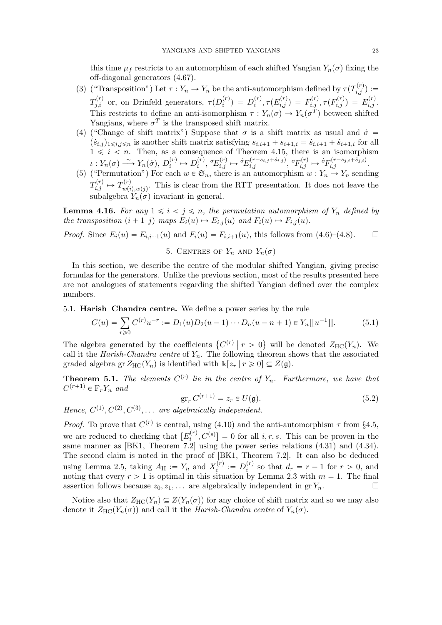this time  $\mu_f$  restricts to an automorphism of each shifted Yangian  $Y_n(\sigma)$  fixing the off-diagonal generators (4.67).

- (3) ("Transposition") Let  $\tau : Y_n \to Y_n$  be the anti-automorphism defined by  $\tau(T_{i,j}^{(r)}) :=$  $T_{j,i}^{(r)}$  or, on Drinfeld generators,  $\tau(D_i^{(r)})$  $\binom{r}{i} = D_i^{(r)}$  $\tilde{f}_i^{(r)}, \tau(E_{i,j}^{(r)}) \ = \ F_{i,j}^{(r)}, \tau(F_{i,j}^{(r)}) \ = \ E_{i,j}^{(r)}.$ This restricts to define an anti-isomorphism  $\tau : Y_n(\sigma) \to Y_n(\sigma^T)$  between shifted Yangians, where  $\sigma^T$  is the transposed shift matrix.
- (4) ("Change of shift matrix") Suppose that  $\sigma$  is a shift matrix as usual and  $\dot{\sigma} =$  $(s_{i,j})_{1 \leq i,j \leq n}$  is another shift matrix satisfying  $s_{i,i+1} + s_{i+1,i} = s_{i,i+1} + s_{i+1,i}$  for all  $1 \leq i \leq n$ . Then, as a consequence of Theorem 4.15, there is an isomorphism  $\iota: Y_n(\sigma) \longrightarrow Y_n(\dot{\sigma}), D_i^{(r)}$  $D_i^{(r)} \mapsto D_i^{(r)}$  $\sigma_{ij}^{(r)}$ ,  $\sigma_{E_{i,j}}^{(r)} \mapsto \sigma_{E_{i,j}}^{(r-s_{i,j}+s_{i,j})}$ ,  $\sigma_{F_{i,j}}^{(r)} \mapsto \sigma_{F_{i,j}}^{(r-s_{j,i}+s_{j,i})}$ .
- (5) ("Permutation") For each  $w \in \mathfrak{S}_n$ , there is an automorphism  $w : Y_n \to Y_n$  sending  $T_{i,j}^{(r)} \mapsto T_{w(i)}^{(r)}$  $w_{w(i),w(j)}^{(r)}$ . This is clear from the RTT presentation. It does not leave the subalgebra  $Y_n(\sigma)$  invariant in general.

**Lemma 4.16.** For any  $1 \leq i \leq j \leq n$ , the permutation automorphism of  $Y_n$  defined by the transposition  $(i + 1 j)$  maps  $E_i(u) \rightarrow E_{i,j}(u)$  and  $F_i(u) \rightarrow F_{i,j}(u)$ .

*Proof.* Since  $E_i(u) = E_{i,i+1}(u)$  and  $F_i(u) = F_{i,i+1}(u)$ , this follows from (4.6)–(4.8).  $\Box$ 

5. CENTRES OF  $Y_n$  AND  $Y_n(\sigma)$ 

In this section, we describe the centre of the modular shifted Yangian, giving precise formulas for the generators. Unlike the previous section, most of the results presented here are not analogues of statements regarding the shifted Yangian defined over the complex numbers.

5.1. Harish–Chandra centre. We define a power series by the rule

$$
C(u) = \sum_{r\geq 0} C^{(r)} u^{-r} := D_1(u) D_2(u-1) \cdots D_n(u-n+1) \in Y_n[[u^{-1}]].
$$
 (5.1)

The algebra generated by the coefficients  $\{C^{(r)} \mid r > 0\}$  will be denoted  $Z_{HC}(Y_n)$ . We call it the Harish-Chandra centre of  $Y_n$ . The following theorem shows that the associated graded algebra gr $Z_{HC}(Y_n)$  is identified with  $k[z_r | r \geq 0] \subseteq Z(\mathfrak{g})$ .

**Theorem 5.1.** The elements  $C^{(r)}$  lie in the centre of  $Y_n$ . Furthermore, we have that  $C^{(r+1)} \in \mathcal{F}_r Y_n$  and

$$
\operatorname{gr}_r C^{(r+1)} = z_r \in U(\mathfrak{g}).\tag{5.2}
$$

Hence,  $C^{(1)}$ ,  $C^{(2)}$ ,  $C^{(3)}$ , ... are algebraically independent.

*Proof.* To prove that  $C^{(r)}$  is central, using (4.10) and the anti-automorphism  $\tau$  from §4.5, we are reduced to checking that  $[E_i^{(r)}]$  $[i^{(r)}, C^{(s)}] = 0$  for all  $i, r, s$ . This can be proven in the same manner as [BK1, Theorem  $7.\overline{2}$ ] using the power series relations (4.31) and (4.34). The second claim is noted in the proof of [BK1, Theorem 7.2]. It can also be deduced using Lemma 2.5, taking  $A_{II} := Y_n$  and  $X_i^{(r)}$  $i_i^{(r)} := D_i^{(r)}$  $i_i^{(r)}$  so that  $d_r = r - 1$  for  $r > 0$ , and noting that every  $r > 1$  is optimal in this situation by Lemma 2.3 with  $m = 1$ . The final assertion follows because  $z_0, z_1, \ldots$  are algebraically independent in gr $Y_n$ .

Notice also that  $Z_{HC}(Y_n) \subseteq Z(Y_n(\sigma))$  for any choice of shift matrix and so we may also denote it  $Z_{HC}(Y_n(\sigma))$  and call it the Harish-Chandra centre of  $Y_n(\sigma)$ .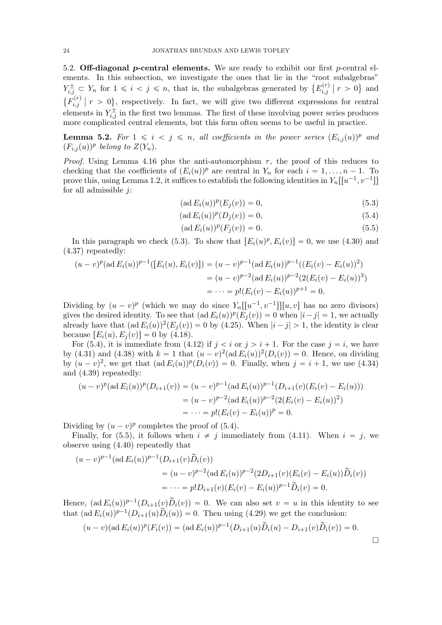5.2. Off-diagonal p-central elements. We are ready to exhibit our first p-central elements. In this subsection, we investigate the ones that lie in the "root subalgebras"  $Y_{i,j}^{\pm} \subset Y_n$  for  $1 \leq i \leq j \leq n$ , that is, the subalgebras generated by  $\{E_{i,j}^{(r)}\}$  $\binom{r}{i,j}$  |  $r > 0$ } and  $\{F_{i,i}^{(r)}\}$  $\hat{f}_{i,j}^{(r)}$  |  $r > 0$ }, respectively. In fact, we will give two different expressions for central elements in  $Y_{i,j}^{\pm}$  in the first two lemmas. The first of these involving power series produces more complicated central elements, but this form often seems to be useful in practice.

**Lemma 5.2.** For  $1 \leq i \leq j \leq n$ , all coefficients in the power series  $(E_{i,j}(u))^p$  and  $(F_{i,j}(u))^p$  belong to  $Z(Y_n)$ .

*Proof.* Using Lemma 4.16 plus the anti-automorphism  $\tau$ , the proof of this reduces to checking that the coefficients of  $(E_i(u))^p$  are central in  $Y_n$  for each  $i = 1, ..., n - 1$ . To prove this, using Lemma 1.2, it suffices to establish the following identities in  $Y_n[[u^{-1}, v^{-1}]]$ for all admissible  $j$ :

$$
(\text{ad } E_i(u))^p(E_j(v)) = 0,
$$
\n(5.3)

$$
(\text{ad } E_i(u))^p(D_j(v)) = 0,
$$
\n(5.4)

$$
(\text{ad } E_i(u))^p(F_j(v)) = 0. \tag{5.5}
$$

In this paragraph we check (5.3). To show that  $[E_i(u)^p, E_i(v)] = 0$ , we use (4.30) and (4.37) repeatedly:

$$
(u-v)^p(\text{ad }E_i(u))^{p-1}([E_i(u), E_i(v)]) = (u-v)^{p-1}(\text{ad }E_i(u))^{p-1}((E_i(v) - E_i(u))^2)
$$
  
=  $(u-v)^{p-2}(\text{ad }E_i(u))^{p-2}(2(E_i(v) - E_i(u))^3)$   
=  $\cdots = p!(E_i(v) - E_i(u))^{p+1} = 0.$ 

Dividing by  $(u - v)^p$  (which we may do since  $Y_n[[u^{-1}, v^{-1}]][u, v]$  has no zero divisors) gives the desired identity. To see that  $(\text{ad } E_i(u))^p (E_j(v)) = 0$  when  $|i - j| = 1$ , we actually already have that  $(\text{ad } E_i(u))^2 (E_j(v)) = 0$  by (4.25). When  $|i - j| > 1$ , the identity is clear because  $[E_i(u), E_j(v)] = 0$  by (4.18).

For (5.4), it is immediate from (4.12) if  $j < i$  or  $j > i + 1$ . For the case  $j = i$ , we have by (4.31) and (4.38) with  $k = 1$  that  $(u - v)^2 (ad E_i(u))^2 (D_i(v)) = 0$ . Hence, on dividing by  $(u - v)^2$ , we get that  $(\text{ad } E_i(u))^p(D_i(v)) = 0$ . Finally, when  $j = i + 1$ , we use (4.34) and (4.39) repeatedly:

$$
(u-v)^p(\text{ad }E_i(u))^p(D_{i+1}(v)) = (u-v)^{p-1}(\text{ad }E_i(u))^{p-1}(D_{i+1}(v)(E_i(v) - E_i(u)))
$$
  
=  $(u-v)^{p-2}(\text{ad }E_i(u))^{p-2}(2(E_i(v) - E_i(u))^2)$   
=  $\cdots = p!(E_i(v) - E_i(u))^p = 0.$ 

Dividing by  $(u - v)^p$  completes the proof of (5.4).

Finally, for (5.5), it follows when  $i \neq j$  immediately from (4.11). When  $i = j$ , we observe using (4.40) repeatedly that

$$
(u-v)^{p-1}(\text{ad } E_i(u))^{p-1}(D_{i+1}(v)\widetilde{D}_i(v))
$$
  
=  $(u-v)^{p-2}(\text{ad } E_i(u))^{p-2}(2D_{i+1}(v)(E_i(v) - E_i(u))\widetilde{D}_i(v))$   
=  $\cdots = p!D_{i+1}(v)(E_i(v) - E_i(u))^{p-1}\widetilde{D}_i(v) = 0.$ 

Hence,  $(\text{ad } E_i(u))^{p-1}(D_{i+1}(v)\tilde{D}_i(v)) = 0$ . We can also set  $v = u$  in this identity to see that  $(\text{ad } E_i(u))^{p-1}(D_{i+1}(u)\widetilde{D}_i(u)) = 0$ . Then using (4.29) we get the conclusion:

$$
(u-v)(\text{ad }E_i(u))^p(F_i(v)) = (\text{ad }E_i(u))^{p-1}(D_{i+1}(u)\tilde{D}_i(u) - D_{i+1}(v)\tilde{D}_i(v)) = 0.
$$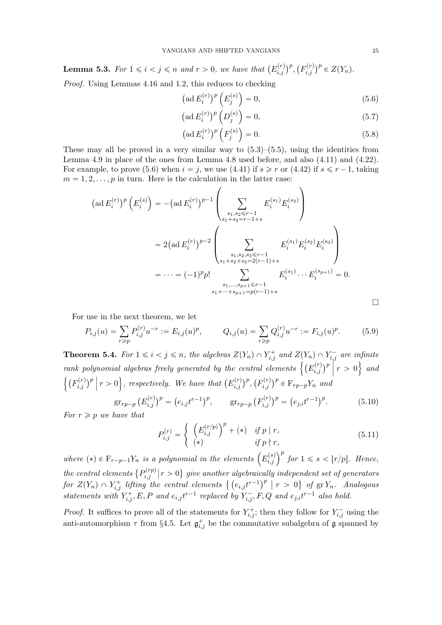**Lemma 5.3.** For  $1 \leq i < j \leq n$  and  $r > 0$ , we have that  $(E_{i,j}^{(r)})^p$ ,  $(F_{i,j}^{(r)})^p \in Z(Y_n)$ .

Proof. Using Lemmas 4.16 and 1.2, this reduces to checking

$$
\left(\operatorname{ad} E_i^{(r)}\right)^p \left(E_j^{(s)}\right) = 0,\tag{5.6}
$$

$$
\left(\operatorname{ad} E_i^{(r)}\right)^p \left(D_j^{(s)}\right) = 0,\tag{5.7}
$$

$$
\left(\text{ad}\,E_i^{(r)}\right)^p \left(F_j^{(s)}\right) = 0. \tag{5.8}
$$

These may all be proved in a very similar way to  $(5.3)$ – $(5.5)$ , using the identities from Lemma 4.9 in place of the ones from Lemma 4.8 used before, and also (4.11) and (4.22). For example, to prove (5.6) when  $i = j$ , we use (4.41) if  $s \geq r$  or (4.42) if  $s \leq r-1$ , taking  $m = 1, 2, \ldots, p$  in turn. Here is the calculation in the latter case:

$$
(\text{ad } E_i^{(r)})^p \left( E_i^{(s)} \right) = -(\text{ad } E_i^{(r)})^{p-1} \left( \sum_{\substack{s_1, s_2 \le r-1 \\ s_1+s_2=r-1+s}} E_i^{(s_1)} E_i^{(s_2)} \right)
$$
  
=  $2(\text{ad } E_i^{(r)})^{p-2} \left( \sum_{\substack{s_1, s_2, s_3 \le r-1 \\ s_1+s_2+s_3=2(r-1)+s}} E_i^{(s_1)} E_i^{(s_2)} E_i^{(s_3)} \right)$   
=  $\cdots = (-1)^p p! \sum_{\substack{s_1, \ldots, s_{p+1} \le r-1 \\ s_1+\cdots+s_{p+1}=p(r-1)+s}} E_i^{(s_1)} \cdots E_i^{(s_{p+1})} = 0.$ 

For use in the next theorem, we let

$$
P_{i,j}(u) = \sum_{r \ge p} P_{i,j}^{(r)} u^{-r} := E_{i,j}(u)^p, \qquad Q_{i,j}(u) = \sum_{r \ge p} Q_{i,j}^{(r)} u^{-r} := F_{i,j}(u)^p. \tag{5.9}
$$

**Theorem 5.4.** For  $1 \leq i < j \leq n$ , the algebras  $Z(Y_n) \cap Y_{i,j}^+$  and  $Z(Y_n) \cap Y_{i,j}^-$  are infinite rank polynomial algebras freely generated by the central elements  $\left\{\left(E_{i,j}^{(r)}\right)^p\Big|~r>0\right\}$  and  $\left\{ (F_{i,j}^{(r)})^p \mid r > 0 \right\}$ , respectively. We have that  $(E_{i,j}^{(r)})^p, (F_{i,j}^{(r)})^p \in \mathcal{F}_{rp-p}Y_n$  and

$$
\operatorname{gr}_{rp-p}\left(E_{i,j}^{(r)}\right)^p = \left(e_{i,j}t^{r-1}\right)^p, \qquad \operatorname{gr}_{rp-p}\left(F_{i,j}^{(r)}\right)^p = \left(e_{j,i}t^{r-1}\right)^p. \tag{5.10}
$$

For  $r \geqslant p$  we have that

$$
P_{i,j}^{(r)} = \begin{cases} \left(E_{i,j}^{(r/p)}\right)^p + (*) & \text{if } p \mid r, \\ (*) & \text{if } p \nmid r, \end{cases}
$$
\n
$$
(5.11)
$$

where  $(*) \in \mathbb{F}_{r-p-1}Y_n$  is a polynomial in the elements  $(E_{i,j}^{(s)})^p$  for  $1 \leq s < |r/p|$ . Hence, the central elements  $\{P_{i,i}^{(rp)}\}$  $\hat{p}_{i,j}^{(rp)}\big\vert r>0\big\}$  give another algebraically independent set of generators for  $Z(Y_n) \cap Y_{i,j}^+$  lifting the central elements  $\{ (e_{i,j}t^{r-1})^p \mid r > 0 \}$  of  $\operatorname{gr} Y_n$ . Analogous statements with  $Y_{i,j}^+, E, P$  and  $e_{i,j}t^{r-1}$  replaced by  $Y_{i,j}^-, F, Q$  and  $e_{j,i}t^{r-1}$  also hold.

*Proof.* It suffices to prove all of the statements for  $Y_{i,j}^+$ ; then they follow for  $Y_{i,j}^-$  using the anti-automorphism  $\tau$  from §4.5. Let  $\mathfrak{g}_{i,j}^+$  be the commutative subalgebra of  $\mathfrak g$  spanned by

 $\Box$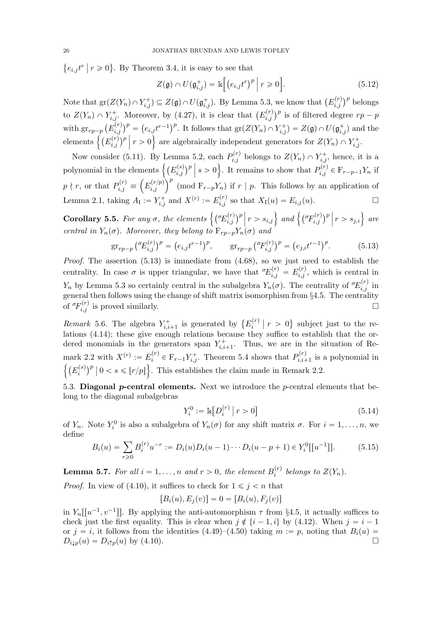${e_{i,j}}t^r | r \ge 0$ . By Theorem 3.4, it is easy to see that

$$
Z(\mathfrak{g}) \cap U(\mathfrak{g}_{i,j}^+) = \mathbb{k} \Big[ \big( e_{i,j} t^r \big)^p \Big| \ r \geqslant 0 \Big]. \tag{5.12}
$$

Note that  $\text{gr}(Z(Y_n) \cap Y_{i,j}^+) \subseteq Z(\mathfrak{g}) \cap U(\mathfrak{g}_{i,j}^+)$ . By Lemma 5.3, we know that  $(E_{i,j}^{(r)})^p$  belongs to  $Z(Y_n) \cap Y_{i,j}^+$ . Moreover, by (4.27), it is clear that  $(E_{i,j}^{(r)})^p$  is of filtered degree  $rp-p$ with  $gr_{rp-p}(E_{i,j}^{(r)})^p = (e_{i,j}t^{r-1})^p$ . It follows that  $gr(Z(Y_n) \cap Y_{i,j}^+) = Z(\mathfrak{g}) \cap U(\mathfrak{g}_{i,j}^+)$  and the elements  $\left\{ (E_{i,j}^{(r)})^p \middle| r > 0 \right\}$  are algebraically independent generators for  $Z(Y_n) \cap Y_{i,j}^+$ .

Now consider (5.11). By Lemma 5.2, each  $P_{i,j}^{(r)}$  belongs to  $Z(Y_n) \cap Y_{i,j}^+$ , hence, it is a polynomial in the elements  $\left\{ (E_{i,j}^{(s)})^p \; \middle| \; s > 0 \right\}$ . It remains to show that  $P_{i,j}^{(\tilde{r})} \in \mathbb{F}_{r-p-1}Y_n$  if  $p \nmid r$ , or that  $P_{i,j}^{(r)} \equiv \left(E_{i,j}^{(r/p)}\right)^p$  (mod  $F_{r-p}Y_n$ ) if  $r \mid p$ . This follows by an application of Lemma 2.1, taking  $A_{I} := Y_{i,j}^{+}$  and  $X^{(r)} := E_{i,j}^{(r)}$  so that  $X_{I}(u) = E_{i,j}(u)$ .

**Corollary 5.5.** For any  $\sigma$ , the elements  $\left\{ \left( \begin{array}{c} \sigma E_{i,j}^{(r)} \end{array} \right)^p \middle| r > s_{i,j} \right\}$  and  $\left\{ \left( \begin{array}{c} \sigma F_{i,j}^{(r)} \end{array} \right)^p \middle| r > s_{j,i} \right\}$  are central in  $Y_n(\sigma)$ . Moreover, they belong to  $F_{rp-p}Y_n(\sigma)$  and

$$
\operatorname{gr}_{rp-p} \left( {}^{\sigma}E_{i,j}^{(r)} \right)^p = \left( e_{i,j} t^{r-1} \right)^p, \qquad \operatorname{gr}_{rp-p} \left( {}^{\sigma}F_{i,j}^{(r)} \right)^p = \left( e_{j,i} t^{r-1} \right)^p. \tag{5.13}
$$

*Proof.* The assertion  $(5.13)$  is immediate from  $(4.68)$ , so we just need to establish the centrality. In case  $\sigma$  is upper triangular, we have that  $\sigma E_{i,j}^{(r)} = E_{i,j}^{(r)}$ , which is central in  $Y_n$  by Lemma 5.3 so certainly central in the subalgebra  $Y_n(\sigma)$ . The centrality of  $\sigma E_{i,j}^{(r)}$  in general then follows using the change of shift matrix isomorphism from §4.5. The centrality of  ${}^{\sigma}F_{i,j}^{(r)}$  is proved similarly.

Remark 5.6. The algebra  $Y_{i,i+1}^+$  is generated by  $\{E_i^{(r)}\}$  $\{x_i^{(r)} \mid r > 0\}$  subject just to the relations (4.14); these give enough relations because they suffice to establish that the ordered monomials in the generators span  $Y_{i,i+1}^+$ . Thus, we are in the situation of Remark 2.2 with  $X^{(r)} := E_i^{(r)}$  $p_i^{(r)} \in \mathcal{F}_{r-1} Y_{i,j}^+$ . Theorem 5.4 shows that  $P_{i,i+1}^{(r)}$  $p_{i,i+1}^{(r)}$  is a polynomial in  $\left\{ \left( E_{i}^{(s)}\right) \right\}$  $\binom{s}{i}^p | 0 < s \leqslant \lfloor r/p \rfloor$ . This establishes the claim made in Remark 2.2.

5.3. Diagonal  $p$ -central elements. Next we introduce the  $p$ -central elements that belong to the diagonal subalgebras

$$
Y_i^0 := \mathbb{k} \big[ D_i^{(r)} \, \big| \, r > 0 \big] \tag{5.14}
$$

of  $Y_n$ . Note  $Y_i^0$  is also a subalgebra of  $Y_n(\sigma)$  for any shift matrix  $\sigma$ . For  $i = 1, \ldots, n$ , we define

$$
B_i(u) = \sum_{r \ge 0} B_i^{(r)} u^{-r} := D_i(u) D_i(u-1) \cdots D_i(u-p+1) \in Y_i^0[[u^{-1}]]. \tag{5.15}
$$

**Lemma 5.7.** For all  $i = 1, ..., n$  and  $r > 0$ , the element  $B_i^{(r)}$  $i_i^{(r)}$  belongs to  $Z(Y_n)$ .

*Proof.* In view of (4.10), it suffices to check for  $1 \leq j \leq n$  that

$$
[B_i(u), E_j(v)] = 0 = [B_i(u), F_j(v)]
$$

in  $Y_n[[u^{-1}, v^{-1}]]$ . By applying the anti-automorphism  $\tau$  from §4.5, it actually suffices to check just the first equality. This is clear when  $j \notin \{i - 1, i\}$  by (4.12). When  $j = i - 1$ or  $j = i$ , it follows from the identities (4.49)–(4.50) taking  $m := p$ , noting that  $B_i(u) =$  $D_{i\downarrow p}(u) = D_{i\uparrow p}(u)$  by (4.10).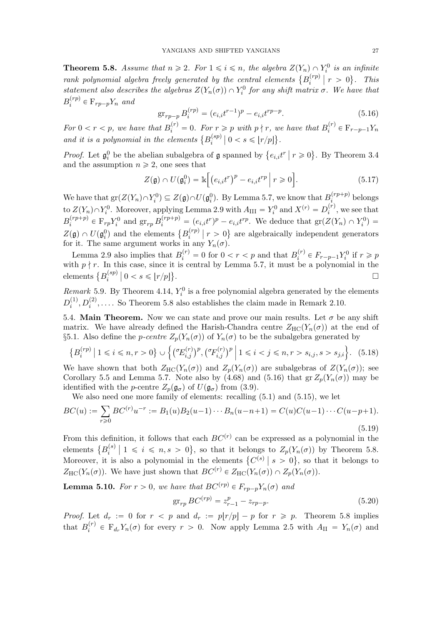**Theorem 5.8.** Assume that  $n \geq 2$ . For  $1 \leq i \leq n$ , the algebra  $Z(Y_n) \cap Y_i^0$  is an infinite rank polynomial algebra freely generated by the central elements  $\{B_i^{(rp)}\}$  $\binom{r}{i}$  |  $r > 0$ }. This statement also describes the algebras  $Z(Y_n(\sigma)) \cap Y_i^0$  for any shift matrix  $\sigma$ . We have that  $B_i^{(rp)}$  $i^{(rp)} \in \mathcal{F}_{rp-p}Y_n$  and

$$
\operatorname{gr}_{rp-p} B_i^{(rp)} = (e_{i,i}t^{r-1})^p - e_{i,i}t^{rp-p}.\tag{5.16}
$$

For  $0 < r < p$ , we have that  $B_i^{(r)} = 0$ . For  $r \geq p$  with  $p \nmid r$ , we have that  $B_i^{(r)}$  $i^{(r)} \in \mathbb{F}_{r-p-1}Y_n$ and it is a polynomial in the elements  $\{B_i^{(sp)}\}$  $\binom{(sp)}{i}$  | 0 < s \left(\pmatrix}{r/p\left)}.

*Proof.* Let  $\mathfrak{g}_i^0$  be the abelian subalgebra of  $\mathfrak g$  spanned by  $\{e_{i,i}t^r \mid r \geq 0\}$ . By Theorem 3.4 and the assumption  $n \geq 2$ , one sees that

$$
Z(\mathfrak{g}) \cap U(\mathfrak{g}_i^0) = \mathbb{k} \Big[ \big( e_{i,i} t^r \big)^p - e_{i,i} t^{rp} \Big| \ r \geqslant 0 \Big]. \tag{5.17}
$$

We have that  $gr(Z(Y_n) \cap Y_i^0) \subseteq Z(\mathfrak{g}) \cap U(\mathfrak{g}_i^0)$ . By Lemma 5.7, we know that  $B_i^{(rp+p)}$  $\sum_{i}^{(P+P)}$  belongs to  $Z(Y_n) \cap Y_i^0$ . Moreover, applying Lemma 2.9 with  $A_{\text{III}} = Y_i^0$  and  $X^{(r)} = D_i^{(r)}$  $i^{(r)}$ , we see that  $B_i^{(rp+p)}$  $i^{(rp+p)} \in \mathcal{F}_{rp} Y_i^0$  and  $\operatorname{gr}_{rp} B_i^{(rp+p)} = (e_{i,i}t^r)^p - e_{i,i}t^{rp}$ . We deduce that  $\operatorname{gr}(Z(Y_n) \cap Y_i^0) =$  $Z(\mathfrak{g}) \cap U(\mathfrak{g}^0_i)$  and the elements  $\{B_i^{(rp)}\}$  $\binom{r}{i}$  |  $r > 0$ } are algebraically independent generators for it. The same argument works in any  $Y_n(\sigma)$ .

Lemma 2.9 also implies that  $B_i^{(r)} = 0$  for  $0 < r < p$  and that  $B_i^{(r)}$  $i^{(r)} \in F_{r-p-1}Y_i^0$  if  $r \geq p$ with  $p \nmid r$ . In this case, since it is central by Lemma 5.7, it must be a polynomial in the elements  $\{B_i^{(sp)}\}$  $\binom{(sp)}{i}$   $\big| 0 < s \leqslant \lfloor r/p \rfloor \}$ .

Remark 5.9. By Theorem 4.14,  $Y_i^0$  is a free polynomial algebra generated by the elements  $D_i^{(1)}$  $i<sup>(1)</sup>, D<sub>i</sub><sup>(2)</sup>, \ldots$  So Theorem 5.8 also establishes the claim made in Remark 2.10.

5.4. Main Theorem. Now we can state and prove our main results. Let  $\sigma$  be any shift matrix. We have already defined the Harish-Chandra centre  $Z_{\text{HC}}(Y_n(\sigma))$  at the end of §5.1. Also define the *p-centre*  $Z_p(Y_n(\sigma))$  of  $Y_n(\sigma)$  to be the subalgebra generated by

$$
\{B_i^{(rp)} \mid 1 \le i \le n, r > 0\} \cup \left\{ \left(\sigma_{E_{i,j}}^{(r)}\right)^p, \left(\sigma_{F_{i,j}}^{(r)}\right)^p \mid 1 \le i < j \le n, r > s_{i,j}, s > s_{j,i} \right\}.
$$
 (5.18)

We have shown that both  $Z_{HC}(Y_n(\sigma))$  and  $Z_p(Y_n(\sigma))$  are subalgebras of  $Z(Y_n(\sigma))$ ; see Corollary 5.5 and Lemma 5.7. Note also by (4.68) and (5.16) that  $gr Z_p(Y_n(\sigma))$  may be identified with the *p*-centre  $Z_p(\mathfrak{g}_{\sigma})$  of  $U(\mathfrak{g}_{\sigma})$  from (3.9).

We also need one more family of elements: recalling (5.1) and (5.15), we let

$$
BC(u) := \sum_{r \ge 0} BC^{(r)}u^{-r} := B_1(u)B_2(u-1)\cdots B_n(u-n+1) = C(u)C(u-1)\cdots C(u-p+1).
$$
\n(5.19)

From this definition, it follows that each  $BC<sup>(r)</sup>$  can be expressed as a polynomial in the elements  $\{B_i^{(s)}\}$  $Z_i^{(s)} \mid 1 \leq i \leq n, s > 0$ , so that it belongs to  $Z_p(Y_n(\sigma))$  by Theorem 5.8. Moreover, it is also a polynomial in the elements  $\{C^{(s)} \mid s > 0\}$ , so that it belongs to  $Z_{\text{HC}}(Y_n(\sigma))$ . We have just shown that  $BC^{(r)} \in Z_{\text{HC}}(Y_n(\sigma)) \cap Z_p(Y_n(\sigma))$ .

**Lemma 5.10.** For  $r > 0$ , we have that  $BC^{(rp)} \in F_{rp-p}Y_n(\sigma)$  and

$$
\operatorname{gr}_{rp} BC^{(rp)} = z_{r-1}^p - z_{rp-p}.\tag{5.20}
$$

*Proof.* Let  $d_r := 0$  for  $r < p$  and  $d_r := p(r/p) - p$  for  $r \geq p$ . Theorem 5.8 implies that  $B_i^{(r)}$  $E_i^{(r)} \in F_{d_r} Y_n(\sigma)$  for every  $r > 0$ . Now apply Lemma 2.5 with  $A_{II} = Y_n(\sigma)$  and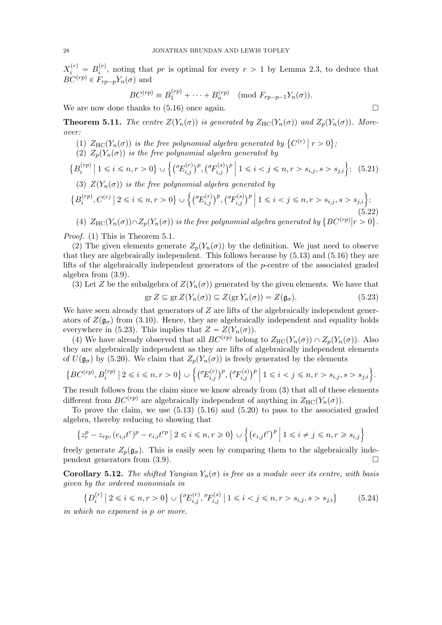$X_i^{(r)} = B_i^{(r)}$  $i^{(r)}$ , noting that pr is optimal for every  $r > 1$  by Lemma 2.3, to deduce that  $BC^{(rp)} \in F_{rp-p}Y_n(\sigma)$  and

$$
BC^{(rp)} \equiv B_1^{(rp)} + \cdots + B_n^{(rp)}
$$
 (mod  $F_{rp-p-1}Y_n(\sigma)$ ).

We are now done thanks to  $(5.16)$  once again.

**Theorem 5.11.** The centre  $Z(Y_n(\sigma))$  is generated by  $Z_{HC}(Y_n(\sigma))$  and  $Z_p(Y_n(\sigma))$ . Moreover:

- (1)  $Z_{\text{HC}}(Y_n(\sigma))$  is the free polynomial algebra generated by  $\{C^{(r)} \mid r > 0\}$ ;
- (2)  $Z_p(Y_n(\sigma))$  is the free polynomial algebra generated by

$$
\{B_i^{(rp)} \mid 1 \le i \le n, r > 0\} \cup \left\{ \left(\sigma_{E_{i,j}}^{(r)}\right)^p, \left(\sigma_{E_{i,j}}^{(s)}\right)^p \mid 1 \le i < j \le n, r > s_{i,j}, s > s_{j,i} \right\};
$$
 (5.21)

(3)  $Z(Y_n(\sigma))$  is the free polynomial algebra generated by

$$
\{B_i^{(rp)}, C^{(r)} \mid 2 \le i \le n, r > 0\} \cup \left\{ \left(\sigma E_{i,j}^{(r)}\right)^p, \left(\sigma F_{i,j}^{(s)}\right)^p \mid 1 \le i < j \le n, r > s_{i,j}, s > s_{j,i} \right\};\tag{5.22}
$$

(4)  $Z_{\text{HC}}(Y_n(\sigma)) \cap Z_p(Y_n(\sigma))$  is the free polynomial algebra generated by  $\{BC^{(rp)}|r > 0\}$ .

Proof. (1) This is Theorem 5.1.

(2) The given elements generate  $Z_p(Y_n(\sigma))$  by the definition. We just need to observe that they are algebraically independent. This follows because by (5.13) and (5.16) they are lifts of the algebraically independent generators of the p-centre of the associated graded algebra from (3.9).

(3) Let Z be the subalgebra of  $Z(Y_n(\sigma))$  generated by the given elements. We have that

$$
\operatorname{gr} Z \subseteq \operatorname{gr} Z(Y_n(\sigma)) \subseteq Z(\operatorname{gr} Y_n(\sigma)) = Z(\mathfrak{g}_{\sigma}).
$$
\n(5.23)

We have seen already that generators of  $Z$  are lifts of the algebraically independent generators of  $Z(\mathfrak{g}_{\sigma})$  from (3.10). Hence, they are algebraically independent and equality holds everywhere in (5.23). This implies that  $Z = Z(Y_n(\sigma))$ .

(4) We have already observed that all  $BC^{(rp)}$  belong to  $Z_{HC}(Y_n(\sigma)) \cap Z_n(Y_n(\sigma))$ . Also they are algebraically independent as they are lifts of algebraically independent elements of  $U(\mathfrak{g}_{\sigma})$  by (5.20). We claim that  $Z_p(Y_n(\sigma))$  is freely generated by the elements

$$
\left\{ BC^{(rp)}, B_i^{(rp)} \mid 2 \leq i \leq n, r > 0 \right\} \cup \left\{ \left( {}^{\sigma}\!E_{i,j}^{(r)} \right)^p, \left( {}^{\sigma}\!F_{i,j}^{(s)} \right)^p \mid 1 \leq i < j \leq n, r > s_{i,j}, s > s_{j,i} \right\}.
$$

The result follows from the claim since we know already from (3) that all of these elements different from  $BC^{(rp)}$  are algebraically independent of anything in  $Z_{HC}(Y_n(\sigma))$ .

To prove the claim, we use (5.13) (5.16) and (5.20) to pass to the associated graded algebra, thereby reducing to showing that

$$
\left\{z_r^p - z_{rp}, (e_{i,i}t^r)^p - e_{i,i}t^{rp} \mid 2 \leq i \leq n, r \geq 0\right\} \cup \left\{(e_{i,j}t^r)^p \mid 1 \leq i \neq j \leq n, r \geq s_{i,j}\right\}
$$

freely generate  $Z_p(\mathfrak{g}_{\sigma})$ . This is easily seen by comparing them to the algebraically independent generators from  $(3.9)$ .

**Corollary 5.12.** The shifted Yangian  $Y_n(\sigma)$  is free as a module over its centre, with basis given by the ordered monomials in

$$
\{D_i^{(r)} \mid 2 \le i \le n, r > 0\} \cup \{ {}^{\sigma}\!E_{i,j}^{(r)}, {}^{\sigma}\!F_{i,j}^{(s)} \mid 1 \le i < j \le n, r > s_{i,j}, s > s_{j,i}\} \tag{5.24}
$$

in which no exponent is p or more.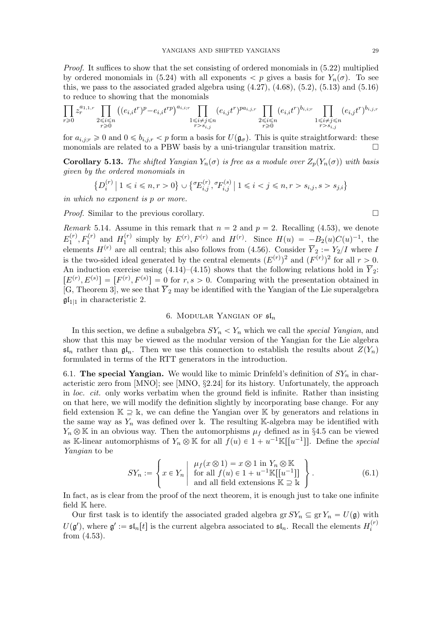Proof. It suffices to show that the set consisting of ordered monomials in (5.22) multiplied by ordered monomials in (5.24) with all exponents  $\langle p \rangle$  gives a basis for  $Y_n(\sigma)$ . To see this, we pass to the associated graded algebra using  $(4.27)$ ,  $(4.68)$ ,  $(5.2)$ ,  $(5.13)$  and  $(5.16)$ to reduce to showing that the monomials

$$
\prod_{r\geqslant 0}z_r^{a_{1,1,r}}\prod_{\substack{2\leqslant i\leqslant n\\r\geqslant 0}}\left((e_{i,i}t^r)^p-e_{i,i}t^{rp}\right)^{a_{i,i;r}}\prod_{\substack{1\leqslant i\neq j\leqslant n\\r>s_{i,j}}}(e_{i,j}t^r)^{pa_{i,j,r}}\prod_{\substack{2\leqslant i\leqslant n\\r>0}}(e_{i,i}t^r)^{b_{i,i;r}}\prod_{\substack{1\leqslant i\neq j\leqslant n\\r>s_{i,j}}}(e_{i,j}t^r)^{b_{i,j,r}}
$$

for  $a_{i,j;r} \geq 0$  and  $0 \leq b_{i,j;r} < p$  form a basis for  $U(\mathfrak{g}_{\sigma})$ . This is quite straightforward: these monomials are related to a PBW basis by a uni-triangular transition matrix.  $\Box$ 

**Corollary 5.13.** The shifted Yangian  $Y_n(\sigma)$  is free as a module over  $Z_n(Y_n(\sigma))$  with basis given by the ordered monomials in

$$
\left\{ D_i^{(r)} \mid 1 \le i \le n, r > 0 \right\} \cup \left\{ \mathcal{E}_{i,j}^{(r)}, \mathcal{F}_{i,j}^{(s)} \mid 1 \le i < j \le n, r > s_{i,j}, s > s_{j,i} \right\}
$$

in which no exponent is p or more.

Proof. Similar to the previous corollary.

Remark 5.14. Assume in this remark that  $n = 2$  and  $p = 2$ . Recalling (4.53), we denote  $E_1^{(r)}$  $H_1^{(r)}$ ,  $F_1^{(r)}$  and  $H_1^{(r)}$  $H_1^{(r)}$  simply by  $E^{(r)}$ ,  $F^{(r)}$  and  $H^{(r)}$ . Since  $H(u) = -B_2(u)C(u)^{-1}$ , the elements  $H^{(r)}$  are all central; this also follows from (4.56). Consider  $\overline{Y}_2 := Y_2/I$  where I is the two-sided ideal generated by the central elements  $(E^{(r)})^2$  and  $(F^{(r)})^2$  for all  $r > 0$ . An induction exercise using (4.14)–(4.15) shows that the following relations hold in  $\overline{Y}_2$ :  $[E^{(r)}, E^{(s)}] = [F^{(r)}, F^{(s)}] = 0$  for  $r, s > 0$ . Comparing with the presentation obtained in [G, Theorem 3], we see that  $\overline{Y}_2$  may be identified with the Yangian of the Lie superalgebra  $\mathfrak{gl}_{1|1}$  in characteristic 2.

## 6. MODULAR YANGIAN OF  $\mathfrak{sl}_n$

In this section, we define a subalgebra  $SY_n < Y_n$  which we call the special Yangian, and show that this may be viewed as the modular version of the Yangian for the Lie algebra  $\mathfrak{sl}_n$  rather than  $\mathfrak{gl}_n$ . Then we use this connection to establish the results about  $Z(Y_n)$ formulated in terms of the RTT generators in the introduction.

6.1. The special Yangian. We would like to mimic Drinfeld's definition of  $SY_n$  in characteristic zero from [MNO]; see [MNO, §2.24] for its history. Unfortunately, the approach in loc. cit. only works verbatim when the ground field is infinite. Rather than insisting on that here, we will modify the definition slightly by incorporating base change. For any field extension  $\mathbb{K} \supseteq \mathbb{K}$ , we can define the Yangian over  $\mathbb{K}$  by generators and relations in the same way as  $Y_n$  was defined over k. The resulting K-algebra may be identified with  $Y_n \otimes \mathbb{K}$  in an obvious way. Then the automorphisms  $\mu_f$  defined as in §4.5 can be viewed as K-linear automorphisms of  $Y_n \otimes K$  for all  $f(u) \in 1 + u^{-1}K[[u^{-1}]]$ . Define the special Yangian to be

$$
SY_n := \left\{ x \in Y_n \middle| \begin{array}{c} \mu_f(x \otimes 1) = x \otimes 1 \text{ in } Y_n \otimes \mathbb{K} \\ \text{for all } f(u) \in 1 + u^{-1} \mathbb{K}[[u^{-1}]] \\ \text{and all field extensions } \mathbb{K} \supseteq \mathbb{k} \end{array} \right\}.
$$
 (6.1)

In fact, as is clear from the proof of the next theorem, it is enough just to take one infinite field K here.

Our first task is to identify the associated graded algebra  $\operatorname{gr} SY_n \subseteq \operatorname{gr} Y_n = U(\mathfrak{g})$  with  $U(\mathfrak{g}')$ , where  $\mathfrak{g}' := \mathfrak{sl}_n[t]$  is the current algebra associated to  $\mathfrak{sl}_n$ . Recall the elements  $H_i^{(r)}$ i from (4.53).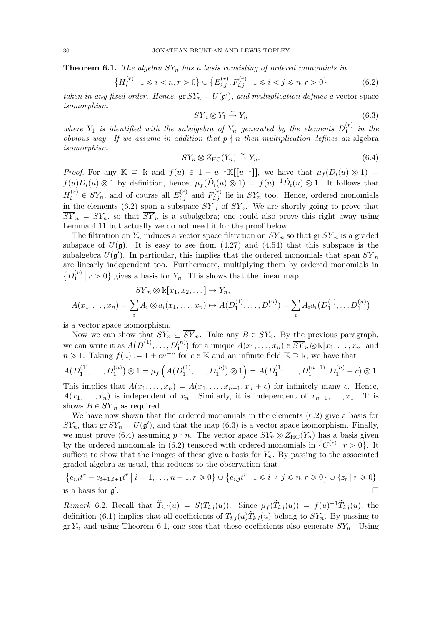**Theorem 6.1.** The algebra  $SY_n$  has a basis consisting of ordered monomials in

$$
\left\{ H_i^{(r)} \mid 1 \le i < n, r > 0 \right\} \cup \left\{ E_{i,j}^{(r)}, F_{i,j}^{(r)} \mid 1 \le i < j \le n, r > 0 \right\} \tag{6.2}
$$

taken in any fixed order. Hence,  $\operatorname{gr} SY_n = U(\mathfrak{g}')$ , and multiplication defines a vector space isomorphism

$$
SY_n \otimes Y_1 \xrightarrow{\sim} Y_n \tag{6.3}
$$

where  $Y_1$  is identified with the subalgebra of  $Y_n$  generated by the elements  $D_1^{(r)}$  $j_1^{(r)}$  in the obvious way. If we assume in addition that  $p \nmid n$  then multiplication defines an algebra isomorphism

$$
SY_n \otimes Z_{\rm HC}(Y_n) \stackrel{\sim}{\to} Y_n. \tag{6.4}
$$

*Proof.* For any  $\mathbb{K} \supseteq \mathbb{K}$  and  $f(u) \in 1 + u^{-1}\mathbb{K}[[u^{-1}]],$  we have that  $\mu_f(D_i(u) \otimes 1) =$  $f(u)D_i(u) \otimes 1$  by definition, hence,  $\mu_f(\tilde{D}_i(u) \otimes 1) = f(u)^{-1} \tilde{D}_i(u) \otimes 1$ . It follows that  $H_i^{(r)}$  $E_i^{(r)} \in SY_n$ , and of course all  $E_{i,j}^{(r)}$  and  $F_{i,j}^{(r)}$  lie in  $SY_n$  too. Hence, ordered monomials in the elements (6.2) span a subspace  $\overline{SY}_n$  of  $SY_n$ . We are shortly going to prove that  $\overline{SY}_n = SY_n$ , so that  $\overline{SY}_n$  is a subalgebra; one could also prove this right away using Lemma 4.11 but actually we do not need it for the proof below.

The filtration on  $Y_n$  induces a vector space filtration on  $\overline{SY}_n$  so that  $\overline{SY}_n$  is a graded subspace of  $U(\mathfrak{g})$ . It is easy to see from (4.27) and (4.54) that this subspace is the subalgebra  $U(\mathfrak{g}')$ . In particular, this implies that the ordered monomials that span  $\overline{SY}_n$ are linearly independent too. Furthermore, multiplying them by ordered monomials in  $\{D_1^{(r)}\}$  $\binom{r}{1}$   $r > 0$  gives a basis for  $Y_n$ . This shows that the linear map

$$
\overline{SY}_n \otimes k[x_1, x_2, \dots] \to Y_n,
$$
  

$$
A(x_1, \dots, x_n) = \sum_i A_i \otimes a_i(x_1, \dots, x_n) \to A(D_1^{(1)}, \dots, D_1^{(n)}) = \sum_i A_i a_i(D_1^{(1)}, \dots, D_1^{(n)})
$$

is a vector space isomorphism.

Now we can show that  $SY_n \subseteq \overline{SY}_n$ . Take any  $B \in SY_n$ . By the previous paragraph, we can write it as  $A(D_1^{(1)})$  $\overline{Y}_1^{(1)}, \ldots, D_1^{(n)}$  for a unique  $A(x_1, \ldots, x_n) \in \overline{SY}_n \otimes \mathbbk[x_1, \ldots, x_n]$  and  $n \geq 1$ . Taking  $f(u) := 1 + cu^{-n}$  for  $c \in \mathbb{K}$  and an infinite field  $\mathbb{K} \supseteq \mathbb{K}$ , we have that

$$
A(D_1^{(1)},\ldots,D_1^{(n)})\otimes 1 = \mu_f\left(A(D_1^{(1)},\ldots,D_1^{(n)})\otimes 1\right) = A(D_1^{(1)},\ldots,D_1^{(n-1)},D_1^{(n)}+c)\otimes 1.
$$

This implies that  $A(x_1, \ldots, x_n) = A(x_1, \ldots, x_{n-1}, x_n + c)$  for infinitely many c. Hence,  $A(x_1, \ldots, x_n)$  is independent of  $x_n$ . Similarly, it is independent of  $x_{n-1}, \ldots, x_1$ . This shows  $B \in \overline{SY}_n$  as required.

We have now shown that the ordered monomials in the elements (6.2) give a basis for  $SY_n$ , that gr  $SY_n = U(\mathfrak{g}')$ , and that the map (6.3) is a vector space isomorphism. Finally, we must prove (6.4) assuming  $p \nmid n$ . The vector space  $SY_n \otimes Z_{HC}(Y_n)$  has a basis given by the ordered monomials in (6.2) tensored with ordered monomials in  $\{C^{(r)} | r > 0\}$ . It suffices to show that the images of these give a basis for  $Y_n$ . By passing to the associated graded algebra as usual, this reduces to the observation that

$$
\{e_{i,i}t^r - e_{i+1,i+1}t^r \mid i = 1,\ldots,n-1, r \ge 0\} \cup \{e_{i,j}t^r \mid 1 \le i \ne j \le n, r \ge 0\} \cup \{z_r \mid r \ge 0\}
$$
  
is a basis for  $\mathfrak{g}'$ .

Remark 6.2. Recall that  $\widetilde{T}_{i,j}(u) = S(T_{i,j}(u))$ . Since  $\mu_f(\widetilde{T}_{i,j}(u)) = f(u)^{-1} \widetilde{T}_{i,j}(u)$ , the definition (6.1) implies that all coefficients of  $T_{i,j}(u)T_{k,l}(u)$  belong to  $SY_n$ . By passing to  $gr Y_n$  and using Theorem 6.1, one sees that these coefficients also generate  $SY_n$ . Using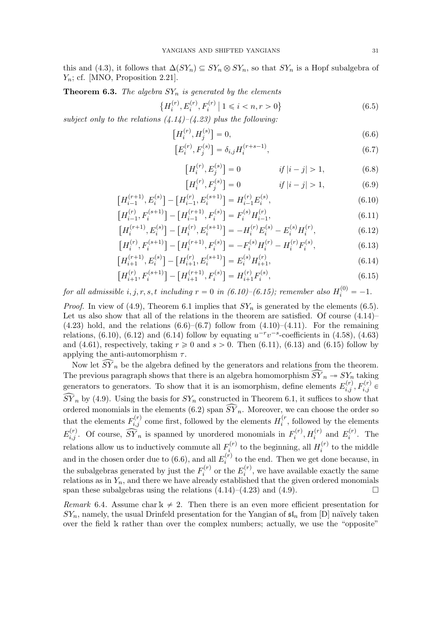this and (4.3), it follows that  $\Delta(SY_n) \subseteq SY_n \otimes SY_n$ , so that  $SY_n$  is a Hopf subalgebra of  $Y_n$ ; cf. [MNO, Proposition 2.21].

**Theorem 6.3.** The algebra  $SY_n$  is generated by the elements

$$
\left\{H_i^{(r)}, E_i^{(r)}, F_i^{(r)} \mid 1 \le i < n, r > 0\right\} \tag{6.5}
$$

subject only to the relations  $(4.14)$ – $(4.23)$  plus the following:

$$
\left[H_i^{(r)}, H_j^{(s)}\right] = 0,\t\t(6.6)
$$

$$
\left[E_i^{(r)}, F_j^{(s)}\right] = \delta_{i,j} H_i^{(r+s-1)},\tag{6.7}
$$

$$
[H_i^{(r)}, E_j^{(s)}] = 0 \t\t if |i - j| > 1,
$$
\t(6.8)

$$
[H_i^{(r)}, F_j^{(s)}] = 0 \t\t if |i - j| > 1,
$$
\t(6.9)

$$
\left[H_{i-1}^{(r+1)}, E_i^{(s)}\right] - \left[H_{i-1}^{(r)}, E_i^{(s+1)}\right] = H_{i-1}^{(r)} E_i^{(s)},\tag{6.10}
$$

$$
\left[H_{i-1}^{(r)}, F_i^{(s+1)}\right] - \left[H_{i-1}^{(r+1)}, F_i^{(s)}\right] = F_i^{(s)} H_{i-1}^{(r)},\tag{6.11}
$$

$$
\left[H_i^{(r+1)}, E_i^{(s)}\right] - \left[H_i^{(r)}, E_i^{(s+1)}\right] = -H_i^{(r)} E_i^{(s)} - E_i^{(s)} H_i^{(r)},\tag{6.12}
$$

$$
\left[H_i^{(r)}, F_i^{(s+1)}\right] - \left[H_i^{(r+1)}, F_i^{(s)}\right] = -F_i^{(s)}H_i^{(r)} - H_i^{(r)}F_i^{(s)},\tag{6.13}
$$

$$
\left[H_{i+1}^{(r+1)}, E_i^{(s)}\right] - \left[H_{i+1}^{(r)}, E_i^{(s+1)}\right] = E_i^{(s)} H_{i+1}^{(r)},\tag{6.14}
$$

$$
\left[H_{i+1}^{(r)}, F_i^{(s+1)}\right] - \left[H_{i+1}^{(r+1)}, F_i^{(s)}\right] = H_{i+1}^{(r)} F_i^{(s)},\tag{6.15}
$$

for all admissible  $i, j, r, s, t$  including  $r = 0$  in  $(6.10)$ - $(6.15)$ ; remember also  $H_i^{(0)} = -1$ .

*Proof.* In view of (4.9), Theorem 6.1 implies that  $SY_n$  is generated by the elements (6.5). Let us also show that all of the relations in the theorem are satisfied. Of course  $(4.14)$  $(4.23)$  hold, and the relations  $(6.6)$ – $(6.7)$  follow from  $(4.10)$ – $(4.11)$ . For the remaining relations, (6.10), (6.12) and (6.14) follow by equating  $u^{-r}v^{-s}$ -coefficients in (4.58), (4.63) and (4.61), respectively, taking  $r \geq 0$  and  $s > 0$ . Then (6.11), (6.13) and (6.15) follow by applying the anti-automorphism  $\tau$ .

Now let  $\widehat{SY}_n$  be the algebra defined by the generators and relations from the theorem. The previous paragraph shows that there is an algebra homomorphism  $\widehat{SY}_n \to SY_n$  taking generators to generators. To show that it is an isomorphism, define elements  $E_{i,j}^{(r)}$ ,  $F_{i,j}^{(r)}$   $\in$  $\widehat{SV}_n$  by (4.9). Using the basis for  $SY_n$  constructed in Theorem 6.1, it suffices to show that ordered monomials in the elements (6.2) span  $\widehat{SY}_n$ . Moreover, we can choose the order so that the elements  $F_{i,j}^{(r)}$  come first, followed by the elements  $H_i^{(r)}$  $i^{(r)}$ , followed by the elements  $E_{i,j}^{(r)}$ . Of course,  $\widehat{SY}_n$  is spanned by unordered monomials in  $F_i^{(r)}$  $f_i^{(r)}$ ,  $H_i^{(r)}$  and  $E_i^{(r)}$  $i^{(r)}$ . The relations allow us to inductively commute all  $F_i^{(r)}$  $t_i^{(r)}$  to the beginning, all  $H_i^{(r)}$  $i^{(r)}$  to the middle and in the chosen order due to (6.6), and all  $E_i^{(r)}$  $i^{(r)}$  to the end. Then we get done because, in the subalgebras generated by just the  $F_i^{(r)}$  $E_i^{(r)}$  or the  $E_i^{(r)}$  $i_i^{(r)}$ , we have available exactly the same relations as in  $Y_n$ , and there we have already established that the given ordered monomials span these subalgebras using the relations  $(4.14)$ – $(4.23)$  and  $(4.9)$ .

Remark 6.4. Assume char  $k \neq 2$ . Then there is an even more efficient presentation for  $SY_n$ , namely, the usual Drinfeld presentation for the Yangian of  $\mathfrak{sl}_n$  from [D] naïvely taken over the field k rather than over the complex numbers; actually, we use the "opposite"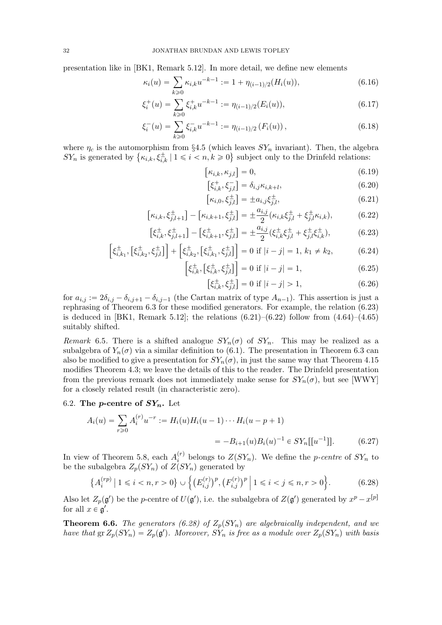presentation like in [BK1, Remark 5.12]. In more detail, we define new elements

$$
\kappa_i(u) = \sum_{k \ge 0} \kappa_{i,k} u^{-k-1} := 1 + \eta_{(i-1)/2}(H_i(u)), \tag{6.16}
$$

$$
\xi_i^+(u) = \sum_{k \ge 0} \xi_{i,k}^+ u^{-k-1} := \eta_{(i-1)/2}(E_i(u)),\tag{6.17}
$$

$$
\xi_i^-(u) = \sum_{k \ge 0} \xi_{i,k}^- u^{-k-1} := \eta_{(i-1)/2} \left( F_i(u) \right), \tag{6.18}
$$

where  $\eta_c$  is the automorphism from §4.5 (which leaves  $SY_n$  invariant). Then, the algebra  $SY_n$  is generated by  $\{\kappa_{i,k}, \xi_{i,k}^{\pm} \mid 1 \leqslant i \leq n, k \geqslant 0\}$  subject only to the Drinfeld relations:

$$
\[\kappa_{i,k}, \kappa_{j,l}\] = 0,\tag{6.19}
$$

$$
\left[\xi_{i,k}^+, \xi_{j,l}^-\right] = \delta_{i,j} \kappa_{i,k+l},\tag{6.20}
$$

$$
[\kappa_{i,0}, \xi_{j,l}^{\pm}] = \pm a_{i,j} \xi_{j,l}^{\pm}, \tag{6.21}
$$

$$
[\kappa_{i,k}, \xi_{j,l+1}^{\pm}] - [\kappa_{i,k+1}, \xi_{j,l}^{\pm}] = \pm \frac{a_{i,j}}{2} (\kappa_{i,k} \xi_{j,l}^{\pm} + \xi_{j,l}^{\pm} \kappa_{i,k}), \tag{6.22}
$$

$$
\left[\xi_{i,k}^{\pm},\xi_{j,l+1}^{\pm}\right] - \left[\xi_{i,k+1}^{\pm},\xi_{j,l}^{\pm}\right] = \pm \frac{a_{i,j}}{2} (\xi_{i,k}^{\pm}\xi_{j,l}^{\pm} + \xi_{j,l}^{\pm}\xi_{i,k}^{\pm}),\tag{6.23}
$$

$$
\left[\xi_{i,k_1}^{\pm}, \left[\xi_{i,k_2}^{\pm}, \xi_{j,l}^{\pm}\right]\right] + \left[\xi_{i,k_2}^{\pm}, \left[\xi_{i,k_1}^{\pm}, \xi_{j,l}^{\pm}\right]\right] = 0 \text{ if } |i - j| = 1, k_1 \neq k_2,
$$
\n(6.24)\n
$$
\left[\xi_{i,k_1}^{\pm}, \left[\xi_{i,k_2}^{\pm}, \xi_{j,l}^{\pm}\right]\right] = 0 \text{ if } |i - j| = 1,
$$
\n(6.25)

$$
\left[\xi_{i,k}^{\pm}, \left[\xi_{i,k}^{\pm}, \xi_{j,l}^{\pm}\right]\right] = 0 \text{ if } |i - j| = 1,
$$
\n(6.25)

$$
\left[\xi_{i,k}^{\pm}, \xi_{j,l}^{\pm}\right] = 0 \text{ if } |i - j| > 1,\tag{6.26}
$$

for  $a_{i,j} := 2\delta_{i,j} - \delta_{i,j+1} - \delta_{i,j-1}$  (the Cartan matrix of type  $A_{n-1}$ ). This assertion is just a rephrasing of Theorem 6.3 for these modified generators. For example, the relation (6.23) is deduced in [BK1, Remark 5.12]; the relations  $(6.21)$ – $(6.22)$  follow from  $(4.64)$ – $(4.65)$ suitably shifted.

Remark 6.5. There is a shifted analogue  $SY_n(\sigma)$  of  $SY_n$ . This may be realized as a subalgebra of  $Y_n(\sigma)$  via a similar definition to (6.1). The presentation in Theorem 6.3 can also be modified to give a presentation for  $SY_n(\sigma)$ , in just the same way that Theorem 4.15 modifies Theorem 4.3; we leave the details of this to the reader. The Drinfeld presentation from the previous remark does not immediately make sense for  $SY_n(\sigma)$ , but see [WWY] for a closely related result (in characteristic zero).

#### 6.2. The *p*-centre of  $SY_n$ . Let

$$
A_i(u) = \sum_{r \ge 0} A_i^{(r)} u^{-r} := H_i(u) H_i(u-1) \cdots H_i(u-p+1)
$$
  
= 
$$
-B_{i+1}(u) B_i(u)^{-1} \in SY_n[[u^{-1}]].
$$
 (6.27)

In view of Theorem 5.8, each  $A_i^{(r)}$  $i^{(r)}$  belongs to  $Z(SY_n)$ . We define the *p-centre* of  $SY_n$  to be the subalgebra  $Z_p(SY_n)$  of  $Z(SY_n)$  generated by

$$
\left\{ A_i^{(rp)} \mid 1 \le i < n, r > 0 \right\} \cup \left\{ \left( E_{i,j}^{(r)} \right)^p, \left( F_{i,j}^{(r)} \right)^p \mid 1 \le i < j \le n, r > 0 \right\}.\tag{6.28}
$$

Also let  $Z_p(\mathfrak{g}')$  be the p-centre of  $U(\mathfrak{g}')$ , i.e. the subalgebra of  $Z(\mathfrak{g}')$  generated by  $x^p-x^{[p]}$ for all  $x \in \mathfrak{g}'$ .

**Theorem 6.6.** The generators (6.28) of  $Z_p(SY_n)$  are algebraically independent, and we have that  $\operatorname{gr} Z_p(SY_n) = Z_p(\mathfrak{g}')$ . Moreover,  $S\dot{Y}_n$  is free as a module over  $Z_p(SY_n)$  with basis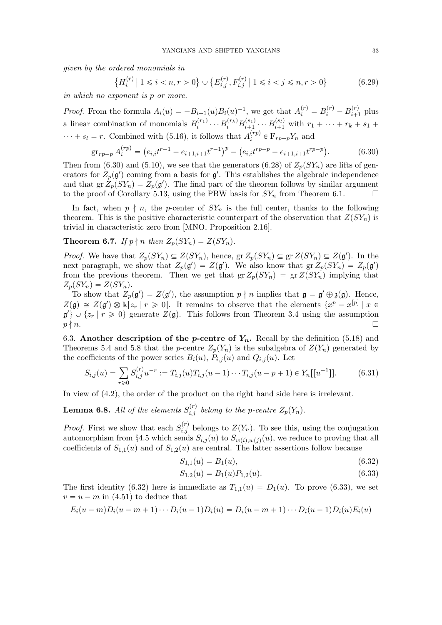given by the ordered monomials in

$$
\left\{ H_i^{(r)} \mid 1 \le i < n, r > 0 \right\} \cup \left\{ E_{i,j}^{(r)}, F_{i,j}^{(r)} \mid 1 \le i < j \le n, r > 0 \right\} \tag{6.29}
$$

in which no exponent is p or more.

*Proof.* From the formula  $A_i(u) = -B_{i+1}(u)B_i(u)^{-1}$ , we get that  $A_i^{(r)} = B_i^{(r)} - B_{i+1}^{(r)}$  $\sum_{i+1}^{(r)}$  plus a linear combination of monomials  $B_i^{(r_1)}$  $\sum_{i}^{(r_1)} \cdots B_{i}^{(r_k)} B_{i+1}^{(s_1)}$  $i_{i+1}^{(s_1)} \cdots B_{i+1}^{(s_l)}$  with  $r_1 + \cdots + r_k + s_1 +$  $\cdots + s_l = r$ . Combined with (5.16), it follows that  $A_i^{(rp)}$  $i^{(rp)} \in \mathbb{F}_{rp-p}Y_n$  and

$$
\operatorname{gr}_{rp-p} A_i^{(rp)} = \left( e_{i,i} t^{r-1} - e_{i+1,i+1} t^{r-1} \right)^p - \left( e_{i,i} t^{rp-p} - e_{i+1,i+1} t^{rp-p} \right). \tag{6.30}
$$

Then from (6.30) and (5.10), we see that the generators (6.28) of  $Z_p(SY_n)$  are lifts of generators for  $Z_p(\mathfrak{g}')$  coming from a basis for  $\mathfrak{g}'$ . This establishes the algebraic independence and that  $gr\ddot{Z}_p(SY_n) = Z_p(\mathfrak{g}')$ . The final part of the theorem follows by similar argument to the proof of Corollary 5.13, using the PBW basis for  $SY_n$  from Theorem 6.1.

In fact, when  $p \nmid n$ , the p-center of  $SY_n$  is the full center, thanks to the following theorem. This is the positive characteristic counterpart of the observation that  $Z(SY_n)$  is trivial in characteristic zero from [MNO, Proposition 2.16].

**Theorem 6.7.** If  $p \nmid n$  then  $Z_p(SY_n) = Z(SY_n)$ .

*Proof.* We have that  $Z_p(SY_n) \subseteq Z(SY_n)$ , hence,  $gr Z_p(SY_n) \subseteq gr Z(SY_n) \subseteq Z(\mathfrak{g}')$ . In the next paragraph, we show that  $Z_p(\mathfrak{g}') = Z(\mathfrak{g}')$ . We also know that  $gr Z_p(SY_n) = Z_p(\mathfrak{g}')$ from the previous theorem. Then we get that  $gr Z_p(SY_n) = gr Z(SY_n)$  implying that  $Z_p(SY_n) = Z(SY_n).$ 

To show that  $Z_p(\mathfrak{g}') = Z(\mathfrak{g}')$ , the assumption  $p \nmid n$  implies that  $\mathfrak{g} = \mathfrak{g}' \oplus \mathfrak{z}(\mathfrak{g})$ . Hence,  $Z(\mathfrak{g}) \cong Z(\mathfrak{g}') \otimes \mathbb{k}[z_r | r \geq 0].$  It remains to observe that the elements  $\{x^p - x^{[p]} | x \in$  $\mathfrak{g}'\}\cup\{z_r\mid r\geqslant 0\}$  generate  $Z(\mathfrak{g})$ . This follows from Theorem 3.4 using the assumption  $p \nmid n.$ 

6.3. Another description of the *p*-centre of  $Y_n$ . Recall by the definition (5.18) and Theorems 5.4 and 5.8 that the p-centre  $Z_p(Y_n)$  is the subalgebra of  $Z(Y_n)$  generated by the coefficients of the power series  $B_i(u)$ ,  $P_{i,j}(u)$  and  $Q_{i,j}(u)$ . Let

$$
S_{i,j}(u) = \sum_{r \ge 0} S_{i,j}^{(r)} u^{-r} := T_{i,j}(u) T_{i,j}(u-1) \cdots T_{i,j}(u-p+1) \in Y_n[[u^{-1}]]. \tag{6.31}
$$

In view of (4.2), the order of the product on the right hand side here is irrelevant.

**Lemma 6.8.** All of the elements  $S_{i,j}^{(r)}$  belong to the p-centre  $Z_p(Y_n)$ .

*Proof.* First we show that each  $S_{i,j}^{(r)}$  belongs to  $Z(Y_n)$ . To see this, using the conjugation automorphism from §4.5 which sends  $S_{i,j}(u)$  to  $S_{w(i),w(j)}(u)$ , we reduce to proving that all coefficients of  $S_{1,1}(u)$  and of  $S_{1,2}(u)$  are central. The latter assertions follow because

$$
S_{1,1}(u) = B_1(u), \tag{6.32}
$$

$$
S_{1,2}(u) = B_1(u)P_{1,2}(u). \tag{6.33}
$$

The first identity (6.32) here is immediate as  $T_{1,1}(u) = D_1(u)$ . To prove (6.33), we set  $v = u - m$  in (4.51) to deduce that

$$
E_i(u-m)D_i(u-m+1)\cdots D_i(u-1)D_i(u) = D_i(u-m+1)\cdots D_i(u-1)D_i(u)E_i(u)
$$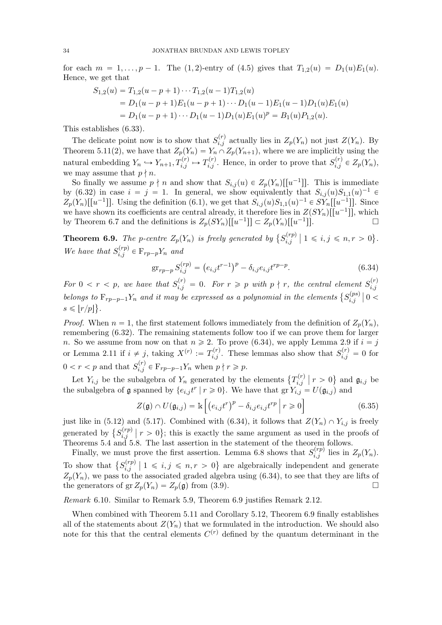for each  $m = 1, ..., p - 1$ . The (1, 2)-entry of (4.5) gives that  $T_{1,2}(u) = D_1(u)E_1(u)$ . Hence, we get that

$$
S_{1,2}(u) = T_{1,2}(u - p + 1) \cdots T_{1,2}(u - 1) T_{1,2}(u)
$$
  
=  $D_1(u - p + 1) E_1(u - p + 1) \cdots D_1(u - 1) E_1(u - 1) D_1(u) E_1(u)$   
=  $D_1(u - p + 1) \cdots D_1(u - 1) D_1(u) E_1(u)^p = B_1(u) P_{1,2}(u)$ .

This establishes (6.33).

The delicate point now is to show that  $S_{i,j}^{(r)}$  actually lies in  $Z_p(Y_n)$  not just  $Z(Y_n)$ . By Theorem 5.11(2), we have that  $Z_p(Y_n) = Y_n \cap Z_p(Y_{n+1})$ , where we are implicitly using the natural embedding  $Y_n \hookrightarrow Y_{n+1}, T_{i,j}^{(r)} \mapsto T_{i,j}^{(r)}$ . Hence, in order to prove that  $S_{i,j}^{(r)} \in Z_p(Y_n)$ , we may assume that  $p \nmid n$ .

So finally we assume  $p \nmid n$  and show that  $S_{i,j}(u) \in Z_p(Y_n)[[u^{-1}]]$ . This is immediate by (6.32) in case  $i = j = 1$ . In general, we show equivalently that  $S_{i,j}(u)S_{1,1}(u)^{-1} \in$  $Z_p(Y_n)[[u^{-1}]]$ . Using the definition (6.1), we get that  $S_{i,j}(u)S_{1,1}(u)^{-1} \in SY_n[[u^{-1}]]$ . Since we have shown its coefficients are central already, it therefore lies in  $Z(SY_n)[[u^{-1}]]$ , which by Theorem 6.7 and the definitions is  $Z_p(SY_n)[[u^{-1}]] \subset Z_p(Y_n)[[u^{-1}]]$  $\overline{a}$  since  $\overline{a}$  in  $\overline{a}$ 

**Theorem 6.9.** The p-centre  $Z_p(Y_n)$  is freely generated by  $\{S_{i,j}^{(rp)}\}$  $i,j \atop i,j \neq 1 \leq i,j \leq n, r > 0$ . We have that  $S_{i,j}^{(rp)} \in \mathcal{F}_{rp-p}Y_n$  and

$$
\operatorname{gr}_{rp-p} S_{i,j}^{(rp)} = \left( e_{i,j} t^{r-1} \right)^p - \delta_{i,j} e_{i,j} t^{rp-p}.
$$
 (6.34)

For  $0 < r < p$ , we have that  $S_{i,j}^{(r)} = 0$ . For  $r \geq p$  with  $p \nmid r$ , the central element  $S_{i,j}^{(r)}$  $i,j$ belongs to  $F_{rp-p-1}Y_n$  and it may be expressed as a polynomial in the elements  $\{S_{i,j}^{(ps)}\}$  $\left\vert _{i,j}^{\left( ps\right) }\right\vert 0<$  $s \leqslant |r/p|$ .

*Proof.* When  $n = 1$ , the first statement follows immediately from the definition of  $Z_p(Y_n)$ , remembering (6.32). The remaining statements follow too if we can prove them for larger n. So we assume from now on that  $n \ge 2$ . To prove (6.34), we apply Lemma 2.9 if  $i = j$ or Lemma 2.11 if  $i \neq j$ , taking  $X^{(r)} := T_{i,j}^{(r)}$ . These lemmas also show that  $S_{i,j}^{(r)} = 0$  for  $0 < r < p$  and that  $S_{i,j}^{(r)} \in \mathcal{F}_{rp-p-1}Y_n$  when  $p \nmid r \geq p$ .

Let  $Y_{i,j}$  be the subalgebra of  $Y_n$  generated by the elements  $\{T_{i,j}^{(r)}\}$  $\mathfrak{g}_{i,j}^{(r)}\bigm| r>0\bigr\}$  and  $\mathfrak{g}_{i,j}$  be the subalgebra of  $\frak{g}$  spanned by  $\{e_{i,j}t^r \mid r \geq 0\}$ . We have that  $\operatorname{gr} Y_{i,j} = U(\frak{g}_{i,j})$  and

$$
Z(\mathfrak{g}) \cap U(\mathfrak{g}_{i,j}) = \mathbb{k} \left[ \left( e_{i,j} t^r \right)^p - \delta_{i,j} e_{i,j} t^{rp} \mid r \geqslant 0 \right]
$$
 (6.35)

just like in (5.12) and (5.17). Combined with (6.34), it follows that  $Z(Y_n) \cap Y_{i,j}$  is freely generated by  $\{S_{i,j}^{(rp)}\}$  $\binom{r}{i,j}$  |  $r > 0$ }; this is exactly the same argument as used in the proofs of Theorems 5.4 and 5.8. The last assertion in the statement of the theorem follows.

Finally, we must prove the first assertion. Lemma 6.8 shows that  $S_{i,j}^{(rp)}$  lies in  $Z_p(Y_n)$ . To show that  $\{S_{i,j}^{(rp)}\}$  $\binom{r}{i,j}$  |  $1 \leq i, j \leq n, r > 0$ } are algebraically independent and generate  $Z_p(Y_n)$ , we pass to the associated graded algebra using (6.34), to see that they are lifts of the generators of gr  $Z_p(Y_n) = Z_p(\mathfrak{g})$  from (3.9).

Remark 6.10. Similar to Remark 5.9, Theorem 6.9 justifies Remark 2.12.

When combined with Theorem 5.11 and Corollary 5.12, Theorem 6.9 finally establishes all of the statements about  $Z(Y_n)$  that we formulated in the introduction. We should also note for this that the central elements  $C^{(r)}$  defined by the quantum determinant in the